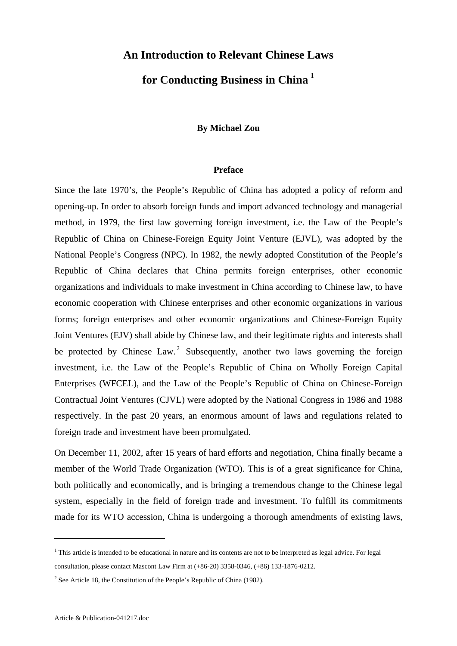# **An Introduction to Relevant Chinese Laws**

# **for Conducting Business in China [1](#page-0-0)**

#### **By Michael Zou**

#### **Preface**

Since the late 1970's, the People's Republic of China has adopted a policy of reform and opening-up. In order to absorb foreign funds and import advanced technology and managerial method, in 1979, the first law governing foreign investment, i.e. the Law of the People's Republic of China on Chinese-Foreign Equity Joint Venture (EJVL), was adopted by the National People's Congress (NPC). In 1982, the newly adopted Constitution of the People's Republic of China declares that China permits foreign enterprises, other economic organizations and individuals to make investment in China according to Chinese law, to have economic cooperation with Chinese enterprises and other economic organizations in various forms; foreign enterprises and other economic organizations and Chinese-Foreign Equity Joint Ventures (EJV) shall abide by Chinese law, and their legitimate rights and interests shall be protected by Chinese Law.<sup>[2](#page-0-1)</sup> Subsequently, another two laws governing the foreign investment, i.e. the Law of the People's Republic of China on Wholly Foreign Capital Enterprises (WFCEL), and the Law of the People's Republic of China on Chinese-Foreign Contractual Joint Ventures (CJVL) were adopted by the National Congress in 1986 and 1988 respectively. In the past 20 years, an enormous amount of laws and regulations related to foreign trade and investment have been promulgated.

On December 11, 2002, after 15 years of hard efforts and negotiation, China finally became a member of the World Trade Organization (WTO). This is of a great significance for China, both politically and economically, and is bringing a tremendous change to the Chinese legal system, especially in the field of foreign trade and investment. To fulfill its commitments made for its WTO accession, China is undergoing a thorough amendments of existing laws,

1

<span id="page-0-0"></span> $<sup>1</sup>$  This article is intended to be educational in nature and its contents are not to be interpreted as legal advice. For legal</sup> consultation, please contact Mascont Law Firm at (+86-20) 3358-0346, (+86) 133-1876-0212.

<span id="page-0-1"></span><sup>&</sup>lt;sup>2</sup> See Article 18, the Constitution of the People's Republic of China (1982).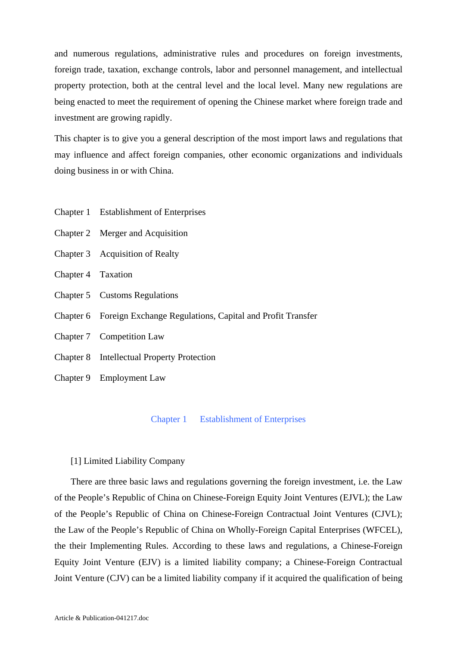and numerous regulations, administrative rules and procedures on foreign investments, foreign trade, taxation, exchange controls, labor and personnel management, and intellectual property protection, both at the central level and the local level. Many new regulations are being enacted to meet the requirement of opening the Chinese market where foreign trade and investment are growing rapidly.

This chapter is to give you a general description of the most import laws and regulations that may influence and affect foreign companies, other economic organizations and individuals doing business in or with China.

- Chapter 1 Establishment of Enterprises
- Chapter 2 Merger and Acquisition
- Chapter 3 Acquisition of Realty
- Chapter 4 Taxation
- Chapter 5 Customs Regulations
- Chapter 6 Foreign Exchange Regulations, Capital and Profit Transfer
- Chapter 7 Competition Law
- Chapter 8 Intellectual Property Protection
- Chapter 9 Employment Law

#### Chapter 1 Establishment of Enterprises

#### [1] Limited Liability Company

 There are three basic laws and regulations governing the foreign investment, i.e. the Law of the People's Republic of China on Chinese-Foreign Equity Joint Ventures (EJVL); the Law of the People's Republic of China on Chinese-Foreign Contractual Joint Ventures (CJVL); the Law of the People's Republic of China on Wholly-Foreign Capital Enterprises (WFCEL), the their Implementing Rules. According to these laws and regulations, a Chinese-Foreign Equity Joint Venture (EJV) is a limited liability company; a Chinese-Foreign Contractual Joint Venture (CJV) can be a limited liability company if it acquired the qualification of being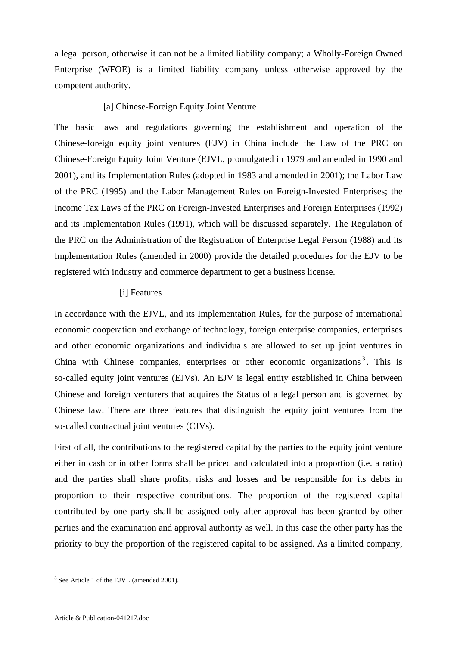a legal person, otherwise it can not be a limited liability company; a Wholly-Foreign Owned Enterprise (WFOE) is a limited liability company unless otherwise approved by the competent authority.

#### [a] Chinese-Foreign Equity Joint Venture

The basic laws and regulations governing the establishment and operation of the Chinese-foreign equity joint ventures (EJV) in China include the Law of the PRC on Chinese-Foreign Equity Joint Venture (EJVL, promulgated in 1979 and amended in 1990 and 2001), and its Implementation Rules (adopted in 1983 and amended in 2001); the Labor Law of the PRC (1995) and the Labor Management Rules on Foreign-Invested Enterprises; the Income Tax Laws of the PRC on Foreign-Invested Enterprises and Foreign Enterprises (1992) and its Implementation Rules (1991), which will be discussed separately. The Regulation of the PRC on the Administration of the Registration of Enterprise Legal Person (1988) and its Implementation Rules (amended in 2000) provide the detailed procedures for the EJV to be registered with industry and commerce department to get a business license.

#### [i] Features

In accordance with the EJVL, and its Implementation Rules, for the purpose of international economic cooperation and exchange of technology, foreign enterprise companies, enterprises and other economic organizations and individuals are allowed to set up joint ventures in China with Chinese companies, enterprises or other economic organizations<sup>[3](#page-2-0)</sup>. This is so-called equity joint ventures (EJVs). An EJV is legal entity established in China between Chinese and foreign venturers that acquires the Status of a legal person and is governed by Chinese law. There are three features that distinguish the equity joint ventures from the so-called contractual joint ventures (CJVs).

First of all, the contributions to the registered capital by the parties to the equity joint venture either in cash or in other forms shall be priced and calculated into a proportion (i.e. a ratio) and the parties shall share profits, risks and losses and be responsible for its debts in proportion to their respective contributions. The proportion of the registered capital contributed by one party shall be assigned only after approval has been granted by other parties and the examination and approval authority as well. In this case the other party has the priority to buy the proportion of the registered capital to be assigned. As a limited company,

1

<span id="page-2-0"></span><sup>&</sup>lt;sup>3</sup> See Article 1 of the EJVL (amended 2001).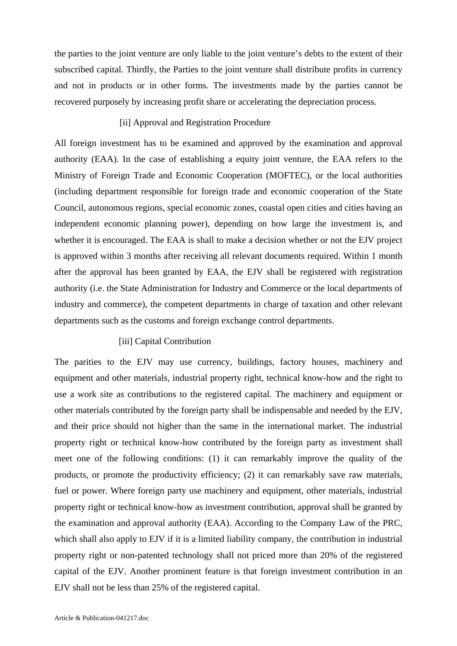the parties to the joint venture are only liable to the joint venture's debts to the extent of their subscribed capital. Thirdly, the Parties to the joint venture shall distribute profits in currency and not in products or in other forms. The investments made by the parties cannot be recovered purposely by increasing profit share or accelerating the depreciation process.

#### [ii] Approval and Registration Procedure

All foreign investment has to be examined and approved by the examination and approval authority (EAA). In the case of establishing a equity joint venture, the EAA refers to the Ministry of Foreign Trade and Economic Cooperation (MOFTEC), or the local authorities (including department responsible for foreign trade and economic cooperation of the State Council, autonomous regions, special economic zones, coastal open cities and cities having an independent economic planning power), depending on how large the investment is, and whether it is encouraged. The EAA is shall to make a decision whether or not the EJV project is approved within 3 months after receiving all relevant documents required. Within 1 month after the approval has been granted by EAA, the EJV shall be registered with registration authority (i.e. the State Administration for Industry and Commerce or the local departments of industry and commerce), the competent departments in charge of taxation and other relevant departments such as the customs and foreign exchange control departments.

#### [iii] Capital Contribution

The parities to the EJV may use currency, buildings, factory houses, machinery and equipment and other materials, industrial property right, technical know-how and the right to use a work site as contributions to the registered capital. The machinery and equipment or other materials contributed by the foreign party shall be indispensable and needed by the EJV, and their price should not higher than the same in the international market. The industrial property right or technical know-how contributed by the foreign party as investment shall meet one of the following conditions: (1) it can remarkably improve the quality of the products, or promote the productivity efficiency; (2) it can remarkably save raw materials, fuel or power. Where foreign party use machinery and equipment, other materials, industrial property right or technical know-how as investment contribution, approval shall be granted by the examination and approval authority (EAA). According to the Company Law of the PRC, which shall also apply to EJV if it is a limited liability company, the contribution in industrial property right or non-patented technology shall not priced more than 20% of the registered capital of the EJV. Another prominent feature is that foreign investment contribution in an EJV shall not be less than 25% of the registered capital.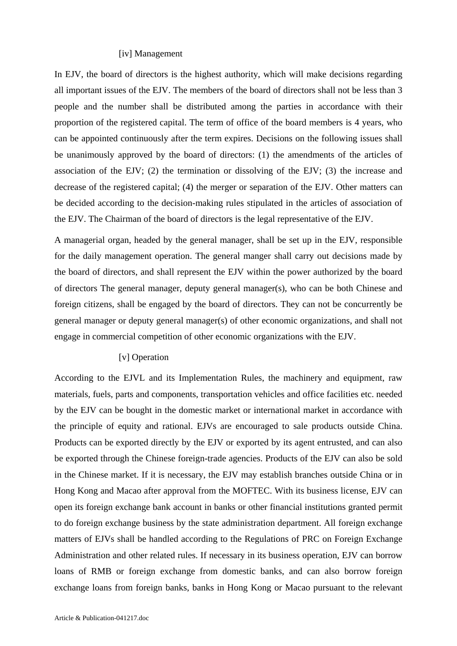#### [iv] Management

In EJV, the board of directors is the highest authority, which will make decisions regarding all important issues of the EJV. The members of the board of directors shall not be less than 3 people and the number shall be distributed among the parties in accordance with their proportion of the registered capital. The term of office of the board members is 4 years, who can be appointed continuously after the term expires. Decisions on the following issues shall be unanimously approved by the board of directors: (1) the amendments of the articles of association of the EJV; (2) the termination or dissolving of the EJV; (3) the increase and decrease of the registered capital; (4) the merger or separation of the EJV. Other matters can be decided according to the decision-making rules stipulated in the articles of association of the EJV. The Chairman of the board of directors is the legal representative of the EJV.

A managerial organ, headed by the general manager, shall be set up in the EJV, responsible for the daily management operation. The general manger shall carry out decisions made by the board of directors, and shall represent the EJV within the power authorized by the board of directors The general manager, deputy general manager(s), who can be both Chinese and foreign citizens, shall be engaged by the board of directors. They can not be concurrently be general manager or deputy general manager(s) of other economic organizations, and shall not engage in commercial competition of other economic organizations with the EJV.

#### [v] Operation

According to the EJVL and its Implementation Rules, the machinery and equipment, raw materials, fuels, parts and components, transportation vehicles and office facilities etc. needed by the EJV can be bought in the domestic market or international market in accordance with the principle of equity and rational. EJVs are encouraged to sale products outside China. Products can be exported directly by the EJV or exported by its agent entrusted, and can also be exported through the Chinese foreign-trade agencies. Products of the EJV can also be sold in the Chinese market. If it is necessary, the EJV may establish branches outside China or in Hong Kong and Macao after approval from the MOFTEC. With its business license, EJV can open its foreign exchange bank account in banks or other financial institutions granted permit to do foreign exchange business by the state administration department. All foreign exchange matters of EJVs shall be handled according to the Regulations of PRC on Foreign Exchange Administration and other related rules. If necessary in its business operation, EJV can borrow loans of RMB or foreign exchange from domestic banks, and can also borrow foreign exchange loans from foreign banks, banks in Hong Kong or Macao pursuant to the relevant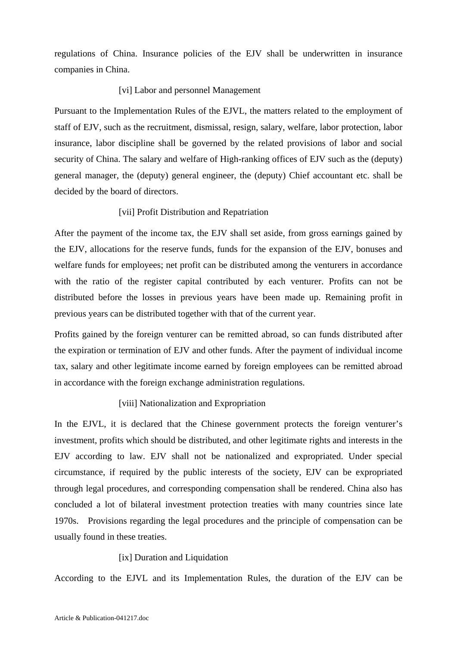regulations of China. Insurance policies of the EJV shall be underwritten in insurance companies in China.

## [vi] Labor and personnel Management

Pursuant to the Implementation Rules of the EJVL, the matters related to the employment of staff of EJV, such as the recruitment, dismissal, resign, salary, welfare, labor protection, labor insurance, labor discipline shall be governed by the related provisions of labor and social security of China. The salary and welfare of High-ranking offices of EJV such as the (deputy) general manager, the (deputy) general engineer, the (deputy) Chief accountant etc. shall be decided by the board of directors.

## [vii] Profit Distribution and Repatriation

After the payment of the income tax, the EJV shall set aside, from gross earnings gained by the EJV, allocations for the reserve funds, funds for the expansion of the EJV, bonuses and welfare funds for employees; net profit can be distributed among the venturers in accordance with the ratio of the register capital contributed by each venturer. Profits can not be distributed before the losses in previous years have been made up. Remaining profit in previous years can be distributed together with that of the current year.

Profits gained by the foreign venturer can be remitted abroad, so can funds distributed after the expiration or termination of EJV and other funds. After the payment of individual income tax, salary and other legitimate income earned by foreign employees can be remitted abroad in accordance with the foreign exchange administration regulations.

## [viii] Nationalization and Expropriation

In the EJVL, it is declared that the Chinese government protects the foreign venturer's investment, profits which should be distributed, and other legitimate rights and interests in the EJV according to law. EJV shall not be nationalized and expropriated. Under special circumstance, if required by the public interests of the society, EJV can be expropriated through legal procedures, and corresponding compensation shall be rendered. China also has concluded a lot of bilateral investment protection treaties with many countries since late 1970s. Provisions regarding the legal procedures and the principle of compensation can be usually found in these treaties.

## [ix] Duration and Liquidation

According to the EJVL and its Implementation Rules, the duration of the EJV can be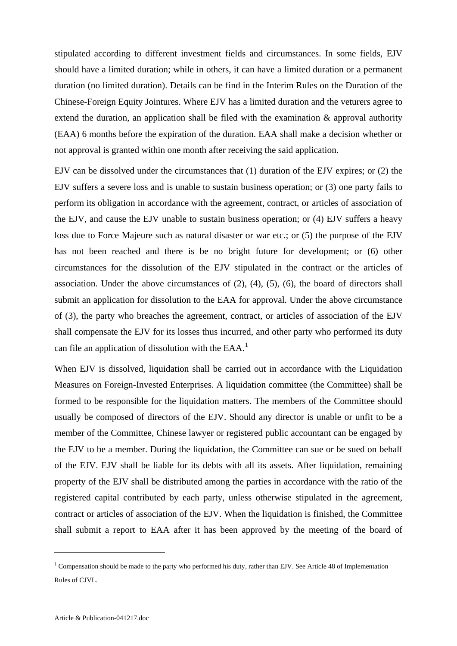stipulated according to different investment fields and circumstances. In some fields, EJV should have a limited duration; while in others, it can have a limited duration or a permanent duration (no limited duration). Details can be find in the Interim Rules on the Duration of the Chinese-Foreign Equity Jointures. Where EJV has a limited duration and the veturers agree to extend the duration, an application shall be filed with the examination & approval authority (EAA) 6 months before the expiration of the duration. EAA shall make a decision whether or not approval is granted within one month after receiving the said application.

EJV can be dissolved under the circumstances that (1) duration of the EJV expires; or (2) the EJV suffers a severe loss and is unable to sustain business operation; or (3) one party fails to perform its obligation in accordance with the agreement, contract, or articles of association of the EJV, and cause the EJV unable to sustain business operation; or (4) EJV suffers a heavy loss due to Force Majeure such as natural disaster or war etc.; or (5) the purpose of the EJV has not been reached and there is be no bright future for development; or (6) other circumstances for the dissolution of the EJV stipulated in the contract or the articles of association. Under the above circumstances of (2), (4), (5), (6), the board of directors shall submit an application for dissolution to the EAA for approval. Under the above circumstance of (3), the party who breaches the agreement, contract, or articles of association of the EJV shall compensate the EJV for its losses thus incurred, and other party who performed its duty can file an application of dissolution with the EAA.<sup>[1](#page-6-0)</sup>

When EJV is dissolved, liquidation shall be carried out in accordance with the Liquidation Measures on Foreign-Invested Enterprises. A liquidation committee (the Committee) shall be formed to be responsible for the liquidation matters. The members of the Committee should usually be composed of directors of the EJV. Should any director is unable or unfit to be a member of the Committee, Chinese lawyer or registered public accountant can be engaged by the EJV to be a member. During the liquidation, the Committee can sue or be sued on behalf of the EJV. EJV shall be liable for its debts with all its assets. After liquidation, remaining property of the EJV shall be distributed among the parties in accordance with the ratio of the registered capital contributed by each party, unless otherwise stipulated in the agreement, contract or articles of association of the EJV. When the liquidation is finished, the Committee shall submit a report to EAA after it has been approved by the meeting of the board of

1

<span id="page-6-0"></span><sup>&</sup>lt;sup>1</sup> Compensation should be made to the party who performed his duty, rather than EJV. See Article 48 of Implementation Rules of CJVL.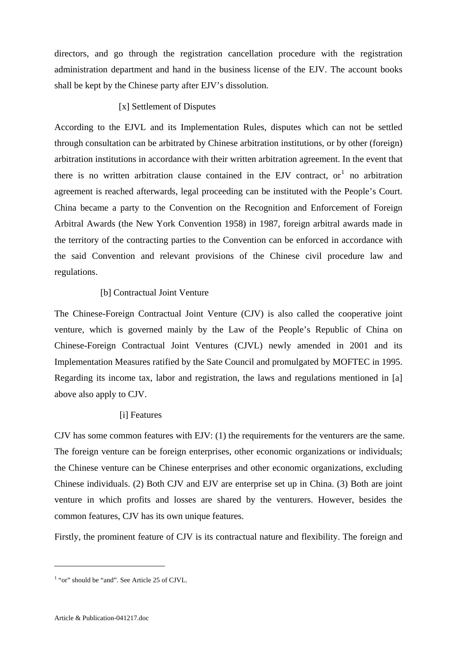directors, and go through the registration cancellation procedure with the registration administration department and hand in the business license of the EJV. The account books shall be kept by the Chinese party after EJV's dissolution.

## [x] Settlement of Disputes

According to the EJVL and its Implementation Rules, disputes which can not be settled through consultation can be arbitrated by Chinese arbitration institutions, or by other (foreign) arbitration institutions in accordance with their written arbitration agreement. In the event that there is no written arbitration clause contained in the EJV contract, or  $1$  no arbitration agreement is reached afterwards, legal proceeding can be instituted with the People's Court. China became a party to the Convention on the Recognition and Enforcement of Foreign Arbitral Awards (the New York Convention 1958) in 1987, foreign arbitral awards made in the territory of the contracting parties to the Convention can be enforced in accordance with the said Convention and relevant provisions of the Chinese civil procedure law and regulations.

## [b] Contractual Joint Venture

The Chinese-Foreign Contractual Joint Venture (CJV) is also called the cooperative joint venture, which is governed mainly by the Law of the People's Republic of China on Chinese-Foreign Contractual Joint Ventures (CJVL) newly amended in 2001 and its Implementation Measures ratified by the Sate Council and promulgated by MOFTEC in 1995. Regarding its income tax, labor and registration, the laws and regulations mentioned in [a] above also apply to CJV.

## [i] Features

CJV has some common features with EJV: (1) the requirements for the venturers are the same. The foreign venture can be foreign enterprises, other economic organizations or individuals; the Chinese venture can be Chinese enterprises and other economic organizations, excluding Chinese individuals. (2) Both CJV and EJV are enterprise set up in China. (3) Both are joint venture in which profits and losses are shared by the venturers. However, besides the common features, CJV has its own unique features.

Firstly, the prominent feature of CJV is its contractual nature and flexibility. The foreign and

1

<span id="page-7-0"></span><sup>&</sup>lt;sup>1</sup> "or" should be "and". See Article 25 of CJVL.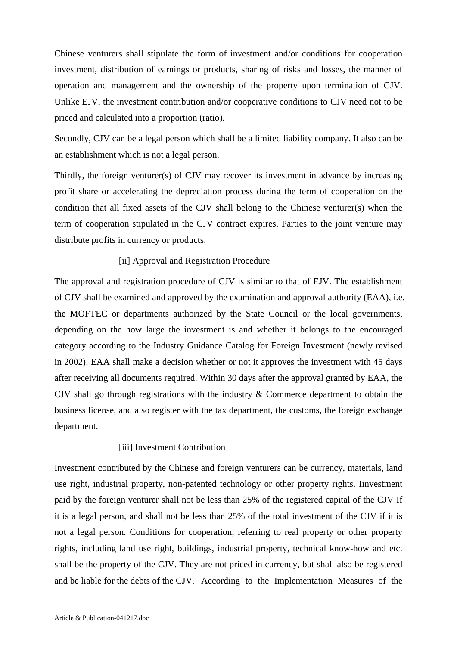Chinese venturers shall stipulate the form of investment and/or conditions for cooperation investment, distribution of earnings or products, sharing of risks and losses, the manner of operation and management and the ownership of the property upon termination of CJV. Unlike EJV, the investment contribution and/or cooperative conditions to CJV need not to be priced and calculated into a proportion (ratio).

Secondly, CJV can be a legal person which shall be a limited liability company. It also can be an establishment which is not a legal person.

Thirdly, the foreign venturer(s) of CJV may recover its investment in advance by increasing profit share or accelerating the depreciation process during the term of cooperation on the condition that all fixed assets of the CJV shall belong to the Chinese venturer(s) when the term of cooperation stipulated in the CJV contract expires. Parties to the joint venture may distribute profits in currency or products.

#### [ii] Approval and Registration Procedure

The approval and registration procedure of CJV is similar to that of EJV. The establishment of CJV shall be examined and approved by the examination and approval authority (EAA), i.e. the MOFTEC or departments authorized by the State Council or the local governments, depending on the how large the investment is and whether it belongs to the encouraged category according to the Industry Guidance Catalog for Foreign Investment (newly revised in 2002). EAA shall make a decision whether or not it approves the investment with 45 days after receiving all documents required. Within 30 days after the approval granted by EAA, the CJV shall go through registrations with the industry & Commerce department to obtain the business license, and also register with the tax department, the customs, the foreign exchange department.

### [iii] Investment Contribution

Investment contributed by the Chinese and foreign venturers can be currency, materials, land use right, industrial property, non-patented technology or other property rights. Iinvestment paid by the foreign venturer shall not be less than 25% of the registered capital of the CJV If it is a legal person, and shall not be less than 25% of the total investment of the CJV if it is not a legal person. Conditions for cooperation, referring to real property or other property rights, including land use right, buildings, industrial property, technical know-how and etc. shall be the property of the CJV. They are not priced in currency, but shall also be registered and be liable for the debts of the CJV. According to the Implementation Measures of the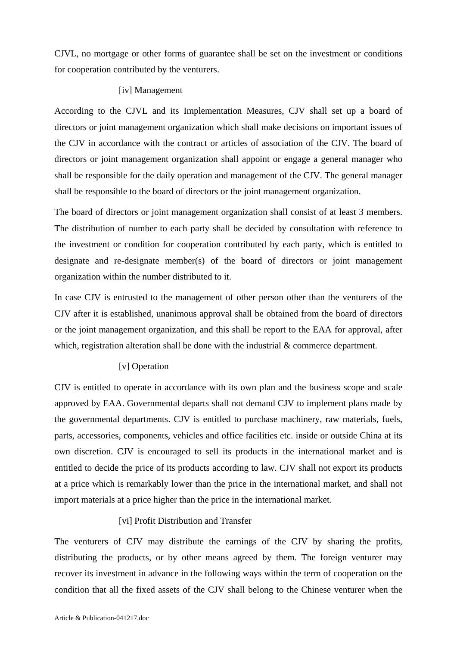CJVL, no mortgage or other forms of guarantee shall be set on the investment or conditions for cooperation contributed by the venturers.

## [iv] Management

According to the CJVL and its Implementation Measures, CJV shall set up a board of directors or joint management organization which shall make decisions on important issues of the CJV in accordance with the contract or articles of association of the CJV. The board of directors or joint management organization shall appoint or engage a general manager who shall be responsible for the daily operation and management of the CJV. The general manager shall be responsible to the board of directors or the joint management organization.

The board of directors or joint management organization shall consist of at least 3 members. The distribution of number to each party shall be decided by consultation with reference to the investment or condition for cooperation contributed by each party, which is entitled to designate and re-designate member(s) of the board of directors or joint management organization within the number distributed to it.

In case CJV is entrusted to the management of other person other than the venturers of the CJV after it is established, unanimous approval shall be obtained from the board of directors or the joint management organization, and this shall be report to the EAA for approval, after which, registration alteration shall be done with the industrial  $\&$  commerce department.

## [v] Operation

CJV is entitled to operate in accordance with its own plan and the business scope and scale approved by EAA. Governmental departs shall not demand CJV to implement plans made by the governmental departments. CJV is entitled to purchase machinery, raw materials, fuels, parts, accessories, components, vehicles and office facilities etc. inside or outside China at its own discretion. CJV is encouraged to sell its products in the international market and is entitled to decide the price of its products according to law. CJV shall not export its products at a price which is remarkably lower than the price in the international market, and shall not import materials at a price higher than the price in the international market.

## [vi] Profit Distribution and Transfer

The venturers of CJV may distribute the earnings of the CJV by sharing the profits, distributing the products, or by other means agreed by them. The foreign venturer may recover its investment in advance in the following ways within the term of cooperation on the condition that all the fixed assets of the CJV shall belong to the Chinese venturer when the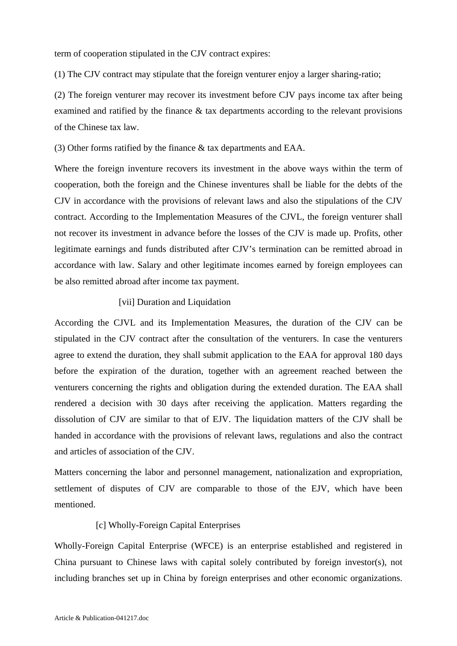term of cooperation stipulated in the CJV contract expires:

(1) The CJV contract may stipulate that the foreign venturer enjoy a larger sharing-ratio;

(2) The foreign venturer may recover its investment before CJV pays income tax after being examined and ratified by the finance & tax departments according to the relevant provisions of the Chinese tax law.

(3) Other forms ratified by the finance & tax departments and EAA.

Where the foreign inventure recovers its investment in the above ways within the term of cooperation, both the foreign and the Chinese inventures shall be liable for the debts of the CJV in accordance with the provisions of relevant laws and also the stipulations of the CJV contract. According to the Implementation Measures of the CJVL, the foreign venturer shall not recover its investment in advance before the losses of the CJV is made up. Profits, other legitimate earnings and funds distributed after CJV's termination can be remitted abroad in accordance with law. Salary and other legitimate incomes earned by foreign employees can be also remitted abroad after income tax payment.

#### [vii] Duration and Liquidation

According the CJVL and its Implementation Measures, the duration of the CJV can be stipulated in the CJV contract after the consultation of the venturers. In case the venturers agree to extend the duration, they shall submit application to the EAA for approval 180 days before the expiration of the duration, together with an agreement reached between the venturers concerning the rights and obligation during the extended duration. The EAA shall rendered a decision with 30 days after receiving the application. Matters regarding the dissolution of CJV are similar to that of EJV. The liquidation matters of the CJV shall be handed in accordance with the provisions of relevant laws, regulations and also the contract and articles of association of the CJV.

Matters concerning the labor and personnel management, nationalization and expropriation, settlement of disputes of CJV are comparable to those of the EJV, which have been mentioned.

## [c] Wholly-Foreign Capital Enterprises

Wholly-Foreign Capital Enterprise (WFCE) is an enterprise established and registered in China pursuant to Chinese laws with capital solely contributed by foreign investor(s), not including branches set up in China by foreign enterprises and other economic organizations.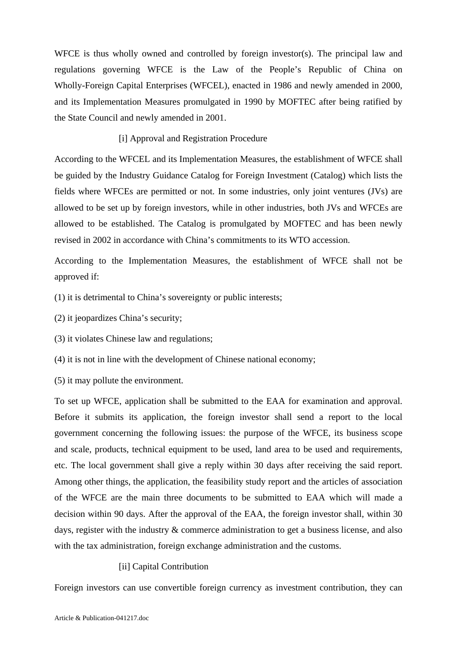WFCE is thus wholly owned and controlled by foreign investor(s). The principal law and regulations governing WFCE is the Law of the People's Republic of China on Wholly-Foreign Capital Enterprises (WFCEL), enacted in 1986 and newly amended in 2000, and its Implementation Measures promulgated in 1990 by MOFTEC after being ratified by the State Council and newly amended in 2001.

### [i] Approval and Registration Procedure

According to the WFCEL and its Implementation Measures, the establishment of WFCE shall be guided by the Industry Guidance Catalog for Foreign Investment (Catalog) which lists the fields where WFCEs are permitted or not. In some industries, only joint ventures (JVs) are allowed to be set up by foreign investors, while in other industries, both JVs and WFCEs are allowed to be established. The Catalog is promulgated by MOFTEC and has been newly revised in 2002 in accordance with China's commitments to its WTO accession.

According to the Implementation Measures, the establishment of WFCE shall not be approved if:

(1) it is detrimental to China's sovereignty or public interests;

(2) it jeopardizes China's security;

(3) it violates Chinese law and regulations;

(4) it is not in line with the development of Chinese national economy;

(5) it may pollute the environment.

To set up WFCE, application shall be submitted to the EAA for examination and approval. Before it submits its application, the foreign investor shall send a report to the local government concerning the following issues: the purpose of the WFCE, its business scope and scale, products, technical equipment to be used, land area to be used and requirements, etc. The local government shall give a reply within 30 days after receiving the said report. Among other things, the application, the feasibility study report and the articles of association of the WFCE are the main three documents to be submitted to EAA which will made a decision within 90 days. After the approval of the EAA, the foreign investor shall, within 30 days, register with the industry & commerce administration to get a business license, and also with the tax administration, foreign exchange administration and the customs.

#### [ii] Capital Contribution

Foreign investors can use convertible foreign currency as investment contribution, they can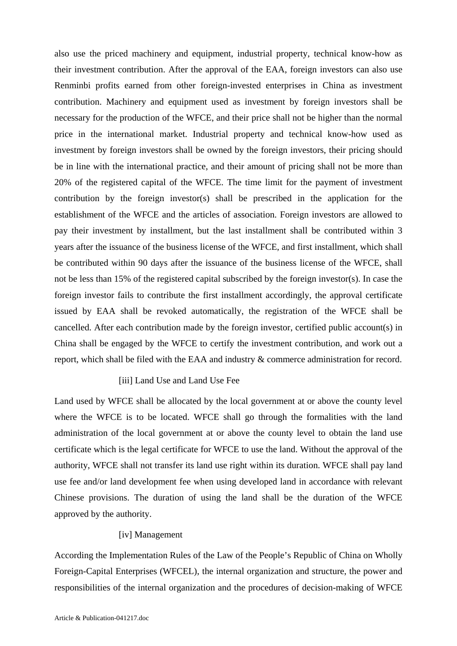also use the priced machinery and equipment, industrial property, technical know-how as their investment contribution. After the approval of the EAA, foreign investors can also use Renminbi profits earned from other foreign-invested enterprises in China as investment contribution. Machinery and equipment used as investment by foreign investors shall be necessary for the production of the WFCE, and their price shall not be higher than the normal price in the international market. Industrial property and technical know-how used as investment by foreign investors shall be owned by the foreign investors, their pricing should be in line with the international practice, and their amount of pricing shall not be more than 20% of the registered capital of the WFCE. The time limit for the payment of investment contribution by the foreign investor(s) shall be prescribed in the application for the establishment of the WFCE and the articles of association. Foreign investors are allowed to pay their investment by installment, but the last installment shall be contributed within 3 years after the issuance of the business license of the WFCE, and first installment, which shall be contributed within 90 days after the issuance of the business license of the WFCE, shall not be less than 15% of the registered capital subscribed by the foreign investor(s). In case the foreign investor fails to contribute the first installment accordingly, the approval certificate issued by EAA shall be revoked automatically, the registration of the WFCE shall be cancelled. After each contribution made by the foreign investor, certified public account(s) in China shall be engaged by the WFCE to certify the investment contribution, and work out a report, which shall be filed with the EAA and industry & commerce administration for record.

## [iii] Land Use and Land Use Fee

Land used by WFCE shall be allocated by the local government at or above the county level where the WFCE is to be located. WFCE shall go through the formalities with the land administration of the local government at or above the county level to obtain the land use certificate which is the legal certificate for WFCE to use the land. Without the approval of the authority, WFCE shall not transfer its land use right within its duration. WFCE shall pay land use fee and/or land development fee when using developed land in accordance with relevant Chinese provisions. The duration of using the land shall be the duration of the WFCE approved by the authority.

### [iv] Management

According the Implementation Rules of the Law of the People's Republic of China on Wholly Foreign-Capital Enterprises (WFCEL), the internal organization and structure, the power and responsibilities of the internal organization and the procedures of decision-making of WFCE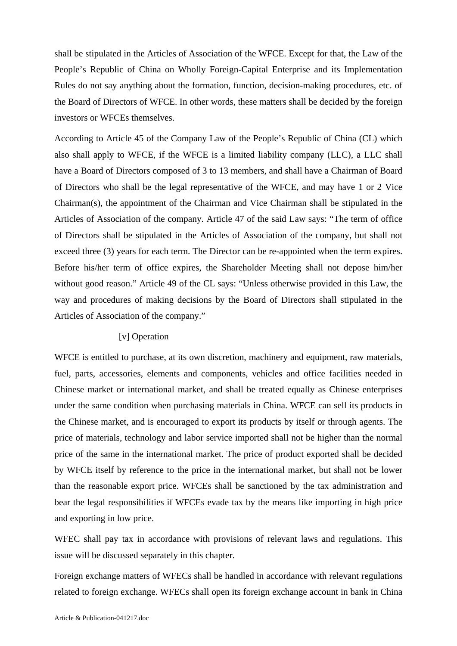shall be stipulated in the Articles of Association of the WFCE. Except for that, the Law of the People's Republic of China on Wholly Foreign-Capital Enterprise and its Implementation Rules do not say anything about the formation, function, decision-making procedures, etc. of the Board of Directors of WFCE. In other words, these matters shall be decided by the foreign investors or WFCEs themselves.

According to Article 45 of the Company Law of the People's Republic of China (CL) which also shall apply to WFCE, if the WFCE is a limited liability company (LLC), a LLC shall have a Board of Directors composed of 3 to 13 members, and shall have a Chairman of Board of Directors who shall be the legal representative of the WFCE, and may have 1 or 2 Vice Chairman(s), the appointment of the Chairman and Vice Chairman shall be stipulated in the Articles of Association of the company. Article 47 of the said Law says: "The term of office of Directors shall be stipulated in the Articles of Association of the company, but shall not exceed three (3) years for each term. The Director can be re-appointed when the term expires. Before his/her term of office expires, the Shareholder Meeting shall not depose him/her without good reason." Article 49 of the CL says: "Unless otherwise provided in this Law, the way and procedures of making decisions by the Board of Directors shall stipulated in the Articles of Association of the company."

#### [v] Operation

WFCE is entitled to purchase, at its own discretion, machinery and equipment, raw materials, fuel, parts, accessories, elements and components, vehicles and office facilities needed in Chinese market or international market, and shall be treated equally as Chinese enterprises under the same condition when purchasing materials in China. WFCE can sell its products in the Chinese market, and is encouraged to export its products by itself or through agents. The price of materials, technology and labor service imported shall not be higher than the normal price of the same in the international market. The price of product exported shall be decided by WFCE itself by reference to the price in the international market, but shall not be lower than the reasonable export price. WFCEs shall be sanctioned by the tax administration and bear the legal responsibilities if WFCEs evade tax by the means like importing in high price and exporting in low price.

WFEC shall pay tax in accordance with provisions of relevant laws and regulations. This issue will be discussed separately in this chapter.

Foreign exchange matters of WFECs shall be handled in accordance with relevant regulations related to foreign exchange. WFECs shall open its foreign exchange account in bank in China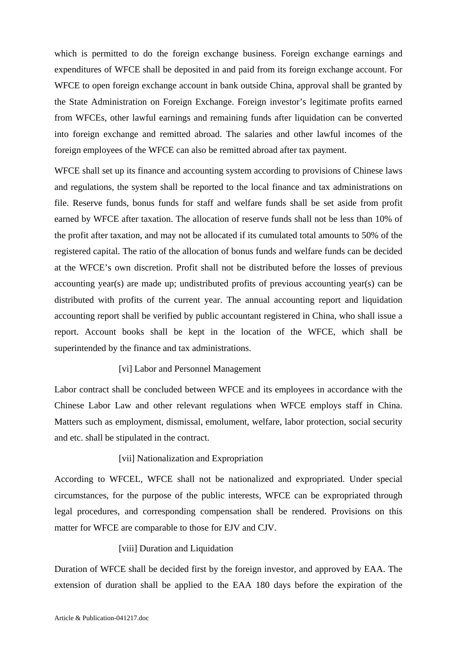which is permitted to do the foreign exchange business. Foreign exchange earnings and expenditures of WFCE shall be deposited in and paid from its foreign exchange account. For WFCE to open foreign exchange account in bank outside China, approval shall be granted by the State Administration on Foreign Exchange. Foreign investor's legitimate profits earned from WFCEs, other lawful earnings and remaining funds after liquidation can be converted into foreign exchange and remitted abroad. The salaries and other lawful incomes of the foreign employees of the WFCE can also be remitted abroad after tax payment.

WFCE shall set up its finance and accounting system according to provisions of Chinese laws and regulations, the system shall be reported to the local finance and tax administrations on file. Reserve funds, bonus funds for staff and welfare funds shall be set aside from profit earned by WFCE after taxation. The allocation of reserve funds shall not be less than 10% of the profit after taxation, and may not be allocated if its cumulated total amounts to 50% of the registered capital. The ratio of the allocation of bonus funds and welfare funds can be decided at the WFCE's own discretion. Profit shall not be distributed before the losses of previous accounting year(s) are made up; undistributed profits of previous accounting year(s) can be distributed with profits of the current year. The annual accounting report and liquidation accounting report shall be verified by public accountant registered in China, who shall issue a report. Account books shall be kept in the location of the WFCE, which shall be superintended by the finance and tax administrations.

## [vi] Labor and Personnel Management

Labor contract shall be concluded between WFCE and its employees in accordance with the Chinese Labor Law and other relevant regulations when WFCE employs staff in China. Matters such as employment, dismissal, emolument, welfare, labor protection, social security and etc. shall be stipulated in the contract.

#### [vii] Nationalization and Expropriation

According to WFCEL, WFCE shall not be nationalized and expropriated. Under special circumstances, for the purpose of the public interests, WFCE can be expropriated through legal procedures, and corresponding compensation shall be rendered. Provisions on this matter for WFCE are comparable to those for EJV and CJV.

#### [viii] Duration and Liquidation

Duration of WFCE shall be decided first by the foreign investor, and approved by EAA. The extension of duration shall be applied to the EAA 180 days before the expiration of the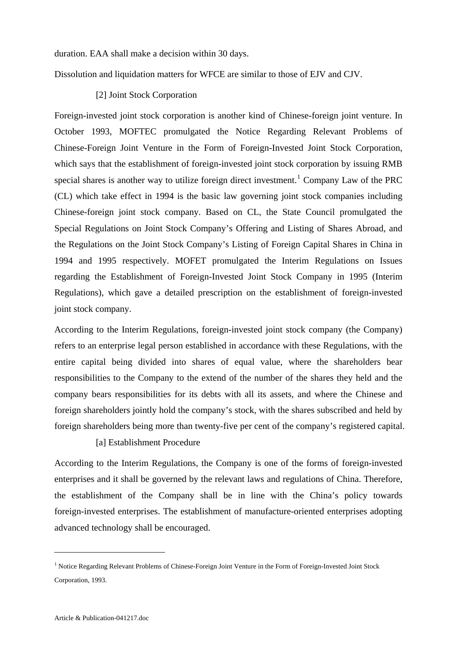duration. EAA shall make a decision within 30 days.

Dissolution and liquidation matters for WFCE are similar to those of EJV and CJV.

#### [2] Joint Stock Corporation

Foreign-invested joint stock corporation is another kind of Chinese-foreign joint venture. In October 1993, MOFTEC promulgated the Notice Regarding Relevant Problems of Chinese-Foreign Joint Venture in the Form of Foreign-Invested Joint Stock Corporation, which says that the establishment of foreign-invested joint stock corporation by issuing RMB special shares is another way to utilize foreign direct investment.<sup>[1](#page-15-0)</sup> Company Law of the PRC (CL) which take effect in 1994 is the basic law governing joint stock companies including Chinese-foreign joint stock company. Based on CL, the State Council promulgated the Special Regulations on Joint Stock Company's Offering and Listing of Shares Abroad, and the Regulations on the Joint Stock Company's Listing of Foreign Capital Shares in China in 1994 and 1995 respectively. MOFET promulgated the Interim Regulations on Issues regarding the Establishment of Foreign-Invested Joint Stock Company in 1995 (Interim Regulations), which gave a detailed prescription on the establishment of foreign-invested joint stock company.

According to the Interim Regulations, foreign-invested joint stock company (the Company) refers to an enterprise legal person established in accordance with these Regulations, with the entire capital being divided into shares of equal value, where the shareholders bear responsibilities to the Company to the extend of the number of the shares they held and the company bears responsibilities for its debts with all its assets, and where the Chinese and foreign shareholders jointly hold the company's stock, with the shares subscribed and held by foreign shareholders being more than twenty-five per cent of the company's registered capital.

#### [a] Establishment Procedure

According to the Interim Regulations, the Company is one of the forms of foreign-invested enterprises and it shall be governed by the relevant laws and regulations of China. Therefore, the establishment of the Company shall be in line with the China's policy towards foreign-invested enterprises. The establishment of manufacture-oriented enterprises adopting advanced technology shall be encouraged.

1

<span id="page-15-0"></span><sup>&</sup>lt;sup>1</sup> Notice Regarding Relevant Problems of Chinese-Foreign Joint Venture in the Form of Foreign-Invested Joint Stock Corporation, 1993.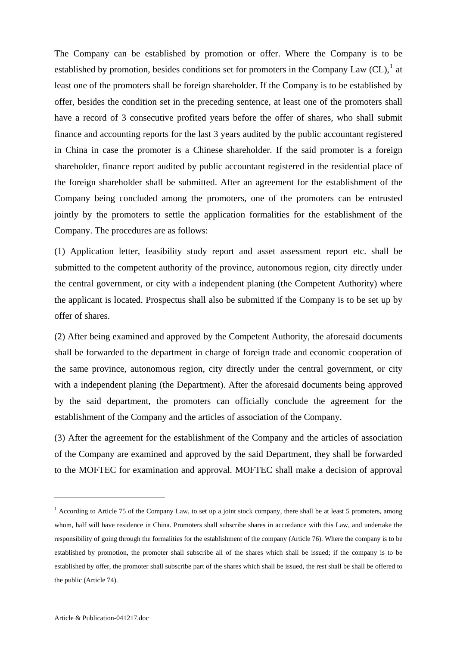The Company can be established by promotion or offer. Where the Company is to be established by promotion, besides conditions set for promoters in the Company Law  $CL$ ),<sup>[1](#page-16-0)</sup> at least one of the promoters shall be foreign shareholder. If the Company is to be established by offer, besides the condition set in the preceding sentence, at least one of the promoters shall have a record of 3 consecutive profited years before the offer of shares, who shall submit finance and accounting reports for the last 3 years audited by the public accountant registered in China in case the promoter is a Chinese shareholder. If the said promoter is a foreign shareholder, finance report audited by public accountant registered in the residential place of the foreign shareholder shall be submitted. After an agreement for the establishment of the Company being concluded among the promoters, one of the promoters can be entrusted jointly by the promoters to settle the application formalities for the establishment of the Company. The procedures are as follows:

(1) Application letter, feasibility study report and asset assessment report etc. shall be submitted to the competent authority of the province, autonomous region, city directly under the central government, or city with a independent planing (the Competent Authority) where the applicant is located. Prospectus shall also be submitted if the Company is to be set up by offer of shares.

(2) After being examined and approved by the Competent Authority, the aforesaid documents shall be forwarded to the department in charge of foreign trade and economic cooperation of the same province, autonomous region, city directly under the central government, or city with a independent planing (the Department). After the aforesaid documents being approved by the said department, the promoters can officially conclude the agreement for the establishment of the Company and the articles of association of the Company.

(3) After the agreement for the establishment of the Company and the articles of association of the Company are examined and approved by the said Department, they shall be forwarded to the MOFTEC for examination and approval. MOFTEC shall make a decision of approval

1

<span id="page-16-0"></span><sup>&</sup>lt;sup>1</sup> According to Article 75 of the Company Law, to set up a joint stock company, there shall be at least 5 promoters, among whom, half will have residence in China. Promoters shall subscribe shares in accordance with this Law, and undertake the responsibility of going through the formalities for the establishment of the company (Article 76). Where the company is to be established by promotion, the promoter shall subscribe all of the shares which shall be issued; if the company is to be established by offer, the promoter shall subscribe part of the shares which shall be issued, the rest shall be shall be offered to the public (Article 74).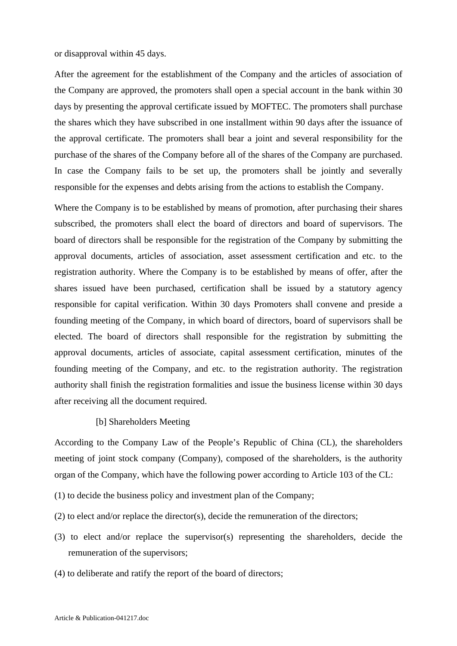or disapproval within 45 days.

After the agreement for the establishment of the Company and the articles of association of the Company are approved, the promoters shall open a special account in the bank within 30 days by presenting the approval certificate issued by MOFTEC. The promoters shall purchase the shares which they have subscribed in one installment within 90 days after the issuance of the approval certificate. The promoters shall bear a joint and several responsibility for the purchase of the shares of the Company before all of the shares of the Company are purchased. In case the Company fails to be set up, the promoters shall be jointly and severally responsible for the expenses and debts arising from the actions to establish the Company.

Where the Company is to be established by means of promotion, after purchasing their shares subscribed, the promoters shall elect the board of directors and board of supervisors. The board of directors shall be responsible for the registration of the Company by submitting the approval documents, articles of association, asset assessment certification and etc. to the registration authority. Where the Company is to be established by means of offer, after the shares issued have been purchased, certification shall be issued by a statutory agency responsible for capital verification. Within 30 days Promoters shall convene and preside a founding meeting of the Company, in which board of directors, board of supervisors shall be elected. The board of directors shall responsible for the registration by submitting the approval documents, articles of associate, capital assessment certification, minutes of the founding meeting of the Company, and etc. to the registration authority. The registration authority shall finish the registration formalities and issue the business license within 30 days after receiving all the document required.

#### [b] Shareholders Meeting

According to the Company Law of the People's Republic of China (CL), the shareholders meeting of joint stock company (Company), composed of the shareholders, is the authority organ of the Company, which have the following power according to Article 103 of the CL:

- (1) to decide the business policy and investment plan of the Company;
- (2) to elect and/or replace the director(s), decide the remuneration of the directors;
- (3) to elect and/or replace the supervisor(s) representing the shareholders, decide the remuneration of the supervisors;
- (4) to deliberate and ratify the report of the board of directors;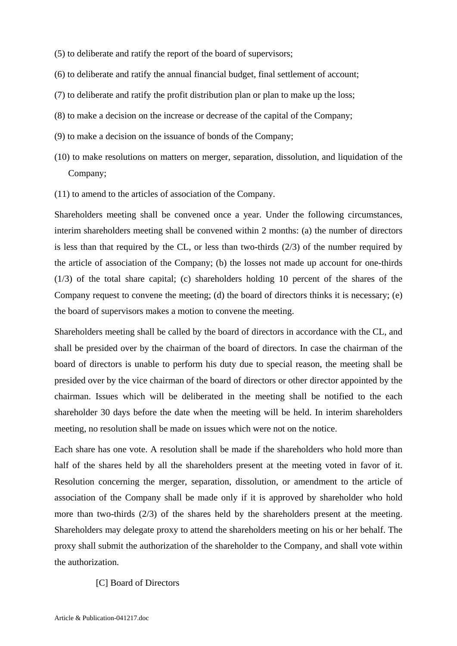- (5) to deliberate and ratify the report of the board of supervisors;
- (6) to deliberate and ratify the annual financial budget, final settlement of account;
- (7) to deliberate and ratify the profit distribution plan or plan to make up the loss;
- (8) to make a decision on the increase or decrease of the capital of the Company;
- (9) to make a decision on the issuance of bonds of the Company;
- (10) to make resolutions on matters on merger, separation, dissolution, and liquidation of the Company;
- (11) to amend to the articles of association of the Company.

Shareholders meeting shall be convened once a year. Under the following circumstances, interim shareholders meeting shall be convened within 2 months: (a) the number of directors is less than that required by the CL, or less than two-thirds (2/3) of the number required by the article of association of the Company; (b) the losses not made up account for one-thirds (1/3) of the total share capital; (c) shareholders holding 10 percent of the shares of the Company request to convene the meeting; (d) the board of directors thinks it is necessary; (e) the board of supervisors makes a motion to convene the meeting.

Shareholders meeting shall be called by the board of directors in accordance with the CL, and shall be presided over by the chairman of the board of directors. In case the chairman of the board of directors is unable to perform his duty due to special reason, the meeting shall be presided over by the vice chairman of the board of directors or other director appointed by the chairman. Issues which will be deliberated in the meeting shall be notified to the each shareholder 30 days before the date when the meeting will be held. In interim shareholders meeting, no resolution shall be made on issues which were not on the notice.

Each share has one vote. A resolution shall be made if the shareholders who hold more than half of the shares held by all the shareholders present at the meeting voted in favor of it. Resolution concerning the merger, separation, dissolution, or amendment to the article of association of the Company shall be made only if it is approved by shareholder who hold more than two-thirds  $(2/3)$  of the shares held by the shareholders present at the meeting. Shareholders may delegate proxy to attend the shareholders meeting on his or her behalf. The proxy shall submit the authorization of the shareholder to the Company, and shall vote within the authorization.

#### [C] Board of Directors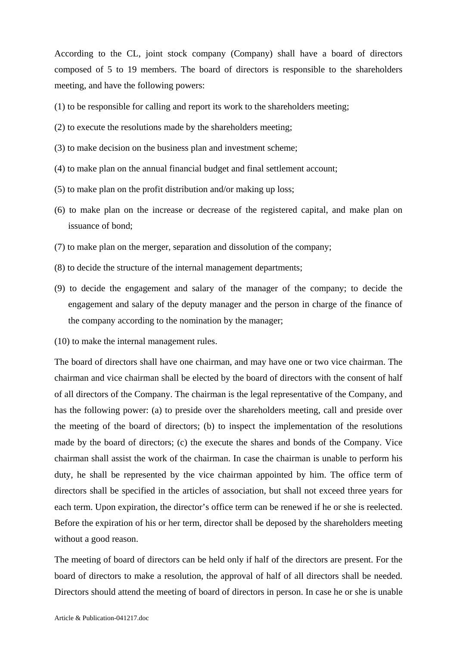According to the CL, joint stock company (Company) shall have a board of directors composed of 5 to 19 members. The board of directors is responsible to the shareholders meeting, and have the following powers:

- (1) to be responsible for calling and report its work to the shareholders meeting;
- (2) to execute the resolutions made by the shareholders meeting;
- (3) to make decision on the business plan and investment scheme;
- (4) to make plan on the annual financial budget and final settlement account;
- (5) to make plan on the profit distribution and/or making up loss;
- (6) to make plan on the increase or decrease of the registered capital, and make plan on issuance of bond;
- (7) to make plan on the merger, separation and dissolution of the company;
- (8) to decide the structure of the internal management departments;
- (9) to decide the engagement and salary of the manager of the company; to decide the engagement and salary of the deputy manager and the person in charge of the finance of the company according to the nomination by the manager;
- (10) to make the internal management rules.

The board of directors shall have one chairman, and may have one or two vice chairman. The chairman and vice chairman shall be elected by the board of directors with the consent of half of all directors of the Company. The chairman is the legal representative of the Company, and has the following power: (a) to preside over the shareholders meeting, call and preside over the meeting of the board of directors; (b) to inspect the implementation of the resolutions made by the board of directors; (c) the execute the shares and bonds of the Company. Vice chairman shall assist the work of the chairman. In case the chairman is unable to perform his duty, he shall be represented by the vice chairman appointed by him. The office term of directors shall be specified in the articles of association, but shall not exceed three years for each term. Upon expiration, the director's office term can be renewed if he or she is reelected. Before the expiration of his or her term, director shall be deposed by the shareholders meeting without a good reason.

The meeting of board of directors can be held only if half of the directors are present. For the board of directors to make a resolution, the approval of half of all directors shall be needed. Directors should attend the meeting of board of directors in person. In case he or she is unable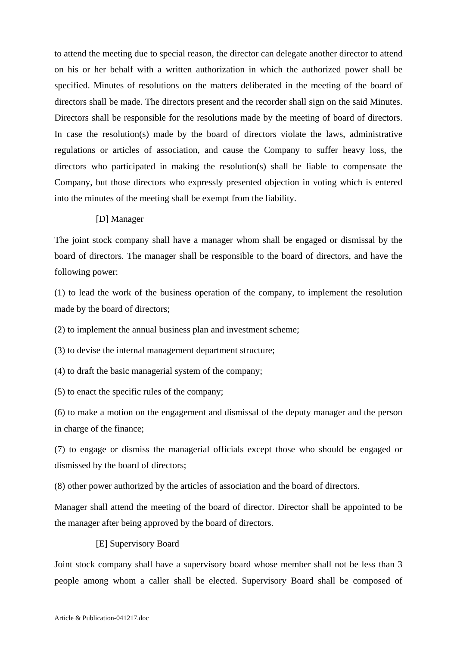to attend the meeting due to special reason, the director can delegate another director to attend on his or her behalf with a written authorization in which the authorized power shall be specified. Minutes of resolutions on the matters deliberated in the meeting of the board of directors shall be made. The directors present and the recorder shall sign on the said Minutes. Directors shall be responsible for the resolutions made by the meeting of board of directors. In case the resolution(s) made by the board of directors violate the laws, administrative regulations or articles of association, and cause the Company to suffer heavy loss, the directors who participated in making the resolution(s) shall be liable to compensate the Company, but those directors who expressly presented objection in voting which is entered into the minutes of the meeting shall be exempt from the liability.

#### [D] Manager

The joint stock company shall have a manager whom shall be engaged or dismissal by the board of directors. The manager shall be responsible to the board of directors, and have the following power:

(1) to lead the work of the business operation of the company, to implement the resolution made by the board of directors;

(2) to implement the annual business plan and investment scheme;

(3) to devise the internal management department structure;

(4) to draft the basic managerial system of the company;

(5) to enact the specific rules of the company;

(6) to make a motion on the engagement and dismissal of the deputy manager and the person in charge of the finance;

(7) to engage or dismiss the managerial officials except those who should be engaged or dismissed by the board of directors;

(8) other power authorized by the articles of association and the board of directors.

Manager shall attend the meeting of the board of director. Director shall be appointed to be the manager after being approved by the board of directors.

#### [E] Supervisory Board

Joint stock company shall have a supervisory board whose member shall not be less than 3 people among whom a caller shall be elected. Supervisory Board shall be composed of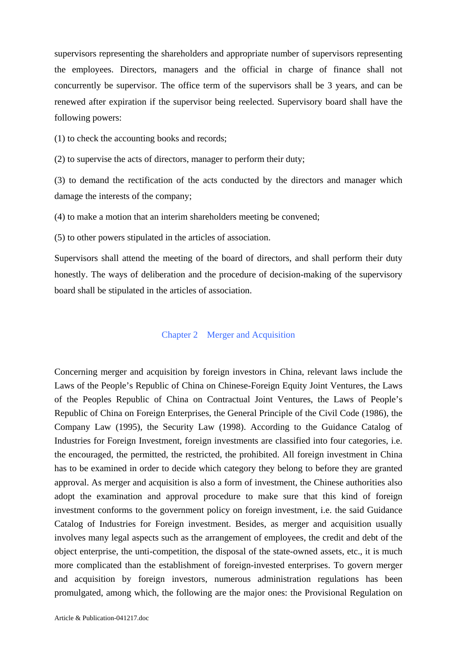supervisors representing the shareholders and appropriate number of supervisors representing the employees. Directors, managers and the official in charge of finance shall not concurrently be supervisor. The office term of the supervisors shall be 3 years, and can be renewed after expiration if the supervisor being reelected. Supervisory board shall have the following powers:

(1) to check the accounting books and records;

(2) to supervise the acts of directors, manager to perform their duty;

(3) to demand the rectification of the acts conducted by the directors and manager which damage the interests of the company;

(4) to make a motion that an interim shareholders meeting be convened;

(5) to other powers stipulated in the articles of association.

Supervisors shall attend the meeting of the board of directors, and shall perform their duty honestly. The ways of deliberation and the procedure of decision-making of the supervisory board shall be stipulated in the articles of association.

## Chapter 2 Merger and Acquisition

Concerning merger and acquisition by foreign investors in China, relevant laws include the Laws of the People's Republic of China on Chinese-Foreign Equity Joint Ventures, the Laws of the Peoples Republic of China on Contractual Joint Ventures, the Laws of People's Republic of China on Foreign Enterprises, the General Principle of the Civil Code (1986), the Company Law (1995), the Security Law (1998). According to the Guidance Catalog of Industries for Foreign Investment, foreign investments are classified into four categories, i.e. the encouraged, the permitted, the restricted, the prohibited. All foreign investment in China has to be examined in order to decide which category they belong to before they are granted approval. As merger and acquisition is also a form of investment, the Chinese authorities also adopt the examination and approval procedure to make sure that this kind of foreign investment conforms to the government policy on foreign investment, i.e. the said Guidance Catalog of Industries for Foreign investment. Besides, as merger and acquisition usually involves many legal aspects such as the arrangement of employees, the credit and debt of the object enterprise, the unti-competition, the disposal of the state-owned assets, etc., it is much more complicated than the establishment of foreign-invested enterprises. To govern merger and acquisition by foreign investors, numerous administration regulations has been promulgated, among which, the following are the major ones: the Provisional Regulation on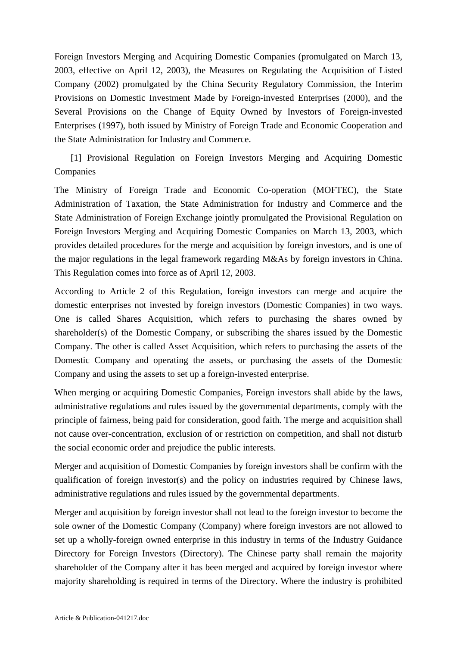Foreign Investors Merging and Acquiring Domestic Companies (promulgated on March 13, 2003, effective on April 12, 2003), the Measures on Regulating the Acquisition of Listed Company (2002) promulgated by the China Security Regulatory Commission, the Interim Provisions on Domestic Investment Made by Foreign-invested Enterprises (2000), and the Several Provisions on the Change of Equity Owned by Investors of Foreign-invested Enterprises (1997), both issued by Ministry of Foreign Trade and Economic Cooperation and the State Administration for Industry and Commerce.

 [1] Provisional Regulation on Foreign Investors Merging and Acquiring Domestic Companies

The Ministry of Foreign Trade and Economic Co-operation (MOFTEC), the State Administration of Taxation, the State Administration for Industry and Commerce and the State Administration of Foreign Exchange jointly promulgated the Provisional Regulation on Foreign Investors Merging and Acquiring Domestic Companies on March 13, 2003, which provides detailed procedures for the merge and acquisition by foreign investors, and is one of the major regulations in the legal framework regarding M&As by foreign investors in China. This Regulation comes into force as of April 12, 2003.

According to Article 2 of this Regulation, foreign investors can merge and acquire the domestic enterprises not invested by foreign investors (Domestic Companies) in two ways. One is called Shares Acquisition, which refers to purchasing the shares owned by shareholder(s) of the Domestic Company, or subscribing the shares issued by the Domestic Company. The other is called Asset Acquisition, which refers to purchasing the assets of the Domestic Company and operating the assets, or purchasing the assets of the Domestic Company and using the assets to set up a foreign-invested enterprise.

When merging or acquiring Domestic Companies, Foreign investors shall abide by the laws, administrative regulations and rules issued by the governmental departments, comply with the principle of fairness, being paid for consideration, good faith. The merge and acquisition shall not cause over-concentration, exclusion of or restriction on competition, and shall not disturb the social economic order and prejudice the public interests.

Merger and acquisition of Domestic Companies by foreign investors shall be confirm with the qualification of foreign investor(s) and the policy on industries required by Chinese laws, administrative regulations and rules issued by the governmental departments.

Merger and acquisition by foreign investor shall not lead to the foreign investor to become the sole owner of the Domestic Company (Company) where foreign investors are not allowed to set up a wholly-foreign owned enterprise in this industry in terms of the Industry Guidance Directory for Foreign Investors (Directory). The Chinese party shall remain the majority shareholder of the Company after it has been merged and acquired by foreign investor where majority shareholding is required in terms of the Directory. Where the industry is prohibited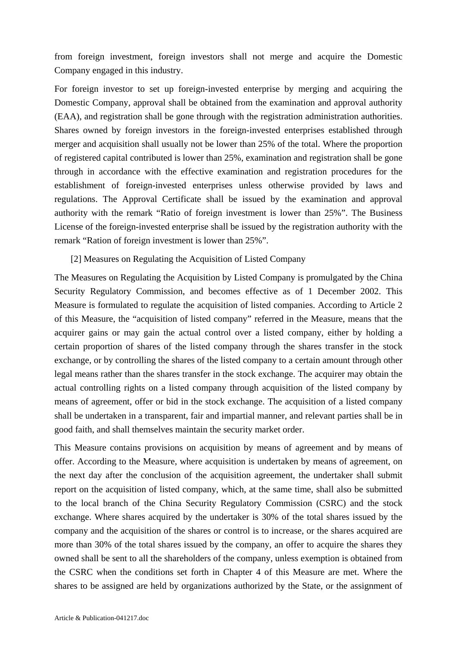from foreign investment, foreign investors shall not merge and acquire the Domestic Company engaged in this industry.

For foreign investor to set up foreign-invested enterprise by merging and acquiring the Domestic Company, approval shall be obtained from the examination and approval authority (EAA), and registration shall be gone through with the registration administration authorities. Shares owned by foreign investors in the foreign-invested enterprises established through merger and acquisition shall usually not be lower than 25% of the total. Where the proportion of registered capital contributed is lower than 25%, examination and registration shall be gone through in accordance with the effective examination and registration procedures for the establishment of foreign-invested enterprises unless otherwise provided by laws and regulations. The Approval Certificate shall be issued by the examination and approval authority with the remark "Ratio of foreign investment is lower than 25%". The Business License of the foreign-invested enterprise shall be issued by the registration authority with the remark "Ration of foreign investment is lower than 25%".

## [2] Measures on Regulating the Acquisition of Listed Company

The Measures on Regulating the Acquisition by Listed Company is promulgated by the China Security Regulatory Commission, and becomes effective as of 1 December 2002. This Measure is formulated to regulate the acquisition of listed companies. According to Article 2 of this Measure, the "acquisition of listed company" referred in the Measure, means that the acquirer gains or may gain the actual control over a listed company, either by holding a certain proportion of shares of the listed company through the shares transfer in the stock exchange, or by controlling the shares of the listed company to a certain amount through other legal means rather than the shares transfer in the stock exchange. The acquirer may obtain the actual controlling rights on a listed company through acquisition of the listed company by means of agreement, offer or bid in the stock exchange. The acquisition of a listed company shall be undertaken in a transparent, fair and impartial manner, and relevant parties shall be in good faith, and shall themselves maintain the security market order.

This Measure contains provisions on acquisition by means of agreement and by means of offer. According to the Measure, where acquisition is undertaken by means of agreement, on the next day after the conclusion of the acquisition agreement, the undertaker shall submit report on the acquisition of listed company, which, at the same time, shall also be submitted to the local branch of the China Security Regulatory Commission (CSRC) and the stock exchange. Where shares acquired by the undertaker is 30% of the total shares issued by the company and the acquisition of the shares or control is to increase, or the shares acquired are more than 30% of the total shares issued by the company, an offer to acquire the shares they owned shall be sent to all the shareholders of the company, unless exemption is obtained from the CSRC when the conditions set forth in Chapter 4 of this Measure are met. Where the shares to be assigned are held by organizations authorized by the State, or the assignment of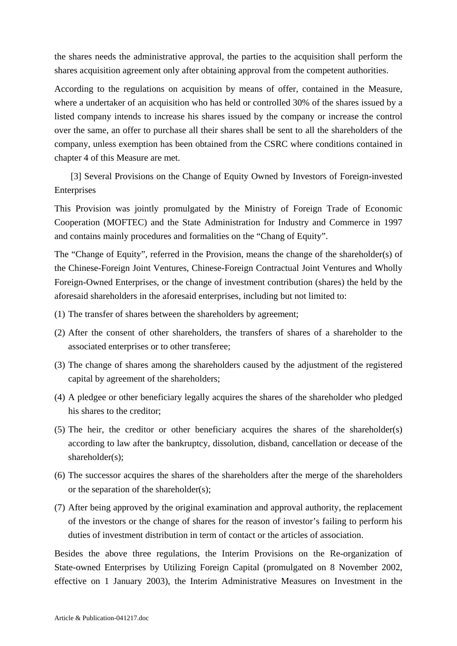the shares needs the administrative approval, the parties to the acquisition shall perform the shares acquisition agreement only after obtaining approval from the competent authorities.

According to the regulations on acquisition by means of offer, contained in the Measure, where a undertaker of an acquisition who has held or controlled 30% of the shares issued by a listed company intends to increase his shares issued by the company or increase the control over the same, an offer to purchase all their shares shall be sent to all the shareholders of the company, unless exemption has been obtained from the CSRC where conditions contained in chapter 4 of this Measure are met.

 [3] Several Provisions on the Change of Equity Owned by Investors of Foreign-invested Enterprises

This Provision was jointly promulgated by the Ministry of Foreign Trade of Economic Cooperation (MOFTEC) and the State Administration for Industry and Commerce in 1997 and contains mainly procedures and formalities on the "Chang of Equity".

The "Change of Equity", referred in the Provision, means the change of the shareholder(s) of the Chinese-Foreign Joint Ventures, Chinese-Foreign Contractual Joint Ventures and Wholly Foreign-Owned Enterprises, or the change of investment contribution (shares) the held by the aforesaid shareholders in the aforesaid enterprises, including but not limited to:

- (1) The transfer of shares between the shareholders by agreement;
- (2) After the consent of other shareholders, the transfers of shares of a shareholder to the associated enterprises or to other transferee;
- (3) The change of shares among the shareholders caused by the adjustment of the registered capital by agreement of the shareholders;
- (4) A pledgee or other beneficiary legally acquires the shares of the shareholder who pledged his shares to the creditor;
- (5) The heir, the creditor or other beneficiary acquires the shares of the shareholder(s) according to law after the bankruptcy, dissolution, disband, cancellation or decease of the shareholder(s);
- (6) The successor acquires the shares of the shareholders after the merge of the shareholders or the separation of the shareholder(s);
- (7) After being approved by the original examination and approval authority, the replacement of the investors or the change of shares for the reason of investor's failing to perform his duties of investment distribution in term of contact or the articles of association.

Besides the above three regulations, the Interim Provisions on the Re-organization of State-owned Enterprises by Utilizing Foreign Capital (promulgated on 8 November 2002, effective on 1 January 2003), the Interim Administrative Measures on Investment in the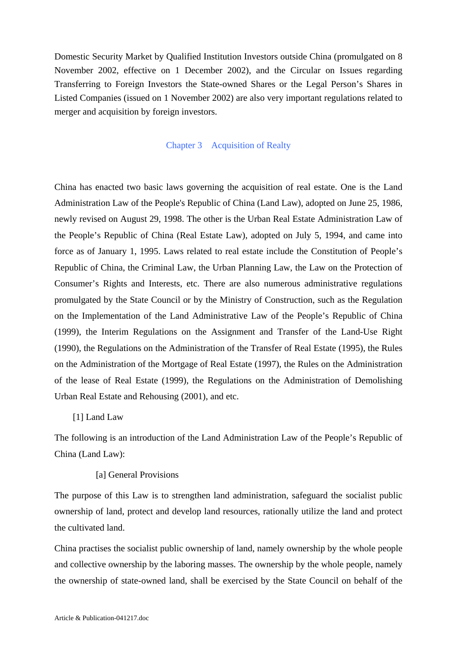Domestic Security Market by Qualified Institution Investors outside China (promulgated on 8 November 2002, effective on 1 December 2002), and the Circular on Issues regarding Transferring to Foreign Investors the State-owned Shares or the Legal Person's Shares in Listed Companies (issued on 1 November 2002) are also very important regulations related to merger and acquisition by foreign investors.

#### Chapter 3 Acquisition of Realty

China has enacted two basic laws governing the acquisition of real estate. One is the Land Administration Law of the People's Republic of China (Land Law), adopted on June 25, 1986, newly revised on August 29, 1998. The other is the Urban Real Estate Administration Law of the People's Republic of China (Real Estate Law), adopted on July 5, 1994, and came into force as of January 1, 1995. Laws related to real estate include the Constitution of People's Republic of China, the Criminal Law, the Urban Planning Law, the Law on the Protection of Consumer's Rights and Interests, etc. There are also numerous administrative regulations promulgated by the State Council or by the Ministry of Construction, such as the Regulation on the Implementation of the Land Administrative Law of the People's Republic of China (1999), the Interim Regulations on the Assignment and Transfer of the Land-Use Right (1990), the Regulations on the Administration of the Transfer of Real Estate (1995), the Rules on the Administration of the Mortgage of Real Estate (1997), the Rules on the Administration of the lease of Real Estate (1999), the Regulations on the Administration of Demolishing Urban Real Estate and Rehousing (2001), and etc.

#### [1] Land Law

The following is an introduction of the Land Administration Law of the People's Republic of China (Land Law):

#### [a] General Provisions

The purpose of this Law is to strengthen land administration, safeguard the socialist public ownership of land, protect and develop land resources, rationally utilize the land and protect the cultivated land.

China practises the socialist public ownership of land, namely ownership by the whole people and collective ownership by the laboring masses. The ownership by the whole people, namely the ownership of state-owned land, shall be exercised by the State Council on behalf of the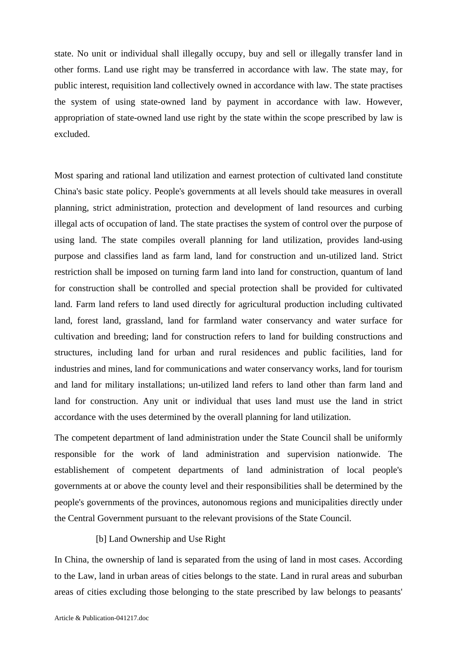state. No unit or individual shall illegally occupy, buy and sell or illegally transfer land in other forms. Land use right may be transferred in accordance with law. The state may, for public interest, requisition land collectively owned in accordance with law. The state practises the system of using state-owned land by payment in accordance with law. However, appropriation of state-owned land use right by the state within the scope prescribed by law is excluded.

Most sparing and rational land utilization and earnest protection of cultivated land constitute China's basic state policy. People's governments at all levels should take measures in overall planning, strict administration, protection and development of land resources and curbing illegal acts of occupation of land. The state practises the system of control over the purpose of using land. The state compiles overall planning for land utilization, provides land-using purpose and classifies land as farm land, land for construction and un-utilized land. Strict restriction shall be imposed on turning farm land into land for construction, quantum of land for construction shall be controlled and special protection shall be provided for cultivated land. Farm land refers to land used directly for agricultural production including cultivated land, forest land, grassland, land for farmland water conservancy and water surface for cultivation and breeding; land for construction refers to land for building constructions and structures, including land for urban and rural residences and public facilities, land for industries and mines, land for communications and water conservancy works, land for tourism and land for military installations; un-utilized land refers to land other than farm land and land for construction. Any unit or individual that uses land must use the land in strict accordance with the uses determined by the overall planning for land utilization.

The competent department of land administration under the State Council shall be uniformly responsible for the work of land administration and supervision nationwide. The establishement of competent departments of land administration of local people's governments at or above the county level and their responsibilities shall be determined by the people's governments of the provinces, autonomous regions and municipalities directly under the Central Government pursuant to the relevant provisions of the State Council.

## [b] Land Ownership and Use Right

In China, the ownership of land is separated from the using of land in most cases. According to the Law, land in urban areas of cities belongs to the state. Land in rural areas and suburban areas of cities excluding those belonging to the state prescribed by law belongs to peasants'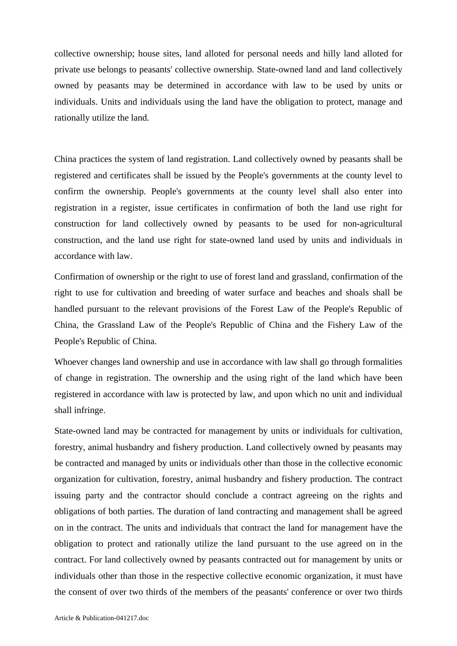collective ownership; house sites, land alloted for personal needs and hilly land alloted for private use belongs to peasants' collective ownership. State-owned land and land collectively owned by peasants may be determined in accordance with law to be used by units or individuals. Units and individuals using the land have the obligation to protect, manage and rationally utilize the land.

China practices the system of land registration. Land collectively owned by peasants shall be registered and certificates shall be issued by the People's governments at the county level to confirm the ownership. People's governments at the county level shall also enter into registration in a register, issue certificates in confirmation of both the land use right for construction for land collectively owned by peasants to be used for non-agricultural construction, and the land use right for state-owned land used by units and individuals in accordance with law.

Confirmation of ownership or the right to use of forest land and grassland, confirmation of the right to use for cultivation and breeding of water surface and beaches and shoals shall be handled pursuant to the relevant provisions of the Forest Law of the People's Republic of China, the Grassland Law of the People's Republic of China and the Fishery Law of the People's Republic of China.

Whoever changes land ownership and use in accordance with law shall go through formalities of change in registration. The ownership and the using right of the land which have been registered in accordance with law is protected by law, and upon which no unit and individual shall infringe.

State-owned land may be contracted for management by units or individuals for cultivation, forestry, animal husbandry and fishery production. Land collectively owned by peasants may be contracted and managed by units or individuals other than those in the collective economic organization for cultivation, forestry, animal husbandry and fishery production. The contract issuing party and the contractor should conclude a contract agreeing on the rights and obligations of both parties. The duration of land contracting and management shall be agreed on in the contract. The units and individuals that contract the land for management have the obligation to protect and rationally utilize the land pursuant to the use agreed on in the contract. For land collectively owned by peasants contracted out for management by units or individuals other than those in the respective collective economic organization, it must have the consent of over two thirds of the members of the peasants' conference or over two thirds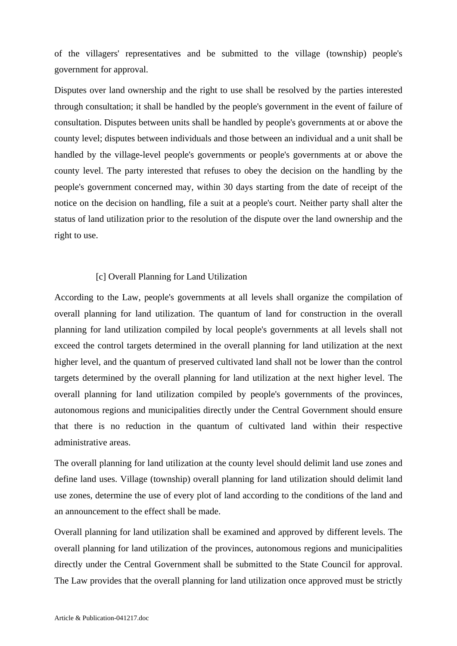of the villagers' representatives and be submitted to the village (township) people's government for approval.

Disputes over land ownership and the right to use shall be resolved by the parties interested through consultation; it shall be handled by the people's government in the event of failure of consultation. Disputes between units shall be handled by people's governments at or above the county level; disputes between individuals and those between an individual and a unit shall be handled by the village-level people's governments or people's governments at or above the county level. The party interested that refuses to obey the decision on the handling by the people's government concerned may, within 30 days starting from the date of receipt of the notice on the decision on handling, file a suit at a people's court. Neither party shall alter the status of land utilization prior to the resolution of the dispute over the land ownership and the right to use.

#### [c] Overall Planning for Land Utilization

According to the Law, people's governments at all levels shall organize the compilation of overall planning for land utilization. The quantum of land for construction in the overall planning for land utilization compiled by local people's governments at all levels shall not exceed the control targets determined in the overall planning for land utilization at the next higher level, and the quantum of preserved cultivated land shall not be lower than the control targets determined by the overall planning for land utilization at the next higher level. The overall planning for land utilization compiled by people's governments of the provinces, autonomous regions and municipalities directly under the Central Government should ensure that there is no reduction in the quantum of cultivated land within their respective administrative areas.

The overall planning for land utilization at the county level should delimit land use zones and define land uses. Village (township) overall planning for land utilization should delimit land use zones, determine the use of every plot of land according to the conditions of the land and an announcement to the effect shall be made.

Overall planning for land utilization shall be examined and approved by different levels. The overall planning for land utilization of the provinces, autonomous regions and municipalities directly under the Central Government shall be submitted to the State Council for approval. The Law provides that the overall planning for land utilization once approved must be strictly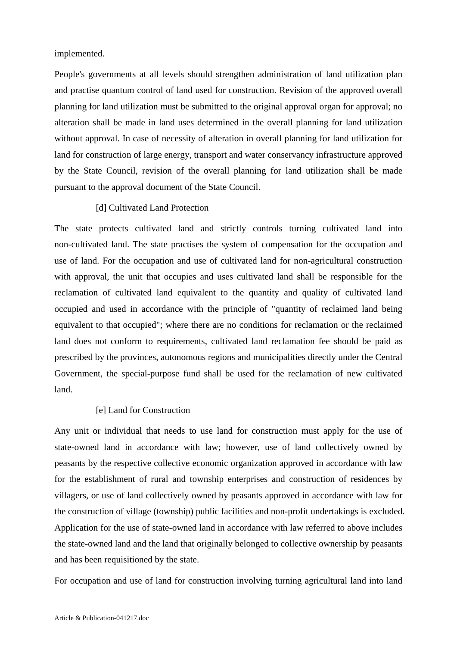implemented.

People's governments at all levels should strengthen administration of land utilization plan and practise quantum control of land used for construction. Revision of the approved overall planning for land utilization must be submitted to the original approval organ for approval; no alteration shall be made in land uses determined in the overall planning for land utilization without approval. In case of necessity of alteration in overall planning for land utilization for land for construction of large energy, transport and water conservancy infrastructure approved by the State Council, revision of the overall planning for land utilization shall be made pursuant to the approval document of the State Council.

#### [d] Cultivated Land Protection

The state protects cultivated land and strictly controls turning cultivated land into non-cultivated land. The state practises the system of compensation for the occupation and use of land. For the occupation and use of cultivated land for non-agricultural construction with approval, the unit that occupies and uses cultivated land shall be responsible for the reclamation of cultivated land equivalent to the quantity and quality of cultivated land occupied and used in accordance with the principle of "quantity of reclaimed land being equivalent to that occupied"; where there are no conditions for reclamation or the reclaimed land does not conform to requirements, cultivated land reclamation fee should be paid as prescribed by the provinces, autonomous regions and municipalities directly under the Central Government, the special-purpose fund shall be used for the reclamation of new cultivated land.

#### [e] Land for Construction

Any unit or individual that needs to use land for construction must apply for the use of state-owned land in accordance with law; however, use of land collectively owned by peasants by the respective collective economic organization approved in accordance with law for the establishment of rural and township enterprises and construction of residences by villagers, or use of land collectively owned by peasants approved in accordance with law for the construction of village (township) public facilities and non-profit undertakings is excluded. Application for the use of state-owned land in accordance with law referred to above includes the state-owned land and the land that originally belonged to collective ownership by peasants and has been requisitioned by the state.

For occupation and use of land for construction involving turning agricultural land into land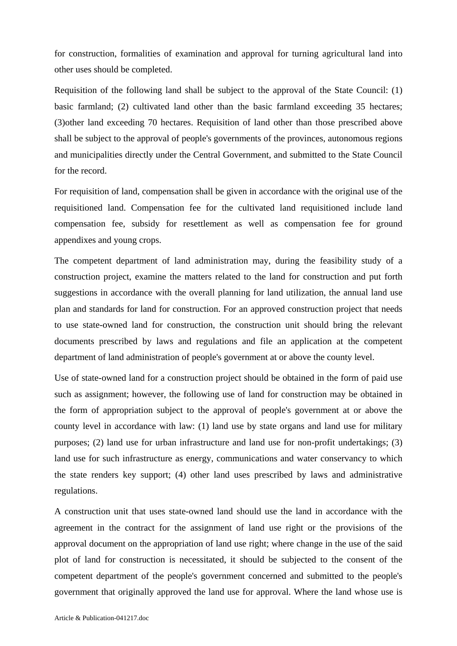for construction, formalities of examination and approval for turning agricultural land into other uses should be completed.

Requisition of the following land shall be subject to the approval of the State Council: (1) basic farmland; (2) cultivated land other than the basic farmland exceeding 35 hectares; (3)other land exceeding 70 hectares. Requisition of land other than those prescribed above shall be subject to the approval of people's governments of the provinces, autonomous regions and municipalities directly under the Central Government, and submitted to the State Council for the record.

For requisition of land, compensation shall be given in accordance with the original use of the requisitioned land. Compensation fee for the cultivated land requisitioned include land compensation fee, subsidy for resettlement as well as compensation fee for ground appendixes and young crops.

The competent department of land administration may, during the feasibility study of a construction project, examine the matters related to the land for construction and put forth suggestions in accordance with the overall planning for land utilization, the annual land use plan and standards for land for construction. For an approved construction project that needs to use state-owned land for construction, the construction unit should bring the relevant documents prescribed by laws and regulations and file an application at the competent department of land administration of people's government at or above the county level.

Use of state-owned land for a construction project should be obtained in the form of paid use such as assignment; however, the following use of land for construction may be obtained in the form of appropriation subject to the approval of people's government at or above the county level in accordance with law: (1) land use by state organs and land use for military purposes; (2) land use for urban infrastructure and land use for non-profit undertakings; (3) land use for such infrastructure as energy, communications and water conservancy to which the state renders key support; (4) other land uses prescribed by laws and administrative regulations.

A construction unit that uses state-owned land should use the land in accordance with the agreement in the contract for the assignment of land use right or the provisions of the approval document on the appropriation of land use right; where change in the use of the said plot of land for construction is necessitated, it should be subjected to the consent of the competent department of the people's government concerned and submitted to the people's government that originally approved the land use for approval. Where the land whose use is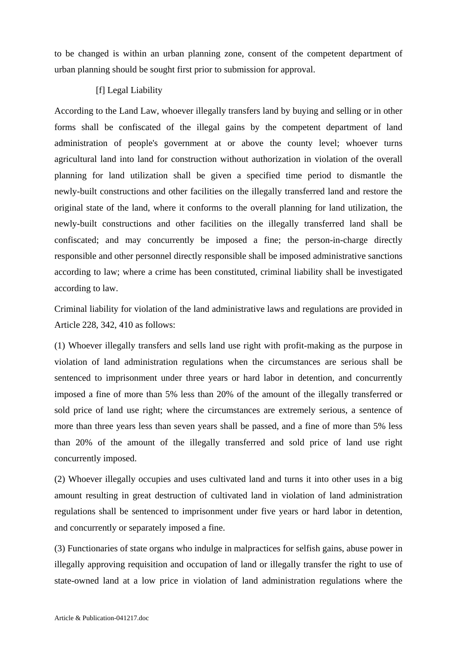to be changed is within an urban planning zone, consent of the competent department of urban planning should be sought first prior to submission for approval.

## [f] Legal Liability

According to the Land Law, whoever illegally transfers land by buying and selling or in other forms shall be confiscated of the illegal gains by the competent department of land administration of people's government at or above the county level; whoever turns agricultural land into land for construction without authorization in violation of the overall planning for land utilization shall be given a specified time period to dismantle the newly-built constructions and other facilities on the illegally transferred land and restore the original state of the land, where it conforms to the overall planning for land utilization, the newly-built constructions and other facilities on the illegally transferred land shall be confiscated; and may concurrently be imposed a fine; the person-in-charge directly responsible and other personnel directly responsible shall be imposed administrative sanctions according to law; where a crime has been constituted, criminal liability shall be investigated according to law.

Criminal liability for violation of the land administrative laws and regulations are provided in Article 228, 342, 410 as follows:

(1) Whoever illegally transfers and sells land use right with profit-making as the purpose in violation of land administration regulations when the circumstances are serious shall be sentenced to imprisonment under three years or hard labor in detention, and concurrently imposed a fine of more than 5% less than 20% of the amount of the illegally transferred or sold price of land use right; where the circumstances are extremely serious, a sentence of more than three years less than seven years shall be passed, and a fine of more than 5% less than 20% of the amount of the illegally transferred and sold price of land use right concurrently imposed.

(2) Whoever illegally occupies and uses cultivated land and turns it into other uses in a big amount resulting in great destruction of cultivated land in violation of land administration regulations shall be sentenced to imprisonment under five years or hard labor in detention, and concurrently or separately imposed a fine.

(3) Functionaries of state organs who indulge in malpractices for selfish gains, abuse power in illegally approving requisition and occupation of land or illegally transfer the right to use of state-owned land at a low price in violation of land administration regulations where the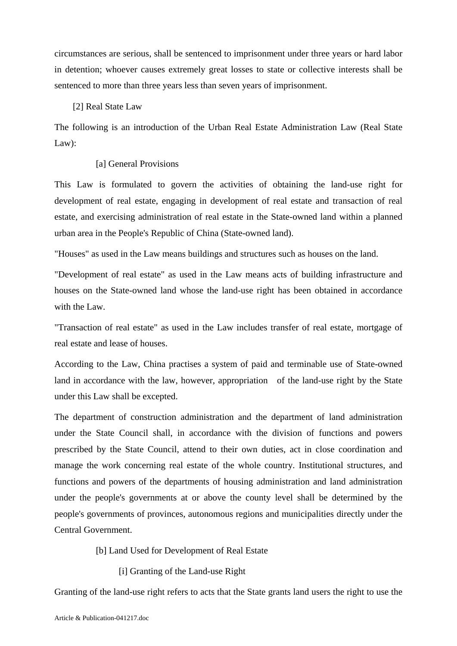circumstances are serious, shall be sentenced to imprisonment under three years or hard labor in detention; whoever causes extremely great losses to state or collective interests shall be sentenced to more than three years less than seven years of imprisonment.

#### [2] Real State Law

The following is an introduction of the Urban Real Estate Administration Law (Real State Law):

#### [a] General Provisions

This Law is formulated to govern the activities of obtaining the land-use right for development of real estate, engaging in development of real estate and transaction of real estate, and exercising administration of real estate in the State-owned land within a planned urban area in the People's Republic of China (State-owned land).

"Houses" as used in the Law means buildings and structures such as houses on the land.

"Development of real estate" as used in the Law means acts of building infrastructure and houses on the State-owned land whose the land-use right has been obtained in accordance with the Law.

"Transaction of real estate" as used in the Law includes transfer of real estate, mortgage of real estate and lease of houses.

According to the Law, China practises a system of paid and terminable use of State-owned land in accordance with the law, however, appropriation of the land-use right by the State under this Law shall be excepted.

The department of construction administration and the department of land administration under the State Council shall, in accordance with the division of functions and powers prescribed by the State Council, attend to their own duties, act in close coordination and manage the work concerning real estate of the whole country. Institutional structures, and functions and powers of the departments of housing administration and land administration under the people's governments at or above the county level shall be determined by the people's governments of provinces, autonomous regions and municipalities directly under the Central Government.

## [b] Land Used for Development of Real Estate

[i] Granting of the Land-use Right

Granting of the land-use right refers to acts that the State grants land users the right to use the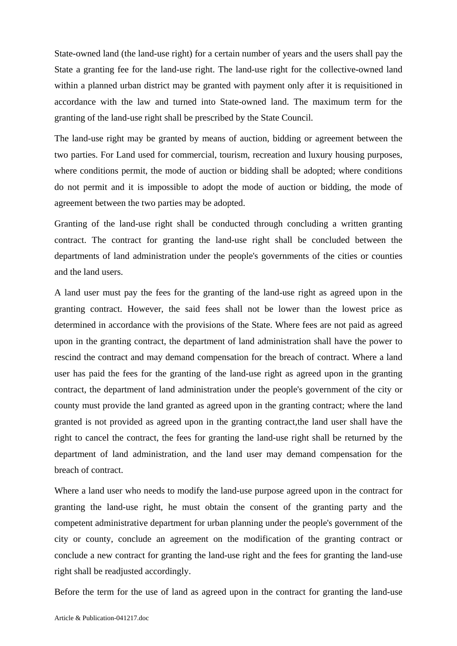State-owned land (the land-use right) for a certain number of years and the users shall pay the State a granting fee for the land-use right. The land-use right for the collective-owned land within a planned urban district may be granted with payment only after it is requisitioned in accordance with the law and turned into State-owned land. The maximum term for the granting of the land-use right shall be prescribed by the State Council.

The land-use right may be granted by means of auction, bidding or agreement between the two parties. For Land used for commercial, tourism, recreation and luxury housing purposes, where conditions permit, the mode of auction or bidding shall be adopted; where conditions do not permit and it is impossible to adopt the mode of auction or bidding, the mode of agreement between the two parties may be adopted.

Granting of the land-use right shall be conducted through concluding a written granting contract. The contract for granting the land-use right shall be concluded between the departments of land administration under the people's governments of the cities or counties and the land users.

A land user must pay the fees for the granting of the land-use right as agreed upon in the granting contract. However, the said fees shall not be lower than the lowest price as determined in accordance with the provisions of the State. Where fees are not paid as agreed upon in the granting contract, the department of land administration shall have the power to rescind the contract and may demand compensation for the breach of contract. Where a land user has paid the fees for the granting of the land-use right as agreed upon in the granting contract, the department of land administration under the people's government of the city or county must provide the land granted as agreed upon in the granting contract; where the land granted is not provided as agreed upon in the granting contract,the land user shall have the right to cancel the contract, the fees for granting the land-use right shall be returned by the department of land administration, and the land user may demand compensation for the breach of contract.

Where a land user who needs to modify the land-use purpose agreed upon in the contract for granting the land-use right, he must obtain the consent of the granting party and the competent administrative department for urban planning under the people's government of the city or county, conclude an agreement on the modification of the granting contract or conclude a new contract for granting the land-use right and the fees for granting the land-use right shall be readjusted accordingly.

Before the term for the use of land as agreed upon in the contract for granting the land-use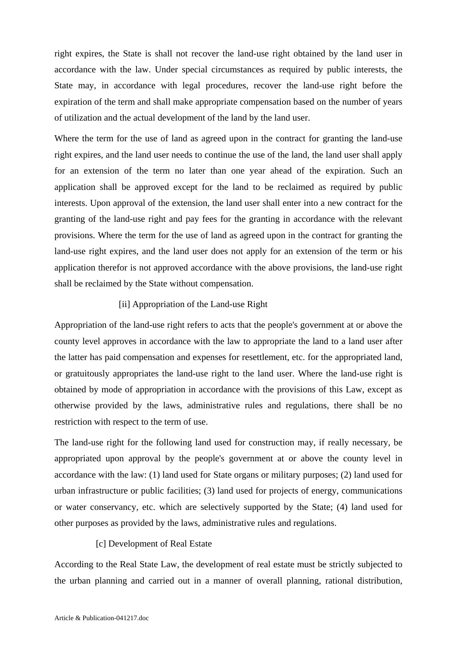right expires, the State is shall not recover the land-use right obtained by the land user in accordance with the law. Under special circumstances as required by public interests, the State may, in accordance with legal procedures, recover the land-use right before the expiration of the term and shall make appropriate compensation based on the number of years of utilization and the actual development of the land by the land user.

Where the term for the use of land as agreed upon in the contract for granting the land-use right expires, and the land user needs to continue the use of the land, the land user shall apply for an extension of the term no later than one year ahead of the expiration. Such an application shall be approved except for the land to be reclaimed as required by public interests. Upon approval of the extension, the land user shall enter into a new contract for the granting of the land-use right and pay fees for the granting in accordance with the relevant provisions. Where the term for the use of land as agreed upon in the contract for granting the land-use right expires, and the land user does not apply for an extension of the term or his application therefor is not approved accordance with the above provisions, the land-use right shall be reclaimed by the State without compensation.

## [ii] Appropriation of the Land-use Right

Appropriation of the land-use right refers to acts that the people's government at or above the county level approves in accordance with the law to appropriate the land to a land user after the latter has paid compensation and expenses for resettlement, etc. for the appropriated land, or gratuitously appropriates the land-use right to the land user. Where the land-use right is obtained by mode of appropriation in accordance with the provisions of this Law, except as otherwise provided by the laws, administrative rules and regulations, there shall be no restriction with respect to the term of use.

The land-use right for the following land used for construction may, if really necessary, be appropriated upon approval by the people's government at or above the county level in accordance with the law: (1) land used for State organs or military purposes; (2) land used for urban infrastructure or public facilities; (3) land used for projects of energy, communications or water conservancy, etc. which are selectively supported by the State; (4) land used for other purposes as provided by the laws, administrative rules and regulations.

## [c] Development of Real Estate

According to the Real State Law, the development of real estate must be strictly subjected to the urban planning and carried out in a manner of overall planning, rational distribution,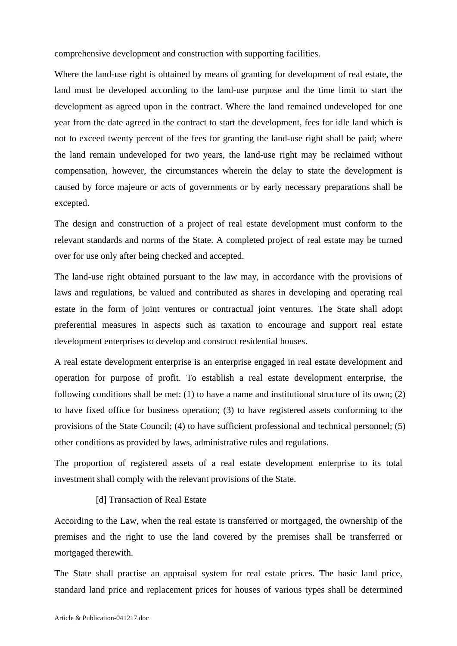comprehensive development and construction with supporting facilities.

Where the land-use right is obtained by means of granting for development of real estate, the land must be developed according to the land-use purpose and the time limit to start the development as agreed upon in the contract. Where the land remained undeveloped for one year from the date agreed in the contract to start the development, fees for idle land which is not to exceed twenty percent of the fees for granting the land-use right shall be paid; where the land remain undeveloped for two years, the land-use right may be reclaimed without compensation, however, the circumstances wherein the delay to state the development is caused by force majeure or acts of governments or by early necessary preparations shall be excepted.

The design and construction of a project of real estate development must conform to the relevant standards and norms of the State. A completed project of real estate may be turned over for use only after being checked and accepted.

The land-use right obtained pursuant to the law may, in accordance with the provisions of laws and regulations, be valued and contributed as shares in developing and operating real estate in the form of joint ventures or contractual joint ventures. The State shall adopt preferential measures in aspects such as taxation to encourage and support real estate development enterprises to develop and construct residential houses.

A real estate development enterprise is an enterprise engaged in real estate development and operation for purpose of profit. To establish a real estate development enterprise, the following conditions shall be met: (1) to have a name and institutional structure of its own; (2) to have fixed office for business operation; (3) to have registered assets conforming to the provisions of the State Council; (4) to have sufficient professional and technical personnel; (5) other conditions as provided by laws, administrative rules and regulations.

The proportion of registered assets of a real estate development enterprise to its total investment shall comply with the relevant provisions of the State.

## [d] Transaction of Real Estate

According to the Law, when the real estate is transferred or mortgaged, the ownership of the premises and the right to use the land covered by the premises shall be transferred or mortgaged therewith.

The State shall practise an appraisal system for real estate prices. The basic land price, standard land price and replacement prices for houses of various types shall be determined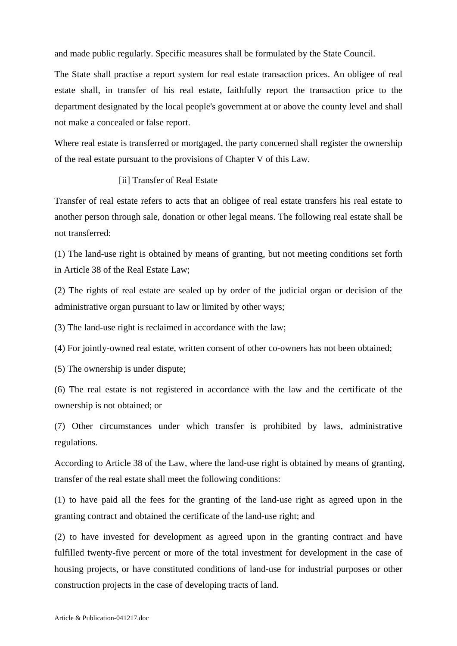and made public regularly. Specific measures shall be formulated by the State Council.

The State shall practise a report system for real estate transaction prices. An obligee of real estate shall, in transfer of his real estate, faithfully report the transaction price to the department designated by the local people's government at or above the county level and shall not make a concealed or false report.

Where real estate is transferred or mortgaged, the party concerned shall register the ownership of the real estate pursuant to the provisions of Chapter V of this Law.

## [ii] Transfer of Real Estate

Transfer of real estate refers to acts that an obligee of real estate transfers his real estate to another person through sale, donation or other legal means. The following real estate shall be not transferred:

(1) The land-use right is obtained by means of granting, but not meeting conditions set forth in Article 38 of the Real Estate Law;

(2) The rights of real estate are sealed up by order of the judicial organ or decision of the administrative organ pursuant to law or limited by other ways;

(3) The land-use right is reclaimed in accordance with the law;

(4) For jointly-owned real estate, written consent of other co-owners has not been obtained;

(5) The ownership is under dispute;

(6) The real estate is not registered in accordance with the law and the certificate of the ownership is not obtained; or

(7) Other circumstances under which transfer is prohibited by laws, administrative regulations.

According to Article 38 of the Law, where the land-use right is obtained by means of granting, transfer of the real estate shall meet the following conditions:

(1) to have paid all the fees for the granting of the land-use right as agreed upon in the granting contract and obtained the certificate of the land-use right; and

(2) to have invested for development as agreed upon in the granting contract and have fulfilled twenty-five percent or more of the total investment for development in the case of housing projects, or have constituted conditions of land-use for industrial purposes or other construction projects in the case of developing tracts of land.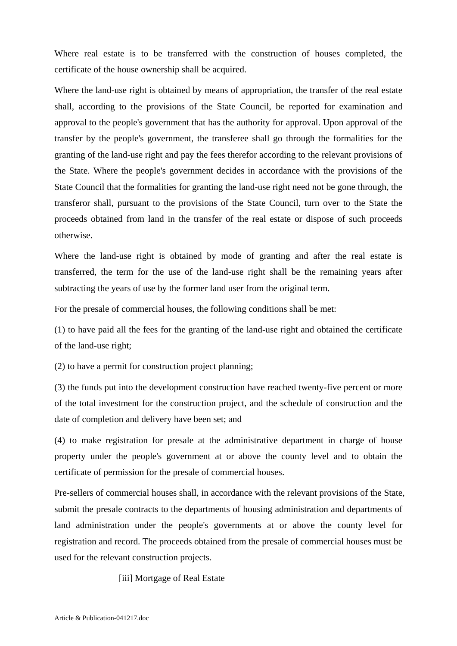Where real estate is to be transferred with the construction of houses completed, the certificate of the house ownership shall be acquired.

Where the land-use right is obtained by means of appropriation, the transfer of the real estate shall, according to the provisions of the State Council, be reported for examination and approval to the people's government that has the authority for approval. Upon approval of the transfer by the people's government, the transferee shall go through the formalities for the granting of the land-use right and pay the fees therefor according to the relevant provisions of the State. Where the people's government decides in accordance with the provisions of the State Council that the formalities for granting the land-use right need not be gone through, the transferor shall, pursuant to the provisions of the State Council, turn over to the State the proceeds obtained from land in the transfer of the real estate or dispose of such proceeds otherwise.

Where the land-use right is obtained by mode of granting and after the real estate is transferred, the term for the use of the land-use right shall be the remaining years after subtracting the years of use by the former land user from the original term.

For the presale of commercial houses, the following conditions shall be met:

(1) to have paid all the fees for the granting of the land-use right and obtained the certificate of the land-use right;

(2) to have a permit for construction project planning;

(3) the funds put into the development construction have reached twenty-five percent or more of the total investment for the construction project, and the schedule of construction and the date of completion and delivery have been set; and

(4) to make registration for presale at the administrative department in charge of house property under the people's government at or above the county level and to obtain the certificate of permission for the presale of commercial houses.

Pre-sellers of commercial houses shall, in accordance with the relevant provisions of the State, submit the presale contracts to the departments of housing administration and departments of land administration under the people's governments at or above the county level for registration and record. The proceeds obtained from the presale of commercial houses must be used for the relevant construction projects.

[iii] Mortgage of Real Estate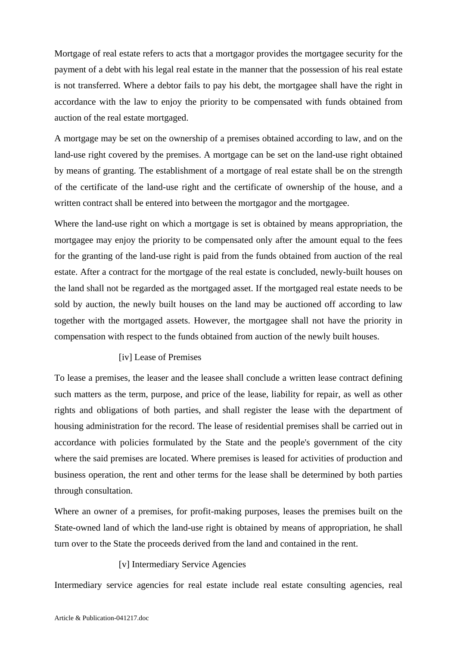Mortgage of real estate refers to acts that a mortgagor provides the mortgagee security for the payment of a debt with his legal real estate in the manner that the possession of his real estate is not transferred. Where a debtor fails to pay his debt, the mortgagee shall have the right in accordance with the law to enjoy the priority to be compensated with funds obtained from auction of the real estate mortgaged.

A mortgage may be set on the ownership of a premises obtained according to law, and on the land-use right covered by the premises. A mortgage can be set on the land-use right obtained by means of granting. The establishment of a mortgage of real estate shall be on the strength of the certificate of the land-use right and the certificate of ownership of the house, and a written contract shall be entered into between the mortgagor and the mortgagee.

Where the land-use right on which a mortgage is set is obtained by means appropriation, the mortgagee may enjoy the priority to be compensated only after the amount equal to the fees for the granting of the land-use right is paid from the funds obtained from auction of the real estate. After a contract for the mortgage of the real estate is concluded, newly-built houses on the land shall not be regarded as the mortgaged asset. If the mortgaged real estate needs to be sold by auction, the newly built houses on the land may be auctioned off according to law together with the mortgaged assets. However, the mortgagee shall not have the priority in compensation with respect to the funds obtained from auction of the newly built houses.

### [iv] Lease of Premises

To lease a premises, the leaser and the leasee shall conclude a written lease contract defining such matters as the term, purpose, and price of the lease, liability for repair, as well as other rights and obligations of both parties, and shall register the lease with the department of housing administration for the record. The lease of residential premises shall be carried out in accordance with policies formulated by the State and the people's government of the city where the said premises are located. Where premises is leased for activities of production and business operation, the rent and other terms for the lease shall be determined by both parties through consultation.

Where an owner of a premises, for profit-making purposes, leases the premises built on the State-owned land of which the land-use right is obtained by means of appropriation, he shall turn over to the State the proceeds derived from the land and contained in the rent.

### [v] Intermediary Service Agencies

Intermediary service agencies for real estate include real estate consulting agencies, real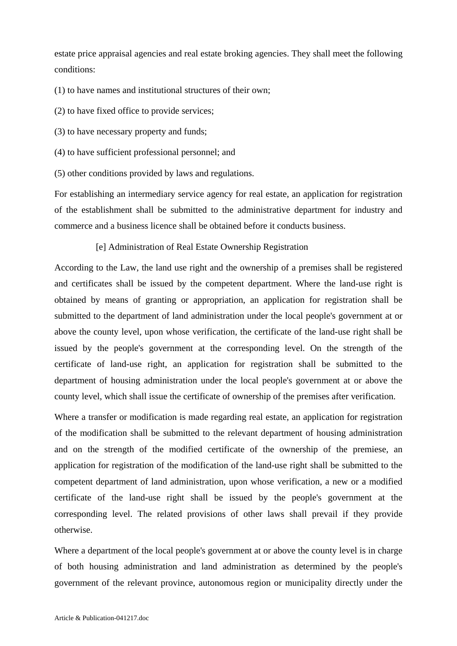estate price appraisal agencies and real estate broking agencies. They shall meet the following conditions:

(1) to have names and institutional structures of their own;

(2) to have fixed office to provide services;

(3) to have necessary property and funds;

- (4) to have sufficient professional personnel; and
- (5) other conditions provided by laws and regulations.

For establishing an intermediary service agency for real estate, an application for registration of the establishment shall be submitted to the administrative department for industry and commerce and a business licence shall be obtained before it conducts business.

[e] Administration of Real Estate Ownership Registration

According to the Law, the land use right and the ownership of a premises shall be registered and certificates shall be issued by the competent department. Where the land-use right is obtained by means of granting or appropriation, an application for registration shall be submitted to the department of land administration under the local people's government at or above the county level, upon whose verification, the certificate of the land-use right shall be issued by the people's government at the corresponding level. On the strength of the certificate of land-use right, an application for registration shall be submitted to the department of housing administration under the local people's government at or above the county level, which shall issue the certificate of ownership of the premises after verification.

Where a transfer or modification is made regarding real estate, an application for registration of the modification shall be submitted to the relevant department of housing administration and on the strength of the modified certificate of the ownership of the premiese, an application for registration of the modification of the land-use right shall be submitted to the competent department of land administration, upon whose verification, a new or a modified certificate of the land-use right shall be issued by the people's government at the corresponding level. The related provisions of other laws shall prevail if they provide otherwise.

Where a department of the local people's government at or above the county level is in charge of both housing administration and land administration as determined by the people's government of the relevant province, autonomous region or municipality directly under the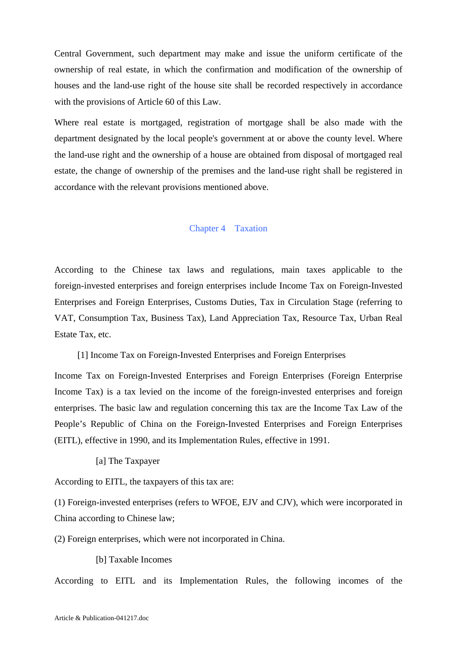Central Government, such department may make and issue the uniform certificate of the ownership of real estate, in which the confirmation and modification of the ownership of houses and the land-use right of the house site shall be recorded respectively in accordance with the provisions of Article 60 of this Law.

Where real estate is mortgaged, registration of mortgage shall be also made with the department designated by the local people's government at or above the county level. Where the land-use right and the ownership of a house are obtained from disposal of mortgaged real estate, the change of ownership of the premises and the land-use right shall be registered in accordance with the relevant provisions mentioned above.

#### Chapter 4 Taxation

According to the Chinese tax laws and regulations, main taxes applicable to the foreign-invested enterprises and foreign enterprises include Income Tax on Foreign-Invested Enterprises and Foreign Enterprises, Customs Duties, Tax in Circulation Stage (referring to VAT, Consumption Tax, Business Tax), Land Appreciation Tax, Resource Tax, Urban Real Estate Tax, etc.

[1] Income Tax on Foreign-Invested Enterprises and Foreign Enterprises

Income Tax on Foreign-Invested Enterprises and Foreign Enterprises (Foreign Enterprise Income Tax) is a tax levied on the income of the foreign-invested enterprises and foreign enterprises. The basic law and regulation concerning this tax are the Income Tax Law of the People's Republic of China on the Foreign-Invested Enterprises and Foreign Enterprises (EITL), effective in 1990, and its Implementation Rules, effective in 1991.

[a] The Taxpayer

According to EITL, the taxpayers of this tax are:

(1) Foreign-invested enterprises (refers to WFOE, EJV and CJV), which were incorporated in China according to Chinese law;

(2) Foreign enterprises, which were not incorporated in China.

[b] Taxable Incomes

According to EITL and its Implementation Rules, the following incomes of the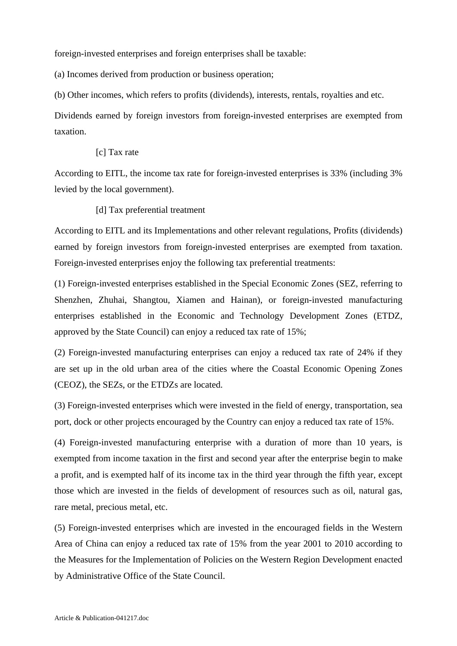foreign-invested enterprises and foreign enterprises shall be taxable:

(a) Incomes derived from production or business operation;

(b) Other incomes, which refers to profits (dividends), interests, rentals, royalties and etc.

Dividends earned by foreign investors from foreign-invested enterprises are exempted from taxation.

## [c] Tax rate

According to EITL, the income tax rate for foreign-invested enterprises is 33% (including 3% levied by the local government).

[d] Tax preferential treatment

According to EITL and its Implementations and other relevant regulations, Profits (dividends) earned by foreign investors from foreign-invested enterprises are exempted from taxation. Foreign-invested enterprises enjoy the following tax preferential treatments:

(1) Foreign-invested enterprises established in the Special Economic Zones (SEZ, referring to Shenzhen, Zhuhai, Shangtou, Xiamen and Hainan), or foreign-invested manufacturing enterprises established in the Economic and Technology Development Zones (ETDZ, approved by the State Council) can enjoy a reduced tax rate of 15%;

(2) Foreign-invested manufacturing enterprises can enjoy a reduced tax rate of 24% if they are set up in the old urban area of the cities where the Coastal Economic Opening Zones (CEOZ), the SEZs, or the ETDZs are located.

(3) Foreign-invested enterprises which were invested in the field of energy, transportation, sea port, dock or other projects encouraged by the Country can enjoy a reduced tax rate of 15%.

(4) Foreign-invested manufacturing enterprise with a duration of more than 10 years, is exempted from income taxation in the first and second year after the enterprise begin to make a profit, and is exempted half of its income tax in the third year through the fifth year, except those which are invested in the fields of development of resources such as oil, natural gas, rare metal, precious metal, etc.

(5) Foreign-invested enterprises which are invested in the encouraged fields in the Western Area of China can enjoy a reduced tax rate of 15% from the year 2001 to 2010 according to the Measures for the Implementation of Policies on the Western Region Development enacted by Administrative Office of the State Council.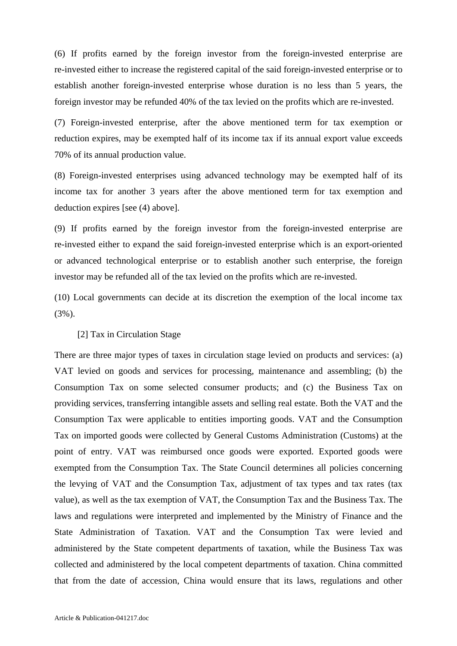(6) If profits earned by the foreign investor from the foreign-invested enterprise are re-invested either to increase the registered capital of the said foreign-invested enterprise or to establish another foreign-invested enterprise whose duration is no less than 5 years, the foreign investor may be refunded 40% of the tax levied on the profits which are re-invested.

(7) Foreign-invested enterprise, after the above mentioned term for tax exemption or reduction expires, may be exempted half of its income tax if its annual export value exceeds 70% of its annual production value.

(8) Foreign-invested enterprises using advanced technology may be exempted half of its income tax for another 3 years after the above mentioned term for tax exemption and deduction expires [see (4) above].

(9) If profits earned by the foreign investor from the foreign-invested enterprise are re-invested either to expand the said foreign-invested enterprise which is an export-oriented or advanced technological enterprise or to establish another such enterprise, the foreign investor may be refunded all of the tax levied on the profits which are re-invested.

(10) Local governments can decide at its discretion the exemption of the local income tax (3%).

## [2] Tax in Circulation Stage

There are three major types of taxes in circulation stage levied on products and services: (a) VAT levied on goods and services for processing, maintenance and assembling; (b) the Consumption Tax on some selected consumer products; and (c) the Business Tax on providing services, transferring intangible assets and selling real estate. Both the VAT and the Consumption Tax were applicable to entities importing goods. VAT and the Consumption Tax on imported goods were collected by General Customs Administration (Customs) at the point of entry. VAT was reimbursed once goods were exported. Exported goods were exempted from the Consumption Tax. The State Council determines all policies concerning the levying of VAT and the Consumption Tax, adjustment of tax types and tax rates (tax value), as well as the tax exemption of VAT, the Consumption Tax and the Business Tax. The laws and regulations were interpreted and implemented by the Ministry of Finance and the State Administration of Taxation. VAT and the Consumption Tax were levied and administered by the State competent departments of taxation, while the Business Tax was collected and administered by the local competent departments of taxation. China committed that from the date of accession, China would ensure that its laws, regulations and other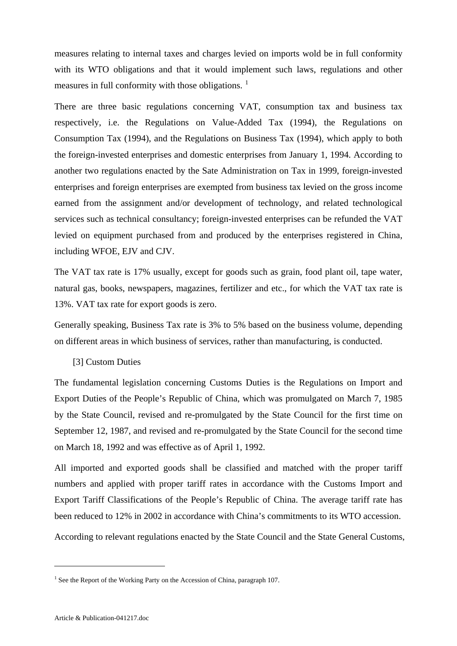measures relating to internal taxes and charges levied on imports wold be in full conformity with its WTO obligations and that it would implement such laws, regulations and other measures in full conformity with those obligations.<sup>[1](#page-43-0)</sup>

There are three basic regulations concerning VAT, consumption tax and business tax respectively, i.e. the Regulations on Value-Added Tax (1994), the Regulations on Consumption Tax (1994), and the Regulations on Business Tax (1994), which apply to both the foreign-invested enterprises and domestic enterprises from January 1, 1994. According to another two regulations enacted by the Sate Administration on Tax in 1999, foreign-invested enterprises and foreign enterprises are exempted from business tax levied on the gross income earned from the assignment and/or development of technology, and related technological services such as technical consultancy; foreign-invested enterprises can be refunded the VAT levied on equipment purchased from and produced by the enterprises registered in China, including WFOE, EJV and CJV.

The VAT tax rate is 17% usually, except for goods such as grain, food plant oil, tape water, natural gas, books, newspapers, magazines, fertilizer and etc., for which the VAT tax rate is 13%. VAT tax rate for export goods is zero.

Generally speaking, Business Tax rate is 3% to 5% based on the business volume, depending on different areas in which business of services, rather than manufacturing, is conducted.

### [3] Custom Duties

The fundamental legislation concerning Customs Duties is the Regulations on Import and Export Duties of the People's Republic of China, which was promulgated on March 7, 1985 by the State Council, revised and re-promulgated by the State Council for the first time on September 12, 1987, and revised and re-promulgated by the State Council for the second time on March 18, 1992 and was effective as of April 1, 1992.

All imported and exported goods shall be classified and matched with the proper tariff numbers and applied with proper tariff rates in accordance with the Customs Import and Export Tariff Classifications of the People's Republic of China. The average tariff rate has been reduced to 12% in 2002 in accordance with China's commitments to its WTO accession.

According to relevant regulations enacted by the State Council and the State General Customs,

1

<span id="page-43-0"></span><sup>&</sup>lt;sup>1</sup> See the Report of the Working Party on the Accession of China, paragraph 107.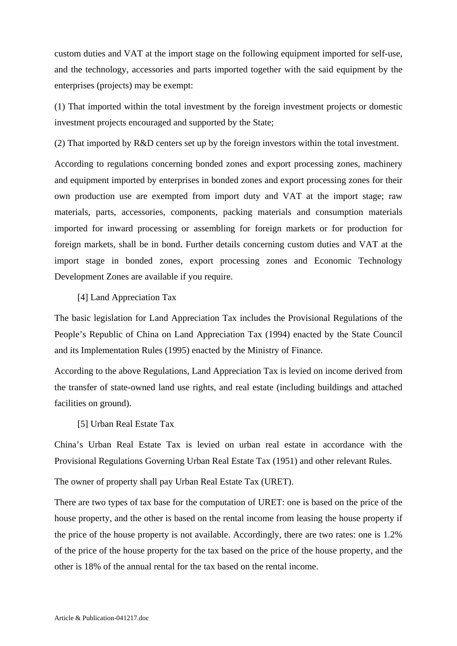custom duties and VAT at the import stage on the following equipment imported for self-use, and the technology, accessories and parts imported together with the said equipment by the enterprises (projects) may be exempt:

(1) That imported within the total investment by the foreign investment projects or domestic investment projects encouraged and supported by the State;

(2) That imported by R&D centers set up by the foreign investors within the total investment.

According to regulations concerning bonded zones and export processing zones, machinery and equipment imported by enterprises in bonded zones and export processing zones for their own production use are exempted from import duty and VAT at the import stage; raw materials, parts, accessories, components, packing materials and consumption materials imported for inward processing or assembling for foreign markets or for production for foreign markets, shall be in bond. Further details concerning custom duties and VAT at the import stage in bonded zones, export processing zones and Economic Technology Development Zones are available if you require.

# [4] Land Appreciation Tax

The basic legislation for Land Appreciation Tax includes the Provisional Regulations of the People's Republic of China on Land Appreciation Tax (1994) enacted by the State Council and its Implementation Rules (1995) enacted by the Ministry of Finance.

According to the above Regulations, Land Appreciation Tax is levied on income derived from the transfer of state-owned land use rights, and real estate (including buildings and attached facilities on ground).

### [5] Urban Real Estate Tax

China's Urban Real Estate Tax is levied on urban real estate in accordance with the Provisional Regulations Governing Urban Real Estate Tax (1951) and other relevant Rules.

The owner of property shall pay Urban Real Estate Tax (URET).

There are two types of tax base for the computation of URET: one is based on the price of the house property, and the other is based on the rental income from leasing the house property if the price of the house property is not available. Accordingly, there are two rates: one is 1.2% of the price of the house property for the tax based on the price of the house property, and the other is 18% of the annual rental for the tax based on the rental income.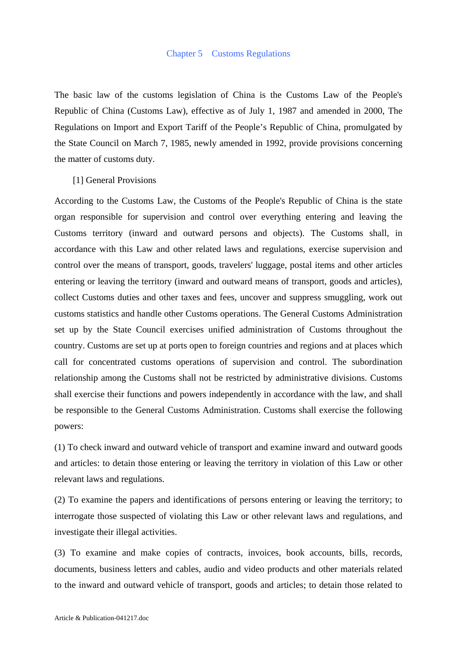The basic law of the customs legislation of China is the Customs Law of the People's Republic of China (Customs Law), effective as of July 1, 1987 and amended in 2000, The Regulations on Import and Export Tariff of the People's Republic of China, promulgated by the State Council on March 7, 1985, newly amended in 1992, provide provisions concerning the matter of customs duty.

### [1] General Provisions

According to the Customs Law, the Customs of the People's Republic of China is the state organ responsible for supervision and control over everything entering and leaving the Customs territory (inward and outward persons and objects). The Customs shall, in accordance with this Law and other related laws and regulations, exercise supervision and control over the means of transport, goods, travelers' luggage, postal items and other articles entering or leaving the territory (inward and outward means of transport, goods and articles), collect Customs duties and other taxes and fees, uncover and suppress smuggling, work out customs statistics and handle other Customs operations. The General Customs Administration set up by the State Council exercises unified administration of Customs throughout the country. Customs are set up at ports open to foreign countries and regions and at places which call for concentrated customs operations of supervision and control. The subordination relationship among the Customs shall not be restricted by administrative divisions. Customs shall exercise their functions and powers independently in accordance with the law, and shall be responsible to the General Customs Administration. Customs shall exercise the following powers:

(1) To check inward and outward vehicle of transport and examine inward and outward goods and articles: to detain those entering or leaving the territory in violation of this Law or other relevant laws and regulations.

(2) To examine the papers and identifications of persons entering or leaving the territory; to interrogate those suspected of violating this Law or other relevant laws and regulations, and investigate their illegal activities.

(3) To examine and make copies of contracts, invoices, book accounts, bills, records, documents, business letters and cables, audio and video products and other materials related to the inward and outward vehicle of transport, goods and articles; to detain those related to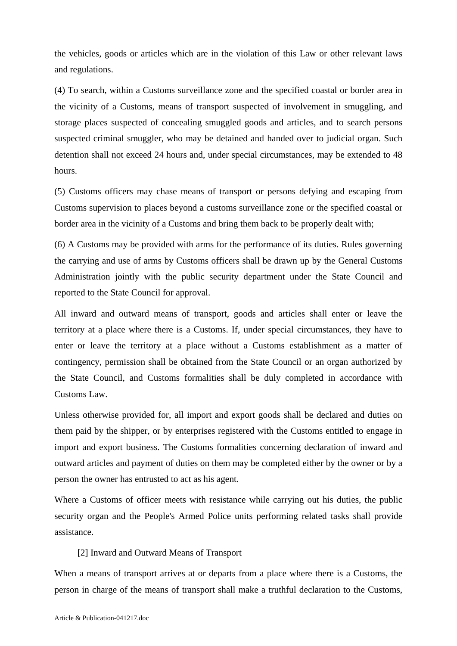the vehicles, goods or articles which are in the violation of this Law or other relevant laws and regulations.

(4) To search, within a Customs surveillance zone and the specified coastal or border area in the vicinity of a Customs, means of transport suspected of involvement in smuggling, and storage places suspected of concealing smuggled goods and articles, and to search persons suspected criminal smuggler, who may be detained and handed over to judicial organ. Such detention shall not exceed 24 hours and, under special circumstances, may be extended to 48 hours.

(5) Customs officers may chase means of transport or persons defying and escaping from Customs supervision to places beyond a customs surveillance zone or the specified coastal or border area in the vicinity of a Customs and bring them back to be properly dealt with;

(6) A Customs may be provided with arms for the performance of its duties. Rules governing the carrying and use of arms by Customs officers shall be drawn up by the General Customs Administration jointly with the public security department under the State Council and reported to the State Council for approval.

All inward and outward means of transport, goods and articles shall enter or leave the territory at a place where there is a Customs. If, under special circumstances, they have to enter or leave the territory at a place without a Customs establishment as a matter of contingency, permission shall be obtained from the State Council or an organ authorized by the State Council, and Customs formalities shall be duly completed in accordance with Customs Law.

Unless otherwise provided for, all import and export goods shall be declared and duties on them paid by the shipper, or by enterprises registered with the Customs entitled to engage in import and export business. The Customs formalities concerning declaration of inward and outward articles and payment of duties on them may be completed either by the owner or by a person the owner has entrusted to act as his agent.

Where a Customs of officer meets with resistance while carrying out his duties, the public security organ and the People's Armed Police units performing related tasks shall provide assistance.

## [2] Inward and Outward Means of Transport

When a means of transport arrives at or departs from a place where there is a Customs, the person in charge of the means of transport shall make a truthful declaration to the Customs,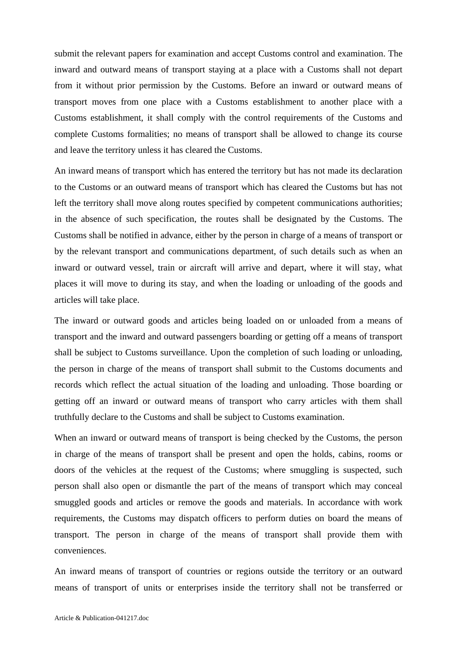submit the relevant papers for examination and accept Customs control and examination. The inward and outward means of transport staying at a place with a Customs shall not depart from it without prior permission by the Customs. Before an inward or outward means of transport moves from one place with a Customs establishment to another place with a Customs establishment, it shall comply with the control requirements of the Customs and complete Customs formalities; no means of transport shall be allowed to change its course and leave the territory unless it has cleared the Customs.

An inward means of transport which has entered the territory but has not made its declaration to the Customs or an outward means of transport which has cleared the Customs but has not left the territory shall move along routes specified by competent communications authorities; in the absence of such specification, the routes shall be designated by the Customs. The Customs shall be notified in advance, either by the person in charge of a means of transport or by the relevant transport and communications department, of such details such as when an inward or outward vessel, train or aircraft will arrive and depart, where it will stay, what places it will move to during its stay, and when the loading or unloading of the goods and articles will take place.

The inward or outward goods and articles being loaded on or unloaded from a means of transport and the inward and outward passengers boarding or getting off a means of transport shall be subject to Customs surveillance. Upon the completion of such loading or unloading, the person in charge of the means of transport shall submit to the Customs documents and records which reflect the actual situation of the loading and unloading. Those boarding or getting off an inward or outward means of transport who carry articles with them shall truthfully declare to the Customs and shall be subject to Customs examination.

When an inward or outward means of transport is being checked by the Customs, the person in charge of the means of transport shall be present and open the holds, cabins, rooms or doors of the vehicles at the request of the Customs; where smuggling is suspected, such person shall also open or dismantle the part of the means of transport which may conceal smuggled goods and articles or remove the goods and materials. In accordance with work requirements, the Customs may dispatch officers to perform duties on board the means of transport. The person in charge of the means of transport shall provide them with conveniences.

An inward means of transport of countries or regions outside the territory or an outward means of transport of units or enterprises inside the territory shall not be transferred or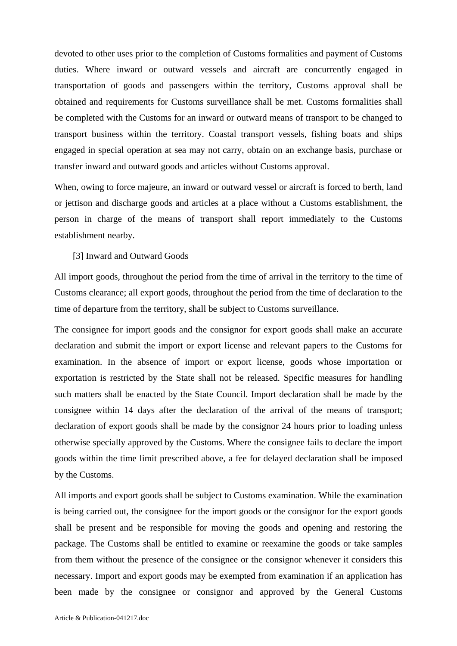devoted to other uses prior to the completion of Customs formalities and payment of Customs duties. Where inward or outward vessels and aircraft are concurrently engaged in transportation of goods and passengers within the territory, Customs approval shall be obtained and requirements for Customs surveillance shall be met. Customs formalities shall be completed with the Customs for an inward or outward means of transport to be changed to transport business within the territory. Coastal transport vessels, fishing boats and ships engaged in special operation at sea may not carry, obtain on an exchange basis, purchase or transfer inward and outward goods and articles without Customs approval.

When, owing to force majeure, an inward or outward vessel or aircraft is forced to berth, land or jettison and discharge goods and articles at a place without a Customs establishment, the person in charge of the means of transport shall report immediately to the Customs establishment nearby.

[3] Inward and Outward Goods

All import goods, throughout the period from the time of arrival in the territory to the time of Customs clearance; all export goods, throughout the period from the time of declaration to the time of departure from the territory, shall be subject to Customs surveillance.

The consignee for import goods and the consignor for export goods shall make an accurate declaration and submit the import or export license and relevant papers to the Customs for examination. In the absence of import or export license, goods whose importation or exportation is restricted by the State shall not be released. Specific measures for handling such matters shall be enacted by the State Council. Import declaration shall be made by the consignee within 14 days after the declaration of the arrival of the means of transport; declaration of export goods shall be made by the consignor 24 hours prior to loading unless otherwise specially approved by the Customs. Where the consignee fails to declare the import goods within the time limit prescribed above, a fee for delayed declaration shall be imposed by the Customs.

All imports and export goods shall be subject to Customs examination. While the examination is being carried out, the consignee for the import goods or the consignor for the export goods shall be present and be responsible for moving the goods and opening and restoring the package. The Customs shall be entitled to examine or reexamine the goods or take samples from them without the presence of the consignee or the consignor whenever it considers this necessary. Import and export goods may be exempted from examination if an application has been made by the consignee or consignor and approved by the General Customs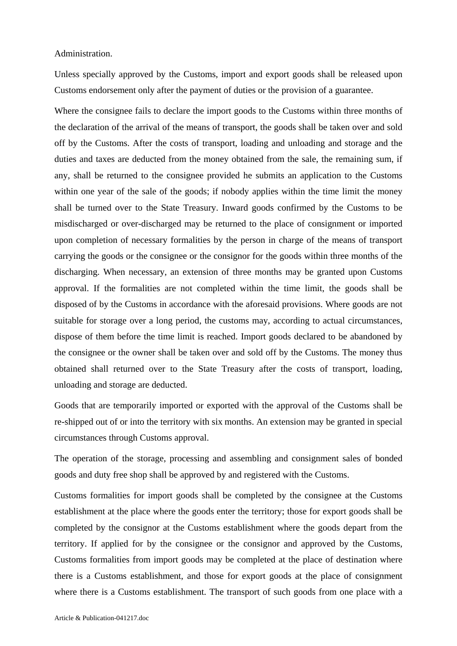#### Administration.

Unless specially approved by the Customs, import and export goods shall be released upon Customs endorsement only after the payment of duties or the provision of a guarantee.

Where the consignee fails to declare the import goods to the Customs within three months of the declaration of the arrival of the means of transport, the goods shall be taken over and sold off by the Customs. After the costs of transport, loading and unloading and storage and the duties and taxes are deducted from the money obtained from the sale, the remaining sum, if any, shall be returned to the consignee provided he submits an application to the Customs within one year of the sale of the goods; if nobody applies within the time limit the money shall be turned over to the State Treasury. Inward goods confirmed by the Customs to be misdischarged or over-discharged may be returned to the place of consignment or imported upon completion of necessary formalities by the person in charge of the means of transport carrying the goods or the consignee or the consignor for the goods within three months of the discharging. When necessary, an extension of three months may be granted upon Customs approval. If the formalities are not completed within the time limit, the goods shall be disposed of by the Customs in accordance with the aforesaid provisions. Where goods are not suitable for storage over a long period, the customs may, according to actual circumstances, dispose of them before the time limit is reached. Import goods declared to be abandoned by the consignee or the owner shall be taken over and sold off by the Customs. The money thus obtained shall returned over to the State Treasury after the costs of transport, loading, unloading and storage are deducted.

Goods that are temporarily imported or exported with the approval of the Customs shall be re-shipped out of or into the territory with six months. An extension may be granted in special circumstances through Customs approval.

The operation of the storage, processing and assembling and consignment sales of bonded goods and duty free shop shall be approved by and registered with the Customs.

Customs formalities for import goods shall be completed by the consignee at the Customs establishment at the place where the goods enter the territory; those for export goods shall be completed by the consignor at the Customs establishment where the goods depart from the territory. If applied for by the consignee or the consignor and approved by the Customs, Customs formalities from import goods may be completed at the place of destination where there is a Customs establishment, and those for export goods at the place of consignment where there is a Customs establishment. The transport of such goods from one place with a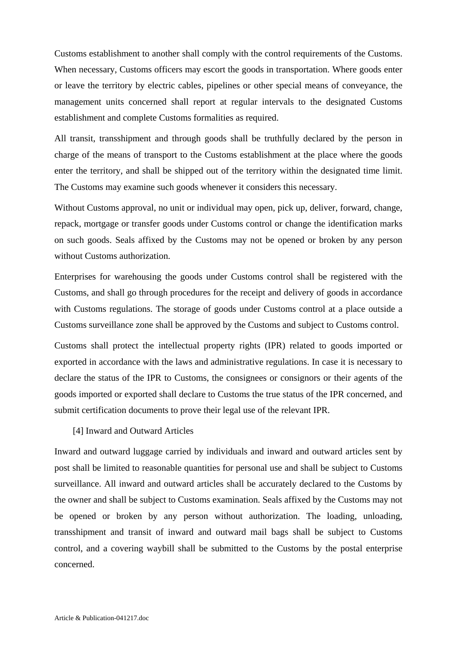Customs establishment to another shall comply with the control requirements of the Customs. When necessary, Customs officers may escort the goods in transportation. Where goods enter or leave the territory by electric cables, pipelines or other special means of conveyance, the management units concerned shall report at regular intervals to the designated Customs establishment and complete Customs formalities as required.

All transit, transshipment and through goods shall be truthfully declared by the person in charge of the means of transport to the Customs establishment at the place where the goods enter the territory, and shall be shipped out of the territory within the designated time limit. The Customs may examine such goods whenever it considers this necessary.

Without Customs approval, no unit or individual may open, pick up, deliver, forward, change, repack, mortgage or transfer goods under Customs control or change the identification marks on such goods. Seals affixed by the Customs may not be opened or broken by any person without Customs authorization.

Enterprises for warehousing the goods under Customs control shall be registered with the Customs, and shall go through procedures for the receipt and delivery of goods in accordance with Customs regulations. The storage of goods under Customs control at a place outside a Customs surveillance zone shall be approved by the Customs and subject to Customs control.

Customs shall protect the intellectual property rights (IPR) related to goods imported or exported in accordance with the laws and administrative regulations. In case it is necessary to declare the status of the IPR to Customs, the consignees or consignors or their agents of the goods imported or exported shall declare to Customs the true status of the IPR concerned, and submit certification documents to prove their legal use of the relevant IPR.

### [4] Inward and Outward Articles

Inward and outward luggage carried by individuals and inward and outward articles sent by post shall be limited to reasonable quantities for personal use and shall be subject to Customs surveillance. All inward and outward articles shall be accurately declared to the Customs by the owner and shall be subject to Customs examination. Seals affixed by the Customs may not be opened or broken by any person without authorization. The loading, unloading, transshipment and transit of inward and outward mail bags shall be subject to Customs control, and a covering waybill shall be submitted to the Customs by the postal enterprise concerned.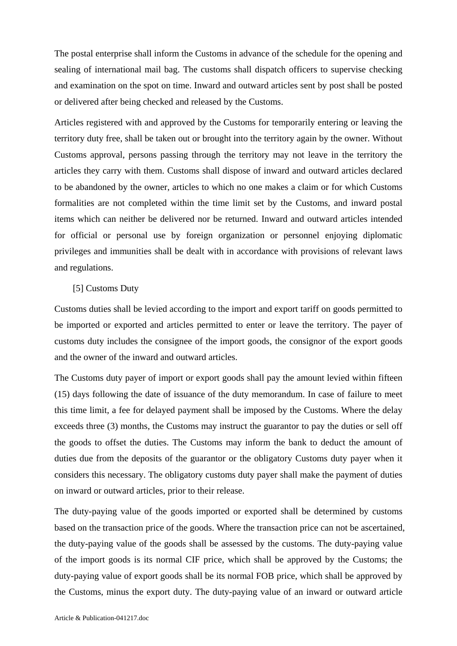The postal enterprise shall inform the Customs in advance of the schedule for the opening and sealing of international mail bag. The customs shall dispatch officers to supervise checking and examination on the spot on time. Inward and outward articles sent by post shall be posted or delivered after being checked and released by the Customs.

Articles registered with and approved by the Customs for temporarily entering or leaving the territory duty free, shall be taken out or brought into the territory again by the owner. Without Customs approval, persons passing through the territory may not leave in the territory the articles they carry with them. Customs shall dispose of inward and outward articles declared to be abandoned by the owner, articles to which no one makes a claim or for which Customs formalities are not completed within the time limit set by the Customs, and inward postal items which can neither be delivered nor be returned. Inward and outward articles intended for official or personal use by foreign organization or personnel enjoying diplomatic privileges and immunities shall be dealt with in accordance with provisions of relevant laws and regulations.

# [5] Customs Duty

Customs duties shall be levied according to the import and export tariff on goods permitted to be imported or exported and articles permitted to enter or leave the territory. The payer of customs duty includes the consignee of the import goods, the consignor of the export goods and the owner of the inward and outward articles.

The Customs duty payer of import or export goods shall pay the amount levied within fifteen (15) days following the date of issuance of the duty memorandum. In case of failure to meet this time limit, a fee for delayed payment shall be imposed by the Customs. Where the delay exceeds three (3) months, the Customs may instruct the guarantor to pay the duties or sell off the goods to offset the duties. The Customs may inform the bank to deduct the amount of duties due from the deposits of the guarantor or the obligatory Customs duty payer when it considers this necessary. The obligatory customs duty payer shall make the payment of duties on inward or outward articles, prior to their release.

The duty-paying value of the goods imported or exported shall be determined by customs based on the transaction price of the goods. Where the transaction price can not be ascertained, the duty-paying value of the goods shall be assessed by the customs. The duty-paying value of the import goods is its normal CIF price, which shall be approved by the Customs; the duty-paying value of export goods shall be its normal FOB price, which shall be approved by the Customs, minus the export duty. The duty-paying value of an inward or outward article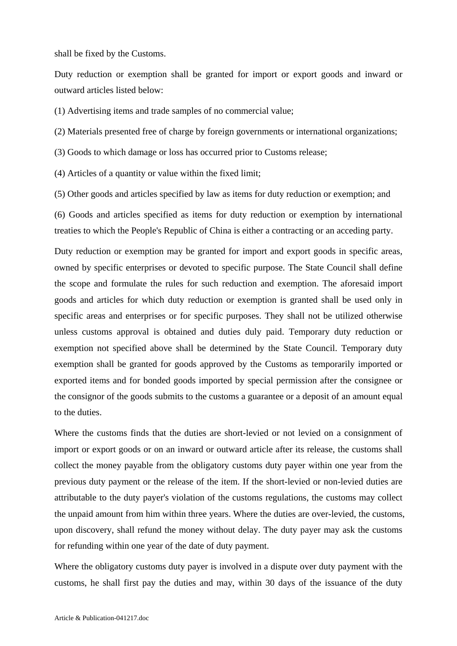shall be fixed by the Customs.

Duty reduction or exemption shall be granted for import or export goods and inward or outward articles listed below:

(1) Advertising items and trade samples of no commercial value;

(2) Materials presented free of charge by foreign governments or international organizations;

(3) Goods to which damage or loss has occurred prior to Customs release;

(4) Articles of a quantity or value within the fixed limit;

(5) Other goods and articles specified by law as items for duty reduction or exemption; and

(6) Goods and articles specified as items for duty reduction or exemption by international treaties to which the People's Republic of China is either a contracting or an acceding party.

Duty reduction or exemption may be granted for import and export goods in specific areas, owned by specific enterprises or devoted to specific purpose. The State Council shall define the scope and formulate the rules for such reduction and exemption. The aforesaid import goods and articles for which duty reduction or exemption is granted shall be used only in specific areas and enterprises or for specific purposes. They shall not be utilized otherwise unless customs approval is obtained and duties duly paid. Temporary duty reduction or exemption not specified above shall be determined by the State Council. Temporary duty exemption shall be granted for goods approved by the Customs as temporarily imported or exported items and for bonded goods imported by special permission after the consignee or the consignor of the goods submits to the customs a guarantee or a deposit of an amount equal to the duties.

Where the customs finds that the duties are short-levied or not levied on a consignment of import or export goods or on an inward or outward article after its release, the customs shall collect the money payable from the obligatory customs duty payer within one year from the previous duty payment or the release of the item. If the short-levied or non-levied duties are attributable to the duty payer's violation of the customs regulations, the customs may collect the unpaid amount from him within three years. Where the duties are over-levied, the customs, upon discovery, shall refund the money without delay. The duty payer may ask the customs for refunding within one year of the date of duty payment.

Where the obligatory customs duty payer is involved in a dispute over duty payment with the customs, he shall first pay the duties and may, within 30 days of the issuance of the duty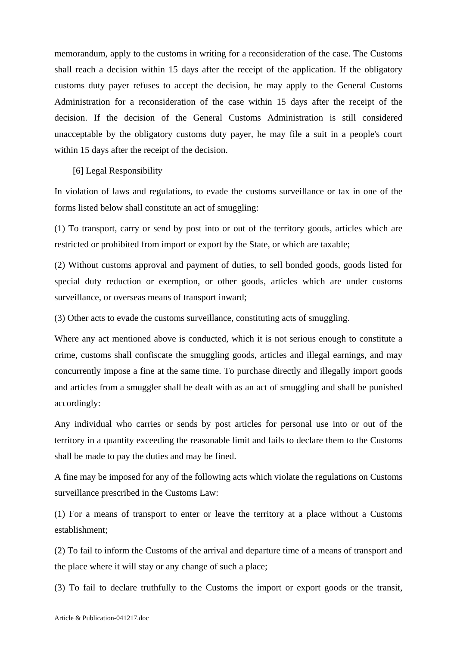memorandum, apply to the customs in writing for a reconsideration of the case. The Customs shall reach a decision within 15 days after the receipt of the application. If the obligatory customs duty payer refuses to accept the decision, he may apply to the General Customs Administration for a reconsideration of the case within 15 days after the receipt of the decision. If the decision of the General Customs Administration is still considered unacceptable by the obligatory customs duty payer, he may file a suit in a people's court within 15 days after the receipt of the decision.

[6] Legal Responsibility

In violation of laws and regulations, to evade the customs surveillance or tax in one of the forms listed below shall constitute an act of smuggling:

(1) To transport, carry or send by post into or out of the territory goods, articles which are restricted or prohibited from import or export by the State, or which are taxable;

(2) Without customs approval and payment of duties, to sell bonded goods, goods listed for special duty reduction or exemption, or other goods, articles which are under customs surveillance, or overseas means of transport inward;

(3) Other acts to evade the customs surveillance, constituting acts of smuggling.

Where any act mentioned above is conducted, which it is not serious enough to constitute a crime, customs shall confiscate the smuggling goods, articles and illegal earnings, and may concurrently impose a fine at the same time. To purchase directly and illegally import goods and articles from a smuggler shall be dealt with as an act of smuggling and shall be punished accordingly:

Any individual who carries or sends by post articles for personal use into or out of the territory in a quantity exceeding the reasonable limit and fails to declare them to the Customs shall be made to pay the duties and may be fined.

A fine may be imposed for any of the following acts which violate the regulations on Customs surveillance prescribed in the Customs Law:

(1) For a means of transport to enter or leave the territory at a place without a Customs establishment;

(2) To fail to inform the Customs of the arrival and departure time of a means of transport and the place where it will stay or any change of such a place;

(3) To fail to declare truthfully to the Customs the import or export goods or the transit,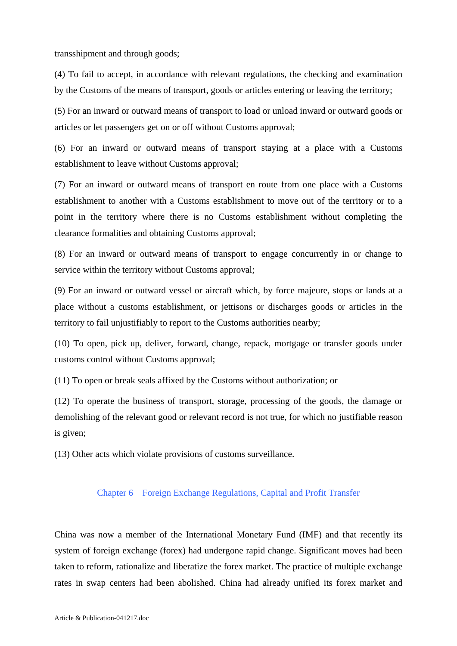transshipment and through goods;

(4) To fail to accept, in accordance with relevant regulations, the checking and examination by the Customs of the means of transport, goods or articles entering or leaving the territory;

(5) For an inward or outward means of transport to load or unload inward or outward goods or articles or let passengers get on or off without Customs approval;

(6) For an inward or outward means of transport staying at a place with a Customs establishment to leave without Customs approval;

(7) For an inward or outward means of transport en route from one place with a Customs establishment to another with a Customs establishment to move out of the territory or to a point in the territory where there is no Customs establishment without completing the clearance formalities and obtaining Customs approval;

(8) For an inward or outward means of transport to engage concurrently in or change to service within the territory without Customs approval;

(9) For an inward or outward vessel or aircraft which, by force majeure, stops or lands at a place without a customs establishment, or jettisons or discharges goods or articles in the territory to fail unjustifiably to report to the Customs authorities nearby;

(10) To open, pick up, deliver, forward, change, repack, mortgage or transfer goods under customs control without Customs approval;

(11) To open or break seals affixed by the Customs without authorization; or

(12) To operate the business of transport, storage, processing of the goods, the damage or demolishing of the relevant good or relevant record is not true, for which no justifiable reason is given;

(13) Other acts which violate provisions of customs surveillance.

# Chapter 6 Foreign Exchange Regulations, Capital and Profit Transfer

China was now a member of the International Monetary Fund (IMF) and that recently its system of foreign exchange (forex) had undergone rapid change. Significant moves had been taken to reform, rationalize and liberatize the forex market. The practice of multiple exchange rates in swap centers had been abolished. China had already unified its forex market and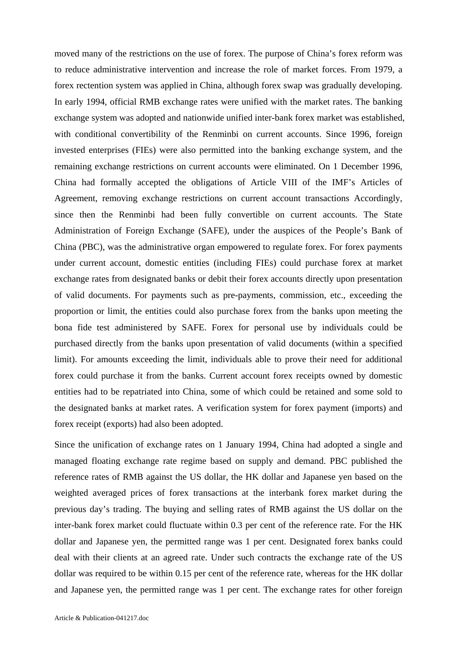moved many of the restrictions on the use of forex. The purpose of China's forex reform was to reduce administrative intervention and increase the role of market forces. From 1979, a forex rectention system was applied in China, although forex swap was gradually developing. In early 1994, official RMB exchange rates were unified with the market rates. The banking exchange system was adopted and nationwide unified inter-bank forex market was established, with conditional convertibility of the Renminbi on current accounts. Since 1996, foreign invested enterprises (FIEs) were also permitted into the banking exchange system, and the remaining exchange restrictions on current accounts were eliminated. On 1 December 1996, China had formally accepted the obligations of Article VIII of the IMF's Articles of Agreement, removing exchange restrictions on current account transactions Accordingly, since then the Renminbi had been fully convertible on current accounts. The State Administration of Foreign Exchange (SAFE), under the auspices of the People's Bank of China (PBC), was the administrative organ empowered to regulate forex. For forex payments under current account, domestic entities (including FIEs) could purchase forex at market exchange rates from designated banks or debit their forex accounts directly upon presentation of valid documents. For payments such as pre-payments, commission, etc., exceeding the proportion or limit, the entities could also purchase forex from the banks upon meeting the bona fide test administered by SAFE. Forex for personal use by individuals could be purchased directly from the banks upon presentation of valid documents (within a specified limit). For amounts exceeding the limit, individuals able to prove their need for additional forex could purchase it from the banks. Current account forex receipts owned by domestic entities had to be repatriated into China, some of which could be retained and some sold to the designated banks at market rates. A verification system for forex payment (imports) and forex receipt (exports) had also been adopted.

Since the unification of exchange rates on 1 January 1994, China had adopted a single and managed floating exchange rate regime based on supply and demand. PBC published the reference rates of RMB against the US dollar, the HK dollar and Japanese yen based on the weighted averaged prices of forex transactions at the interbank forex market during the previous day's trading. The buying and selling rates of RMB against the US dollar on the inter-bank forex market could fluctuate within 0.3 per cent of the reference rate. For the HK dollar and Japanese yen, the permitted range was 1 per cent. Designated forex banks could deal with their clients at an agreed rate. Under such contracts the exchange rate of the US dollar was required to be within 0.15 per cent of the reference rate, whereas for the HK dollar and Japanese yen, the permitted range was 1 per cent. The exchange rates for other foreign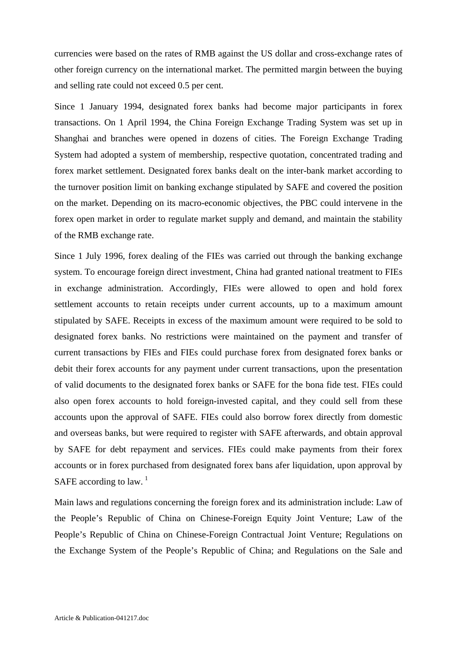currencies were based on the rates of RMB against the US dollar and cross-exchange rates of other foreign currency on the international market. The permitted margin between the buying and selling rate could not exceed 0.5 per cent.

Since 1 January 1994, designated forex banks had become major participants in forex transactions. On 1 April 1994, the China Foreign Exchange Trading System was set up in Shanghai and branches were opened in dozens of cities. The Foreign Exchange Trading System had adopted a system of membership, respective quotation, concentrated trading and forex market settlement. Designated forex banks dealt on the inter-bank market according to the turnover position limit on banking exchange stipulated by SAFE and covered the position on the market. Depending on its macro-economic objectives, the PBC could intervene in the forex open market in order to regulate market supply and demand, and maintain the stability of the RMB exchange rate.

Since 1 July 1996, forex dealing of the FIEs was carried out through the banking exchange system. To encourage foreign direct investment, China had granted national treatment to FIEs in exchange administration. Accordingly, FIEs were allowed to open and hold forex settlement accounts to retain receipts under current accounts, up to a maximum amount stipulated by SAFE. Receipts in excess of the maximum amount were required to be sold to designated forex banks. No restrictions were maintained on the payment and transfer of current transactions by FIEs and FIEs could purchase forex from designated forex banks or debit their forex accounts for any payment under current transactions, upon the presentation of valid documents to the designated forex banks or SAFE for the bona fide test. FIEs could also open forex accounts to hold foreign-invested capital, and they could sell from these accounts upon the approval of SAFE. FIEs could also borrow forex directly from domestic and overseas banks, but were required to register with SAFE afterwards, and obtain approval by SAFE for debt repayment and services. FIEs could make payments from their forex accounts or in forex purchased from designated forex bans afer liquidation, upon approval by SAFE according to law.  $1$ 

<span id="page-56-0"></span>Main laws and regulations concerning the foreign forex and its administration include: Law of the People's Republic of China on Chinese-Foreign Equity Joint Venture; Law of the People's Republic of China on Chinese-Foreign Contractual Joint Venture; Regulations on the Exchange System of the People's Republic of China; and Regulations on the Sale and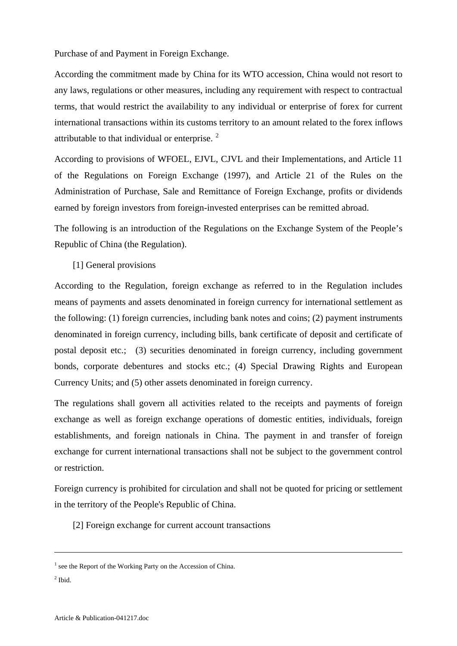<span id="page-57-0"></span>Purchase of and Payment in Foreign Exchange.

According the commitment made by China for its WTO accession, China would not resort to any laws, regulations or other measures, including any requirement with respect to contractual terms, that would restrict the availability to any individual or enterprise of forex for current international transactions within its customs territory to an amount related to the forex inflows attributable to that individual or enterprise. [2](#page-57-0)

According to provisions of WFOEL, EJVL, CJVL and their Implementations, and Article 11 of the Regulations on Foreign Exchange (1997), and Article 21 of the Rules on the Administration of Purchase, Sale and Remittance of Foreign Exchange, profits or dividends earned by foreign investors from foreign-invested enterprises can be remitted abroad.

The following is an introduction of the Regulations on the Exchange System of the People's Republic of China (the Regulation).

[1] General provisions

According to the Regulation, foreign exchange as referred to in the Regulation includes means of payments and assets denominated in foreign currency for international settlement as the following: (1) foreign currencies, including bank notes and coins; (2) payment instruments denominated in foreign currency, including bills, bank certificate of deposit and certificate of postal deposit etc.; (3) securities denominated in foreign currency, including government bonds, corporate debentures and stocks etc.; (4) Special Drawing Rights and European Currency Units; and (5) other assets denominated in foreign currency.

The regulations shall govern all activities related to the receipts and payments of foreign exchange as well as foreign exchange operations of domestic entities, individuals, foreign establishments, and foreign nationals in China. The payment in and transfer of foreign exchange for current international transactions shall not be subject to the government control or restriction.

Foreign currency is prohibited for circulation and shall not be quoted for pricing or settlement in the territory of the People's Republic of China.

[2] Foreign exchange for current account transactions

 $<sup>2</sup>$  Ibid.</sup>

1

<sup>&</sup>lt;sup>1</sup> see the Report of the Working Party on the Accession of China.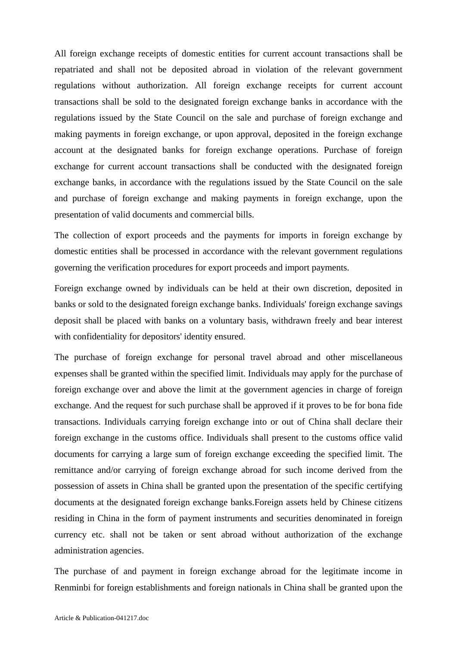All foreign exchange receipts of domestic entities for current account transactions shall be repatriated and shall not be deposited abroad in violation of the relevant government regulations without authorization. All foreign exchange receipts for current account transactions shall be sold to the designated foreign exchange banks in accordance with the regulations issued by the State Council on the sale and purchase of foreign exchange and making payments in foreign exchange, or upon approval, deposited in the foreign exchange account at the designated banks for foreign exchange operations. Purchase of foreign exchange for current account transactions shall be conducted with the designated foreign exchange banks, in accordance with the regulations issued by the State Council on the sale and purchase of foreign exchange and making payments in foreign exchange, upon the presentation of valid documents and commercial bills.

The collection of export proceeds and the payments for imports in foreign exchange by domestic entities shall be processed in accordance with the relevant government regulations governing the verification procedures for export proceeds and import payments.

Foreign exchange owned by individuals can be held at their own discretion, deposited in banks or sold to the designated foreign exchange banks. Individuals' foreign exchange savings deposit shall be placed with banks on a voluntary basis, withdrawn freely and bear interest with confidentiality for depositors' identity ensured.

The purchase of foreign exchange for personal travel abroad and other miscellaneous expenses shall be granted within the specified limit. Individuals may apply for the purchase of foreign exchange over and above the limit at the government agencies in charge of foreign exchange. And the request for such purchase shall be approved if it proves to be for bona fide transactions. Individuals carrying foreign exchange into or out of China shall declare their foreign exchange in the customs office. Individuals shall present to the customs office valid documents for carrying a large sum of foreign exchange exceeding the specified limit. The remittance and/or carrying of foreign exchange abroad for such income derived from the possession of assets in China shall be granted upon the presentation of the specific certifying documents at the designated foreign exchange banks.Foreign assets held by Chinese citizens residing in China in the form of payment instruments and securities denominated in foreign currency etc. shall not be taken or sent abroad without authorization of the exchange administration agencies.

The purchase of and payment in foreign exchange abroad for the legitimate income in Renminbi for foreign establishments and foreign nationals in China shall be granted upon the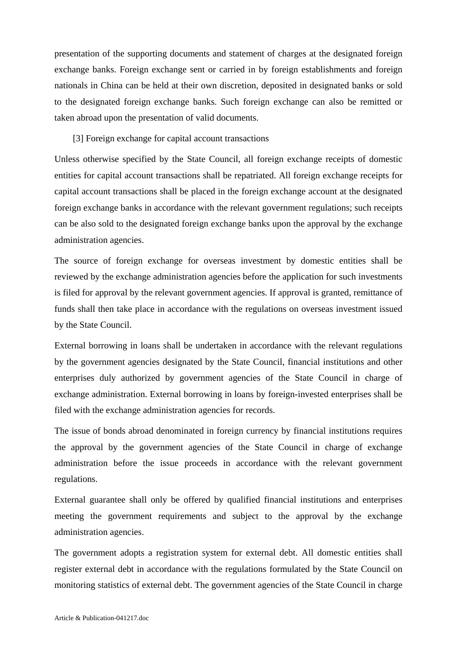presentation of the supporting documents and statement of charges at the designated foreign exchange banks. Foreign exchange sent or carried in by foreign establishments and foreign nationals in China can be held at their own discretion, deposited in designated banks or sold to the designated foreign exchange banks. Such foreign exchange can also be remitted or taken abroad upon the presentation of valid documents.

[3] Foreign exchange for capital account transactions

Unless otherwise specified by the State Council, all foreign exchange receipts of domestic entities for capital account transactions shall be repatriated. All foreign exchange receipts for capital account transactions shall be placed in the foreign exchange account at the designated foreign exchange banks in accordance with the relevant government regulations; such receipts can be also sold to the designated foreign exchange banks upon the approval by the exchange administration agencies.

The source of foreign exchange for overseas investment by domestic entities shall be reviewed by the exchange administration agencies before the application for such investments is filed for approval by the relevant government agencies. If approval is granted, remittance of funds shall then take place in accordance with the regulations on overseas investment issued by the State Council.

External borrowing in loans shall be undertaken in accordance with the relevant regulations by the government agencies designated by the State Council, financial institutions and other enterprises duly authorized by government agencies of the State Council in charge of exchange administration. External borrowing in loans by foreign-invested enterprises shall be filed with the exchange administration agencies for records.

The issue of bonds abroad denominated in foreign currency by financial institutions requires the approval by the government agencies of the State Council in charge of exchange administration before the issue proceeds in accordance with the relevant government regulations.

External guarantee shall only be offered by qualified financial institutions and enterprises meeting the government requirements and subject to the approval by the exchange administration agencies.

The government adopts a registration system for external debt. All domestic entities shall register external debt in accordance with the regulations formulated by the State Council on monitoring statistics of external debt. The government agencies of the State Council in charge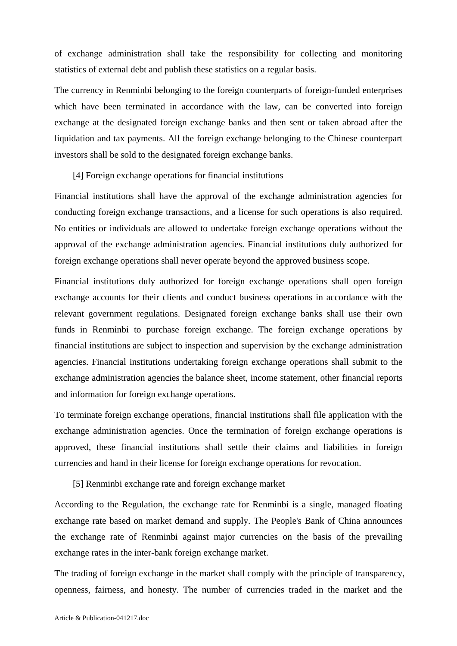of exchange administration shall take the responsibility for collecting and monitoring statistics of external debt and publish these statistics on a regular basis.

The currency in Renminbi belonging to the foreign counterparts of foreign-funded enterprises which have been terminated in accordance with the law, can be converted into foreign exchange at the designated foreign exchange banks and then sent or taken abroad after the liquidation and tax payments. All the foreign exchange belonging to the Chinese counterpart investors shall be sold to the designated foreign exchange banks.

#### [4] Foreign exchange operations for financial institutions

Financial institutions shall have the approval of the exchange administration agencies for conducting foreign exchange transactions, and a license for such operations is also required. No entities or individuals are allowed to undertake foreign exchange operations without the approval of the exchange administration agencies. Financial institutions duly authorized for foreign exchange operations shall never operate beyond the approved business scope.

Financial institutions duly authorized for foreign exchange operations shall open foreign exchange accounts for their clients and conduct business operations in accordance with the relevant government regulations. Designated foreign exchange banks shall use their own funds in Renminbi to purchase foreign exchange. The foreign exchange operations by financial institutions are subject to inspection and supervision by the exchange administration agencies. Financial institutions undertaking foreign exchange operations shall submit to the exchange administration agencies the balance sheet, income statement, other financial reports and information for foreign exchange operations.

To terminate foreign exchange operations, financial institutions shall file application with the exchange administration agencies. Once the termination of foreign exchange operations is approved, these financial institutions shall settle their claims and liabilities in foreign currencies and hand in their license for foreign exchange operations for revocation.

### [5] Renminbi exchange rate and foreign exchange market

According to the Regulation, the exchange rate for Renminbi is a single, managed floating exchange rate based on market demand and supply. The People's Bank of China announces the exchange rate of Renminbi against major currencies on the basis of the prevailing exchange rates in the inter-bank foreign exchange market.

The trading of foreign exchange in the market shall comply with the principle of transparency, openness, fairness, and honesty. The number of currencies traded in the market and the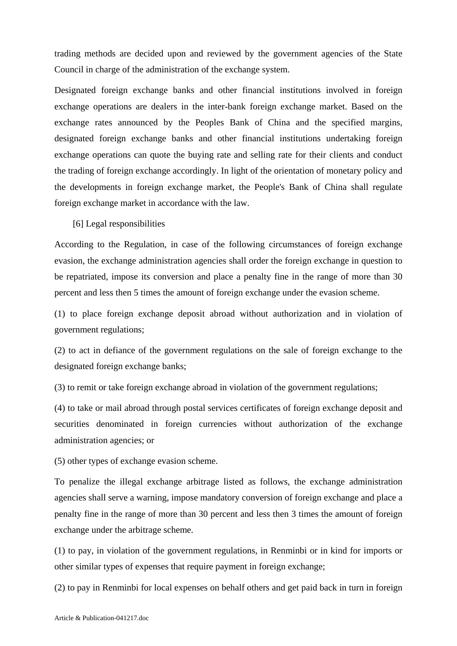trading methods are decided upon and reviewed by the government agencies of the State Council in charge of the administration of the exchange system.

Designated foreign exchange banks and other financial institutions involved in foreign exchange operations are dealers in the inter-bank foreign exchange market. Based on the exchange rates announced by the Peoples Bank of China and the specified margins, designated foreign exchange banks and other financial institutions undertaking foreign exchange operations can quote the buying rate and selling rate for their clients and conduct the trading of foreign exchange accordingly. In light of the orientation of monetary policy and the developments in foreign exchange market, the People's Bank of China shall regulate foreign exchange market in accordance with the law.

[6] Legal responsibilities

According to the Regulation, in case of the following circumstances of foreign exchange evasion, the exchange administration agencies shall order the foreign exchange in question to be repatriated, impose its conversion and place a penalty fine in the range of more than 30 percent and less then 5 times the amount of foreign exchange under the evasion scheme.

(1) to place foreign exchange deposit abroad without authorization and in violation of government regulations;

(2) to act in defiance of the government regulations on the sale of foreign exchange to the designated foreign exchange banks;

(3) to remit or take foreign exchange abroad in violation of the government regulations;

(4) to take or mail abroad through postal services certificates of foreign exchange deposit and securities denominated in foreign currencies without authorization of the exchange administration agencies; or

(5) other types of exchange evasion scheme.

To penalize the illegal exchange arbitrage listed as follows, the exchange administration agencies shall serve a warning, impose mandatory conversion of foreign exchange and place a penalty fine in the range of more than 30 percent and less then 3 times the amount of foreign exchange under the arbitrage scheme.

(1) to pay, in violation of the government regulations, in Renminbi or in kind for imports or other similar types of expenses that require payment in foreign exchange;

(2) to pay in Renminbi for local expenses on behalf others and get paid back in turn in foreign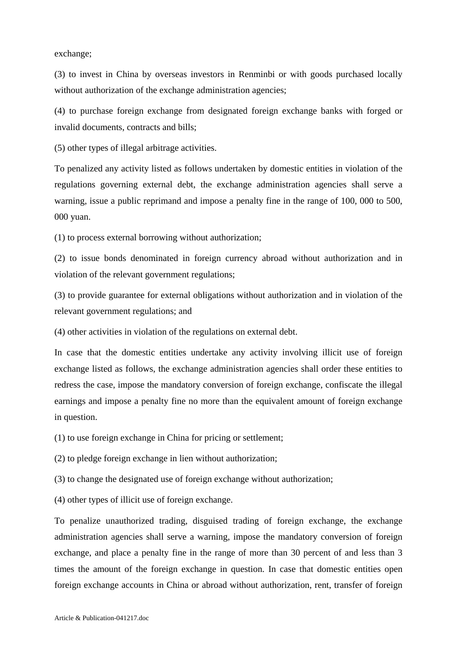exchange;

(3) to invest in China by overseas investors in Renminbi or with goods purchased locally without authorization of the exchange administration agencies;

(4) to purchase foreign exchange from designated foreign exchange banks with forged or invalid documents, contracts and bills;

(5) other types of illegal arbitrage activities.

To penalized any activity listed as follows undertaken by domestic entities in violation of the regulations governing external debt, the exchange administration agencies shall serve a warning, issue a public reprimand and impose a penalty fine in the range of 100, 000 to 500, 000 yuan.

(1) to process external borrowing without authorization;

(2) to issue bonds denominated in foreign currency abroad without authorization and in violation of the relevant government regulations;

(3) to provide guarantee for external obligations without authorization and in violation of the relevant government regulations; and

(4) other activities in violation of the regulations on external debt.

In case that the domestic entities undertake any activity involving illicit use of foreign exchange listed as follows, the exchange administration agencies shall order these entities to redress the case, impose the mandatory conversion of foreign exchange, confiscate the illegal earnings and impose a penalty fine no more than the equivalent amount of foreign exchange in question.

(1) to use foreign exchange in China for pricing or settlement;

(2) to pledge foreign exchange in lien without authorization;

(3) to change the designated use of foreign exchange without authorization;

(4) other types of illicit use of foreign exchange.

To penalize unauthorized trading, disguised trading of foreign exchange, the exchange administration agencies shall serve a warning, impose the mandatory conversion of foreign exchange, and place a penalty fine in the range of more than 30 percent of and less than 3 times the amount of the foreign exchange in question. In case that domestic entities open foreign exchange accounts in China or abroad without authorization, rent, transfer of foreign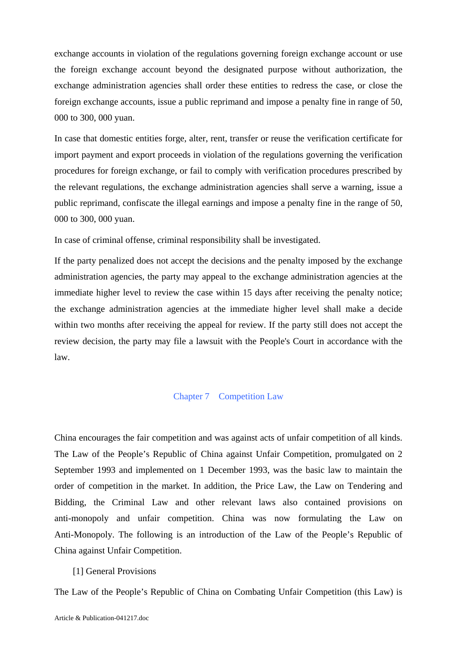exchange accounts in violation of the regulations governing foreign exchange account or use the foreign exchange account beyond the designated purpose without authorization, the exchange administration agencies shall order these entities to redress the case, or close the foreign exchange accounts, issue a public reprimand and impose a penalty fine in range of 50, 000 to 300, 000 yuan.

In case that domestic entities forge, alter, rent, transfer or reuse the verification certificate for import payment and export proceeds in violation of the regulations governing the verification procedures for foreign exchange, or fail to comply with verification procedures prescribed by the relevant regulations, the exchange administration agencies shall serve a warning, issue a public reprimand, confiscate the illegal earnings and impose a penalty fine in the range of 50, 000 to 300, 000 yuan.

In case of criminal offense, criminal responsibility shall be investigated.

If the party penalized does not accept the decisions and the penalty imposed by the exchange administration agencies, the party may appeal to the exchange administration agencies at the immediate higher level to review the case within 15 days after receiving the penalty notice; the exchange administration agencies at the immediate higher level shall make a decide within two months after receiving the appeal for review. If the party still does not accept the review decision, the party may file a lawsuit with the People's Court in accordance with the law.

### Chapter 7 Competition Law

China encourages the fair competition and was against acts of unfair competition of all kinds. The Law of the People's Republic of China against Unfair Competition, promulgated on 2 September 1993 and implemented on 1 December 1993, was the basic law to maintain the order of competition in the market. In addition, the Price Law, the Law on Tendering and Bidding, the Criminal Law and other relevant laws also contained provisions on anti-monopoly and unfair competition. China was now formulating the Law on Anti-Monopoly. The following is an introduction of the Law of the People's Republic of China against Unfair Competition.

### [1] General Provisions

The Law of the People's Republic of China on Combating Unfair Competition (this Law) is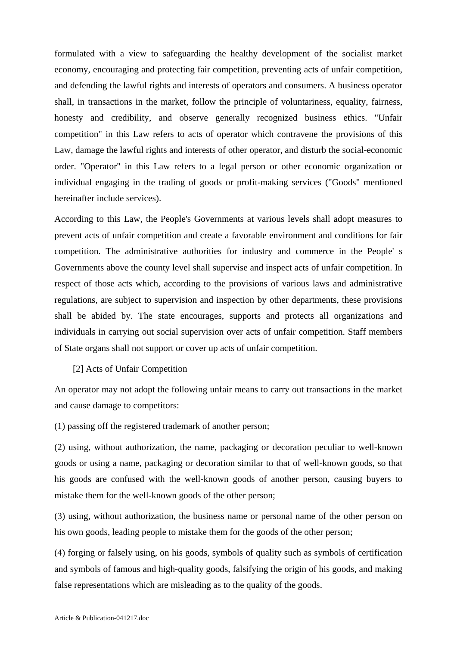formulated with a view to safeguarding the healthy development of the socialist market economy, encouraging and protecting fair competition, preventing acts of unfair competition, and defending the lawful rights and interests of operators and consumers. A business operator shall, in transactions in the market, follow the principle of voluntariness, equality, fairness, honesty and credibility, and observe generally recognized business ethics. "Unfair competition" in this Law refers to acts of operator which contravene the provisions of this Law, damage the lawful rights and interests of other operator, and disturb the social-economic order. "Operator" in this Law refers to a legal person or other economic organization or individual engaging in the trading of goods or profit-making services ("Goods" mentioned hereinafter include services).

According to this Law, the People's Governments at various levels shall adopt measures to prevent acts of unfair competition and create a favorable environment and conditions for fair competition. The administrative authorities for industry and commerce in the People' s Governments above the county level shall supervise and inspect acts of unfair competition. In respect of those acts which, according to the provisions of various laws and administrative regulations, are subject to supervision and inspection by other departments, these provisions shall be abided by. The state encourages, supports and protects all organizations and individuals in carrying out social supervision over acts of unfair competition. Staff members of State organs shall not support or cover up acts of unfair competition.

### [2] Acts of Unfair Competition

An operator may not adopt the following unfair means to carry out transactions in the market and cause damage to competitors:

(1) passing off the registered trademark of another person;

(2) using, without authorization, the name, packaging or decoration peculiar to well-known goods or using a name, packaging or decoration similar to that of well-known goods, so that his goods are confused with the well-known goods of another person, causing buyers to mistake them for the well-known goods of the other person;

(3) using, without authorization, the business name or personal name of the other person on his own goods, leading people to mistake them for the goods of the other person;

(4) forging or falsely using, on his goods, symbols of quality such as symbols of certification and symbols of famous and high-quality goods, falsifying the origin of his goods, and making false representations which are misleading as to the quality of the goods.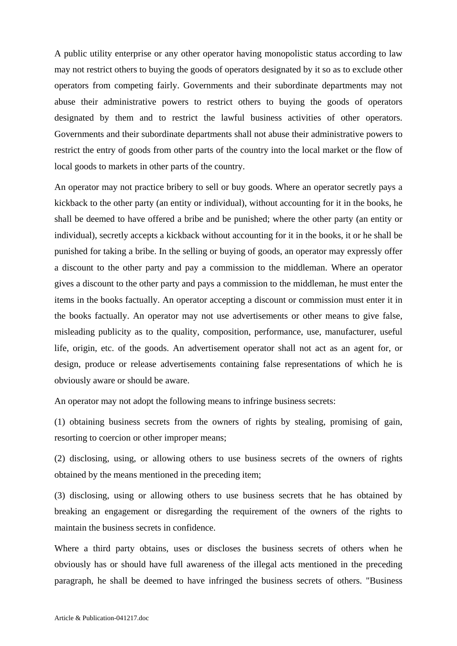A public utility enterprise or any other operator having monopolistic status according to law may not restrict others to buying the goods of operators designated by it so as to exclude other operators from competing fairly. Governments and their subordinate departments may not abuse their administrative powers to restrict others to buying the goods of operators designated by them and to restrict the lawful business activities of other operators. Governments and their subordinate departments shall not abuse their administrative powers to restrict the entry of goods from other parts of the country into the local market or the flow of local goods to markets in other parts of the country.

An operator may not practice bribery to sell or buy goods. Where an operator secretly pays a kickback to the other party (an entity or individual), without accounting for it in the books, he shall be deemed to have offered a bribe and be punished; where the other party (an entity or individual), secretly accepts a kickback without accounting for it in the books, it or he shall be punished for taking a bribe. In the selling or buying of goods, an operator may expressly offer a discount to the other party and pay a commission to the middleman. Where an operator gives a discount to the other party and pays a commission to the middleman, he must enter the items in the books factually. An operator accepting a discount or commission must enter it in the books factually. An operator may not use advertisements or other means to give false, misleading publicity as to the quality, composition, performance, use, manufacturer, useful life, origin, etc. of the goods. An advertisement operator shall not act as an agent for, or design, produce or release advertisements containing false representations of which he is obviously aware or should be aware.

An operator may not adopt the following means to infringe business secrets:

(1) obtaining business secrets from the owners of rights by stealing, promising of gain, resorting to coercion or other improper means;

(2) disclosing, using, or allowing others to use business secrets of the owners of rights obtained by the means mentioned in the preceding item;

(3) disclosing, using or allowing others to use business secrets that he has obtained by breaking an engagement or disregarding the requirement of the owners of the rights to maintain the business secrets in confidence.

Where a third party obtains, uses or discloses the business secrets of others when he obviously has or should have full awareness of the illegal acts mentioned in the preceding paragraph, he shall be deemed to have infringed the business secrets of others. "Business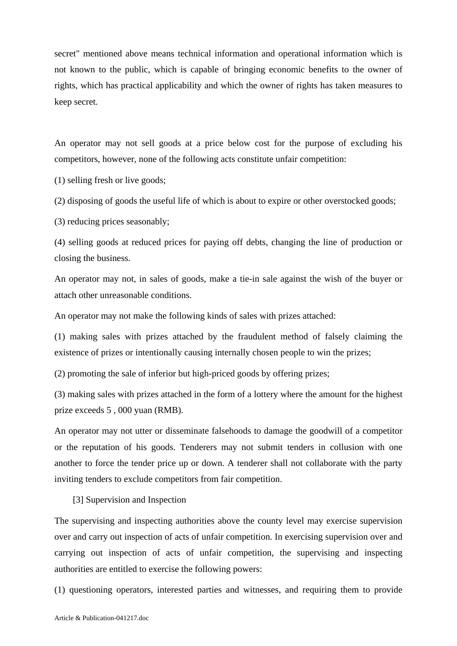secret" mentioned above means technical information and operational information which is not known to the public, which is capable of bringing economic benefits to the owner of rights, which has practical applicability and which the owner of rights has taken measures to keep secret.

An operator may not sell goods at a price below cost for the purpose of excluding his competitors, however, none of the following acts constitute unfair competition:

(1) selling fresh or live goods;

(2) disposing of goods the useful life of which is about to expire or other overstocked goods;

(3) reducing prices seasonably;

(4) selling goods at reduced prices for paying off debts, changing the line of production or closing the business.

An operator may not, in sales of goods, make a tie-in sale against the wish of the buyer or attach other unreasonable conditions.

An operator may not make the following kinds of sales with prizes attached:

(1) making sales with prizes attached by the fraudulent method of falsely claiming the existence of prizes or intentionally causing internally chosen people to win the prizes;

(2) promoting the sale of inferior but high-priced goods by offering prizes;

(3) making sales with prizes attached in the form of a lottery where the amount for the highest prize exceeds 5 , 000 yuan (RMB).

An operator may not utter or disseminate falsehoods to damage the goodwill of a competitor or the reputation of his goods. Tenderers may not submit tenders in collusion with one another to force the tender price up or down. A tenderer shall not collaborate with the party inviting tenders to exclude competitors from fair competition.

[3] Supervision and Inspection

The supervising and inspecting authorities above the county level may exercise supervision over and carry out inspection of acts of unfair competition. In exercising supervision over and carrying out inspection of acts of unfair competition, the supervising and inspecting authorities are entitled to exercise the following powers:

(1) questioning operators, interested parties and witnesses, and requiring them to provide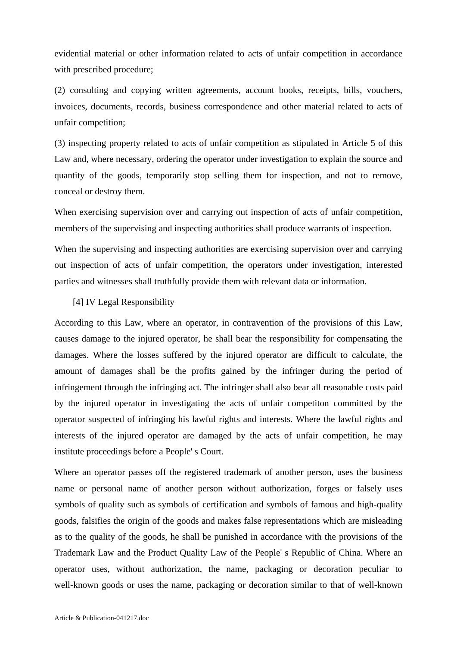evidential material or other information related to acts of unfair competition in accordance with prescribed procedure;

(2) consulting and copying written agreements, account books, receipts, bills, vouchers, invoices, documents, records, business correspondence and other material related to acts of unfair competition;

(3) inspecting property related to acts of unfair competition as stipulated in Article 5 of this Law and, where necessary, ordering the operator under investigation to explain the source and quantity of the goods, temporarily stop selling them for inspection, and not to remove, conceal or destroy them.

When exercising supervision over and carrying out inspection of acts of unfair competition, members of the supervising and inspecting authorities shall produce warrants of inspection.

When the supervising and inspecting authorities are exercising supervision over and carrying out inspection of acts of unfair competition, the operators under investigation, interested parties and witnesses shall truthfully provide them with relevant data or information.

## [4] IV Legal Responsibility

According to this Law, where an operator, in contravention of the provisions of this Law, causes damage to the injured operator, he shall bear the responsibility for compensating the damages. Where the losses suffered by the injured operator are difficult to calculate, the amount of damages shall be the profits gained by the infringer during the period of infringement through the infringing act. The infringer shall also bear all reasonable costs paid by the injured operator in investigating the acts of unfair competiton committed by the operator suspected of infringing his lawful rights and interests. Where the lawful rights and interests of the injured operator are damaged by the acts of unfair competition, he may institute proceedings before a People' s Court.

Where an operator passes off the registered trademark of another person, uses the business name or personal name of another person without authorization, forges or falsely uses symbols of quality such as symbols of certification and symbols of famous and high-quality goods, falsifies the origin of the goods and makes false representations which are misleading as to the quality of the goods, he shall be punished in accordance with the provisions of the Trademark Law and the Product Quality Law of the People' s Republic of China. Where an operator uses, without authorization, the name, packaging or decoration peculiar to well-known goods or uses the name, packaging or decoration similar to that of well-known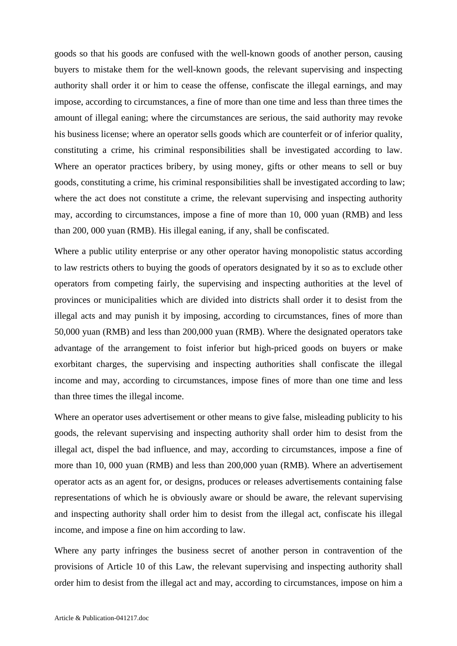goods so that his goods are confused with the well-known goods of another person, causing buyers to mistake them for the well-known goods, the relevant supervising and inspecting authority shall order it or him to cease the offense, confiscate the illegal earnings, and may impose, according to circumstances, a fine of more than one time and less than three times the amount of illegal eaning; where the circumstances are serious, the said authority may revoke his business license; where an operator sells goods which are counterfeit or of inferior quality, constituting a crime, his criminal responsibilities shall be investigated according to law. Where an operator practices bribery, by using money, gifts or other means to sell or buy goods, constituting a crime, his criminal responsibilities shall be investigated according to law; where the act does not constitute a crime, the relevant supervising and inspecting authority may, according to circumstances, impose a fine of more than 10, 000 yuan (RMB) and less than 200, 000 yuan (RMB). His illegal eaning, if any, shall be confiscated.

Where a public utility enterprise or any other operator having monopolistic status according to law restricts others to buying the goods of operators designated by it so as to exclude other operators from competing fairly, the supervising and inspecting authorities at the level of provinces or municipalities which are divided into districts shall order it to desist from the illegal acts and may punish it by imposing, according to circumstances, fines of more than 50,000 yuan (RMB) and less than 200,000 yuan (RMB). Where the designated operators take advantage of the arrangement to foist inferior but high-priced goods on buyers or make exorbitant charges, the supervising and inspecting authorities shall confiscate the illegal income and may, according to circumstances, impose fines of more than one time and less than three times the illegal income.

Where an operator uses advertisement or other means to give false, misleading publicity to his goods, the relevant supervising and inspecting authority shall order him to desist from the illegal act, dispel the bad influence, and may, according to circumstances, impose a fine of more than 10, 000 yuan (RMB) and less than 200,000 yuan (RMB). Where an advertisement operator acts as an agent for, or designs, produces or releases advertisements containing false representations of which he is obviously aware or should be aware, the relevant supervising and inspecting authority shall order him to desist from the illegal act, confiscate his illegal income, and impose a fine on him according to law.

Where any party infringes the business secret of another person in contravention of the provisions of Article 10 of this Law, the relevant supervising and inspecting authority shall order him to desist from the illegal act and may, according to circumstances, impose on him a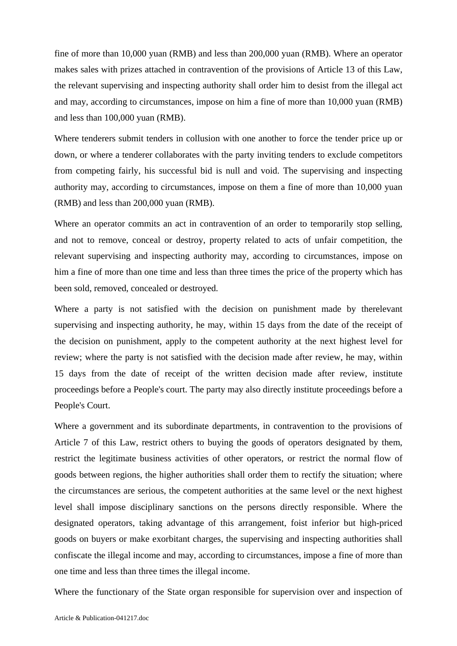fine of more than 10,000 yuan (RMB) and less than 200,000 yuan (RMB). Where an operator makes sales with prizes attached in contravention of the provisions of Article 13 of this Law, the relevant supervising and inspecting authority shall order him to desist from the illegal act and may, according to circumstances, impose on him a fine of more than 10,000 yuan (RMB) and less than 100,000 yuan (RMB).

Where tenderers submit tenders in collusion with one another to force the tender price up or down, or where a tenderer collaborates with the party inviting tenders to exclude competitors from competing fairly, his successful bid is null and void. The supervising and inspecting authority may, according to circumstances, impose on them a fine of more than 10,000 yuan (RMB) and less than 200,000 yuan (RMB).

Where an operator commits an act in contravention of an order to temporarily stop selling, and not to remove, conceal or destroy, property related to acts of unfair competition, the relevant supervising and inspecting authority may, according to circumstances, impose on him a fine of more than one time and less than three times the price of the property which has been sold, removed, concealed or destroyed.

Where a party is not satisfied with the decision on punishment made by therelevant supervising and inspecting authority, he may, within 15 days from the date of the receipt of the decision on punishment, apply to the competent authority at the next highest level for review; where the party is not satisfied with the decision made after review, he may, within 15 days from the date of receipt of the written decision made after review, institute proceedings before a People's court. The party may also directly institute proceedings before a People's Court.

Where a government and its subordinate departments, in contravention to the provisions of Article 7 of this Law, restrict others to buying the goods of operators designated by them, restrict the legitimate business activities of other operators, or restrict the normal flow of goods between regions, the higher authorities shall order them to rectify the situation; where the circumstances are serious, the competent authorities at the same level or the next highest level shall impose disciplinary sanctions on the persons directly responsible. Where the designated operators, taking advantage of this arrangement, foist inferior but high-priced goods on buyers or make exorbitant charges, the supervising and inspecting authorities shall confiscate the illegal income and may, according to circumstances, impose a fine of more than one time and less than three times the illegal income.

Where the functionary of the State organ responsible for supervision over and inspection of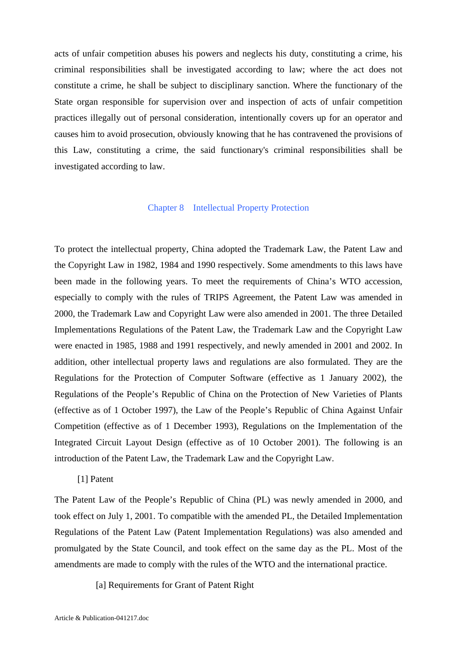acts of unfair competition abuses his powers and neglects his duty, constituting a crime, his criminal responsibilities shall be investigated according to law; where the act does not constitute a crime, he shall be subject to disciplinary sanction. Where the functionary of the State organ responsible for supervision over and inspection of acts of unfair competition practices illegally out of personal consideration, intentionally covers up for an operator and causes him to avoid prosecution, obviously knowing that he has contravened the provisions of this Law, constituting a crime, the said functionary's criminal responsibilities shall be investigated according to law.

### Chapter 8 Intellectual Property Protection

To protect the intellectual property, China adopted the Trademark Law, the Patent Law and the Copyright Law in 1982, 1984 and 1990 respectively. Some amendments to this laws have been made in the following years. To meet the requirements of China's WTO accession, especially to comply with the rules of TRIPS Agreement, the Patent Law was amended in 2000, the Trademark Law and Copyright Law were also amended in 2001. The three Detailed Implementations Regulations of the Patent Law, the Trademark Law and the Copyright Law were enacted in 1985, 1988 and 1991 respectively, and newly amended in 2001 and 2002. In addition, other intellectual property laws and regulations are also formulated. They are the Regulations for the Protection of Computer Software (effective as 1 January 2002), the Regulations of the People's Republic of China on the Protection of New Varieties of Plants (effective as of 1 October 1997), the Law of the People's Republic of China Against Unfair Competition (effective as of 1 December 1993), Regulations on the Implementation of the Integrated Circuit Layout Design (effective as of 10 October 2001). The following is an introduction of the Patent Law, the Trademark Law and the Copyright Law.

### [1] Patent

The Patent Law of the People's Republic of China (PL) was newly amended in 2000, and took effect on July 1, 2001. To compatible with the amended PL, the Detailed Implementation Regulations of the Patent Law (Patent Implementation Regulations) was also amended and promulgated by the State Council, and took effect on the same day as the PL. Most of the amendments are made to comply with the rules of the WTO and the international practice.

[a] Requirements for Grant of Patent Right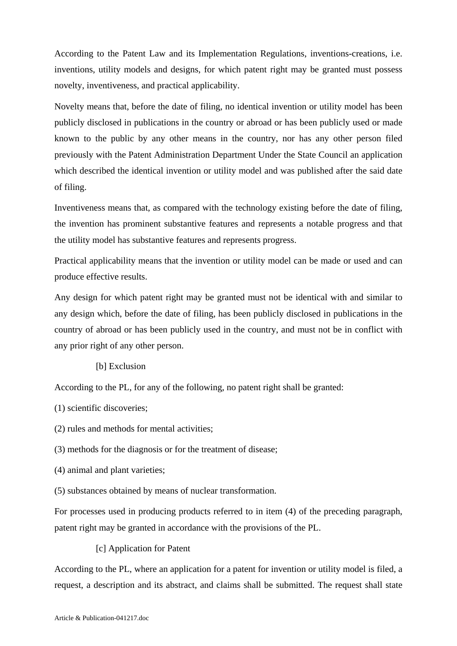According to the Patent Law and its Implementation Regulations, inventions-creations, i.e. inventions, utility models and designs, for which patent right may be granted must possess novelty, inventiveness, and practical applicability.

Novelty means that, before the date of filing, no identical invention or utility model has been publicly disclosed in publications in the country or abroad or has been publicly used or made known to the public by any other means in the country, nor has any other person filed previously with the Patent Administration Department Under the State Council an application which described the identical invention or utility model and was published after the said date of filing.

Inventiveness means that, as compared with the technology existing before the date of filing, the invention has prominent substantive features and represents a notable progress and that the utility model has substantive features and represents progress.

Practical applicability means that the invention or utility model can be made or used and can produce effective results.

Any design for which patent right may be granted must not be identical with and similar to any design which, before the date of filing, has been publicly disclosed in publications in the country of abroad or has been publicly used in the country, and must not be in conflict with any prior right of any other person.

# [b] Exclusion

According to the PL, for any of the following, no patent right shall be granted:

- (1) scientific discoveries;
- (2) rules and methods for mental activities;
- (3) methods for the diagnosis or for the treatment of disease;
- (4) animal and plant varieties;
- (5) substances obtained by means of nuclear transformation.

For processes used in producing products referred to in item (4) of the preceding paragraph, patent right may be granted in accordance with the provisions of the PL.

[c] Application for Patent

According to the PL, where an application for a patent for invention or utility model is filed, a request, a description and its abstract, and claims shall be submitted. The request shall state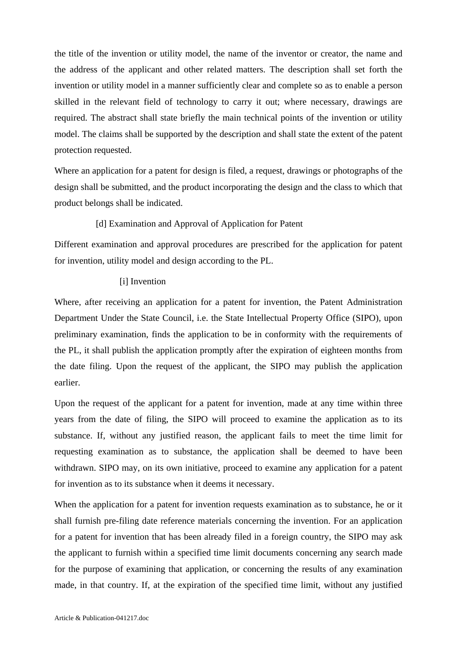the title of the invention or utility model, the name of the inventor or creator, the name and the address of the applicant and other related matters. The description shall set forth the invention or utility model in a manner sufficiently clear and complete so as to enable a person skilled in the relevant field of technology to carry it out; where necessary, drawings are required. The abstract shall state briefly the main technical points of the invention or utility model. The claims shall be supported by the description and shall state the extent of the patent protection requested.

Where an application for a patent for design is filed, a request, drawings or photographs of the design shall be submitted, and the product incorporating the design and the class to which that product belongs shall be indicated.

# [d] Examination and Approval of Application for Patent

Different examination and approval procedures are prescribed for the application for patent for invention, utility model and design according to the PL.

# [i] Invention

Where, after receiving an application for a patent for invention, the Patent Administration Department Under the State Council, i.e. the State Intellectual Property Office (SIPO), upon preliminary examination, finds the application to be in conformity with the requirements of the PL, it shall publish the application promptly after the expiration of eighteen months from the date filing. Upon the request of the applicant, the SIPO may publish the application earlier.

Upon the request of the applicant for a patent for invention, made at any time within three years from the date of filing, the SIPO will proceed to examine the application as to its substance. If, without any justified reason, the applicant fails to meet the time limit for requesting examination as to substance, the application shall be deemed to have been withdrawn. SIPO may, on its own initiative, proceed to examine any application for a patent for invention as to its substance when it deems it necessary.

When the application for a patent for invention requests examination as to substance, he or it shall furnish pre-filing date reference materials concerning the invention. For an application for a patent for invention that has been already filed in a foreign country, the SIPO may ask the applicant to furnish within a specified time limit documents concerning any search made for the purpose of examining that application, or concerning the results of any examination made, in that country. If, at the expiration of the specified time limit, without any justified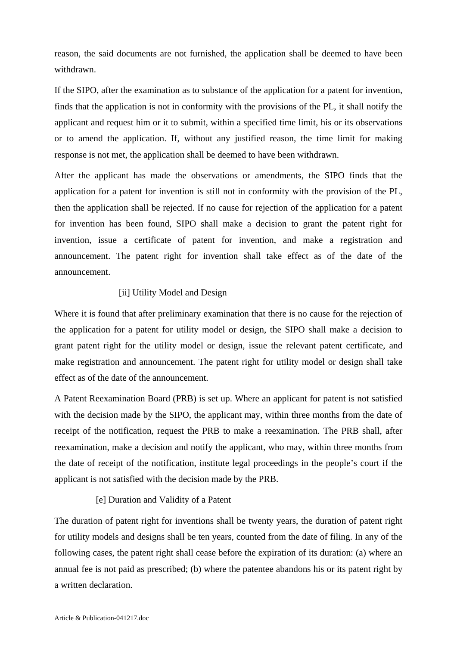reason, the said documents are not furnished, the application shall be deemed to have been withdrawn.

If the SIPO, after the examination as to substance of the application for a patent for invention, finds that the application is not in conformity with the provisions of the PL, it shall notify the applicant and request him or it to submit, within a specified time limit, his or its observations or to amend the application. If, without any justified reason, the time limit for making response is not met, the application shall be deemed to have been withdrawn.

After the applicant has made the observations or amendments, the SIPO finds that the application for a patent for invention is still not in conformity with the provision of the PL, then the application shall be rejected. If no cause for rejection of the application for a patent for invention has been found, SIPO shall make a decision to grant the patent right for invention, issue a certificate of patent for invention, and make a registration and announcement. The patent right for invention shall take effect as of the date of the announcement.

## [ii] Utility Model and Design

Where it is found that after preliminary examination that there is no cause for the rejection of the application for a patent for utility model or design, the SIPO shall make a decision to grant patent right for the utility model or design, issue the relevant patent certificate, and make registration and announcement. The patent right for utility model or design shall take effect as of the date of the announcement.

A Patent Reexamination Board (PRB) is set up. Where an applicant for patent is not satisfied with the decision made by the SIPO, the applicant may, within three months from the date of receipt of the notification, request the PRB to make a reexamination. The PRB shall, after reexamination, make a decision and notify the applicant, who may, within three months from the date of receipt of the notification, institute legal proceedings in the people's court if the applicant is not satisfied with the decision made by the PRB.

### [e] Duration and Validity of a Patent

The duration of patent right for inventions shall be twenty years, the duration of patent right for utility models and designs shall be ten years, counted from the date of filing. In any of the following cases, the patent right shall cease before the expiration of its duration: (a) where an annual fee is not paid as prescribed; (b) where the patentee abandons his or its patent right by a written declaration.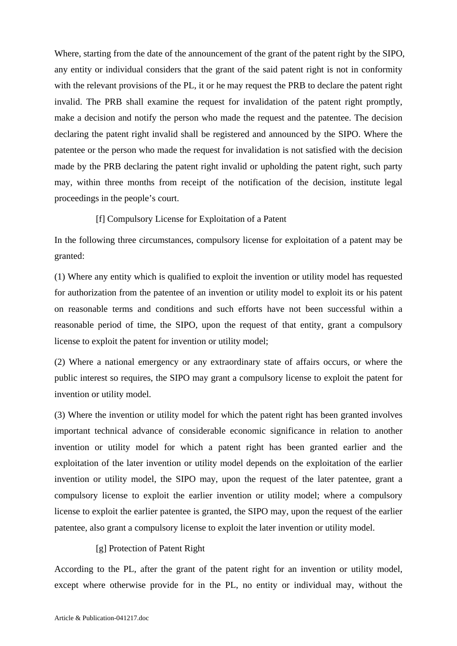Where, starting from the date of the announcement of the grant of the patent right by the SIPO, any entity or individual considers that the grant of the said patent right is not in conformity with the relevant provisions of the PL, it or he may request the PRB to declare the patent right invalid. The PRB shall examine the request for invalidation of the patent right promptly, make a decision and notify the person who made the request and the patentee. The decision declaring the patent right invalid shall be registered and announced by the SIPO. Where the patentee or the person who made the request for invalidation is not satisfied with the decision made by the PRB declaring the patent right invalid or upholding the patent right, such party may, within three months from receipt of the notification of the decision, institute legal proceedings in the people's court.

#### [f] Compulsory License for Exploitation of a Patent

In the following three circumstances, compulsory license for exploitation of a patent may be granted:

(1) Where any entity which is qualified to exploit the invention or utility model has requested for authorization from the patentee of an invention or utility model to exploit its or his patent on reasonable terms and conditions and such efforts have not been successful within a reasonable period of time, the SIPO, upon the request of that entity, grant a compulsory license to exploit the patent for invention or utility model;

(2) Where a national emergency or any extraordinary state of affairs occurs, or where the public interest so requires, the SIPO may grant a compulsory license to exploit the patent for invention or utility model.

(3) Where the invention or utility model for which the patent right has been granted involves important technical advance of considerable economic significance in relation to another invention or utility model for which a patent right has been granted earlier and the exploitation of the later invention or utility model depends on the exploitation of the earlier invention or utility model, the SIPO may, upon the request of the later patentee, grant a compulsory license to exploit the earlier invention or utility model; where a compulsory license to exploit the earlier patentee is granted, the SIPO may, upon the request of the earlier patentee, also grant a compulsory license to exploit the later invention or utility model.

### [g] Protection of Patent Right

According to the PL, after the grant of the patent right for an invention or utility model, except where otherwise provide for in the PL, no entity or individual may, without the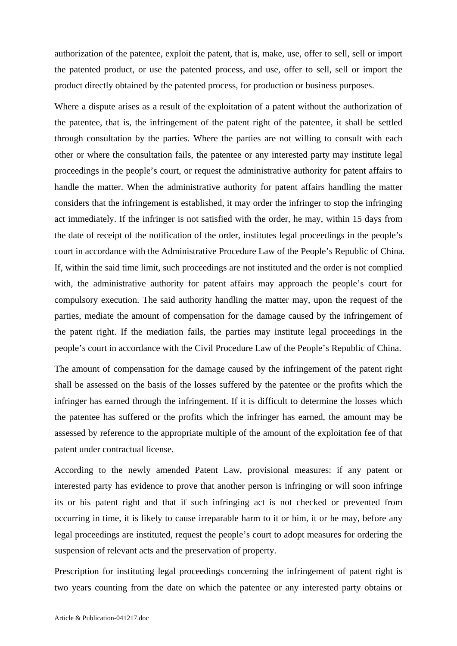authorization of the patentee, exploit the patent, that is, make, use, offer to sell, sell or import the patented product, or use the patented process, and use, offer to sell, sell or import the product directly obtained by the patented process, for production or business purposes.

Where a dispute arises as a result of the exploitation of a patent without the authorization of the patentee, that is, the infringement of the patent right of the patentee, it shall be settled through consultation by the parties. Where the parties are not willing to consult with each other or where the consultation fails, the patentee or any interested party may institute legal proceedings in the people's court, or request the administrative authority for patent affairs to handle the matter. When the administrative authority for patent affairs handling the matter considers that the infringement is established, it may order the infringer to stop the infringing act immediately. If the infringer is not satisfied with the order, he may, within 15 days from the date of receipt of the notification of the order, institutes legal proceedings in the people's court in accordance with the Administrative Procedure Law of the People's Republic of China. If, within the said time limit, such proceedings are not instituted and the order is not complied with, the administrative authority for patent affairs may approach the people's court for compulsory execution. The said authority handling the matter may, upon the request of the parties, mediate the amount of compensation for the damage caused by the infringement of the patent right. If the mediation fails, the parties may institute legal proceedings in the people's court in accordance with the Civil Procedure Law of the People's Republic of China.

The amount of compensation for the damage caused by the infringement of the patent right shall be assessed on the basis of the losses suffered by the patentee or the profits which the infringer has earned through the infringement. If it is difficult to determine the losses which the patentee has suffered or the profits which the infringer has earned, the amount may be assessed by reference to the appropriate multiple of the amount of the exploitation fee of that patent under contractual license.

According to the newly amended Patent Law, provisional measures: if any patent or interested party has evidence to prove that another person is infringing or will soon infringe its or his patent right and that if such infringing act is not checked or prevented from occurring in time, it is likely to cause irreparable harm to it or him, it or he may, before any legal proceedings are instituted, request the people's court to adopt measures for ordering the suspension of relevant acts and the preservation of property.

Prescription for instituting legal proceedings concerning the infringement of patent right is two years counting from the date on which the patentee or any interested party obtains or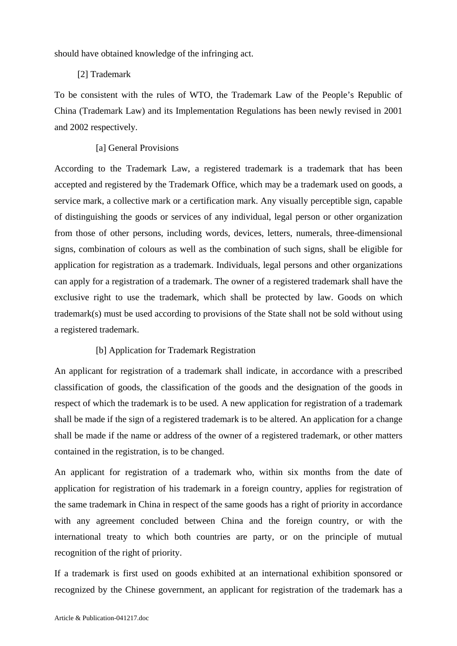should have obtained knowledge of the infringing act.

# [2] Trademark

To be consistent with the rules of WTO, the Trademark Law of the People's Republic of China (Trademark Law) and its Implementation Regulations has been newly revised in 2001 and 2002 respectively.

# [a] General Provisions

According to the Trademark Law, a registered trademark is a trademark that has been accepted and registered by the Trademark Office, which may be a trademark used on goods, a service mark, a collective mark or a certification mark. Any visually perceptible sign, capable of distinguishing the goods or services of any individual, legal person or other organization from those of other persons, including words, devices, letters, numerals, three-dimensional signs, combination of colours as well as the combination of such signs, shall be eligible for application for registration as a trademark. Individuals, legal persons and other organizations can apply for a registration of a trademark. The owner of a registered trademark shall have the exclusive right to use the trademark, which shall be protected by law. Goods on which trademark(s) must be used according to provisions of the State shall not be sold without using a registered trademark.

# [b] Application for Trademark Registration

An applicant for registration of a trademark shall indicate, in accordance with a prescribed classification of goods, the classification of the goods and the designation of the goods in respect of which the trademark is to be used. A new application for registration of a trademark shall be made if the sign of a registered trademark is to be altered. An application for a change shall be made if the name or address of the owner of a registered trademark, or other matters contained in the registration, is to be changed.

An applicant for registration of a trademark who, within six months from the date of application for registration of his trademark in a foreign country, applies for registration of the same trademark in China in respect of the same goods has a right of priority in accordance with any agreement concluded between China and the foreign country, or with the international treaty to which both countries are party, or on the principle of mutual recognition of the right of priority.

If a trademark is first used on goods exhibited at an international exhibition sponsored or recognized by the Chinese government, an applicant for registration of the trademark has a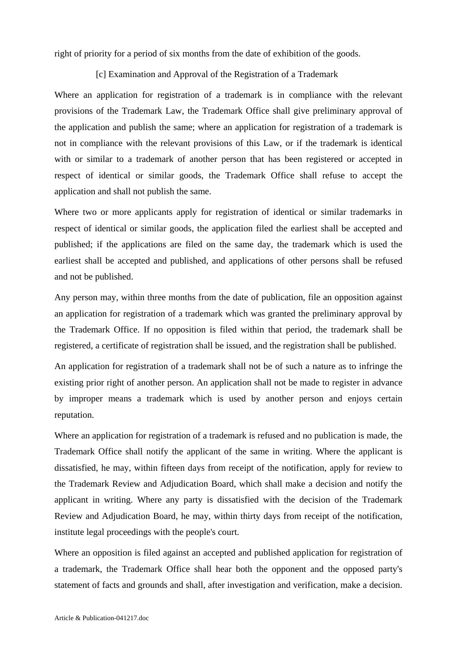right of priority for a period of six months from the date of exhibition of the goods.

[c] Examination and Approval of the Registration of a Trademark

Where an application for registration of a trademark is in compliance with the relevant provisions of the Trademark Law, the Trademark Office shall give preliminary approval of the application and publish the same; where an application for registration of a trademark is not in compliance with the relevant provisions of this Law, or if the trademark is identical with or similar to a trademark of another person that has been registered or accepted in respect of identical or similar goods, the Trademark Office shall refuse to accept the application and shall not publish the same.

Where two or more applicants apply for registration of identical or similar trademarks in respect of identical or similar goods, the application filed the earliest shall be accepted and published; if the applications are filed on the same day, the trademark which is used the earliest shall be accepted and published, and applications of other persons shall be refused and not be published.

Any person may, within three months from the date of publication, file an opposition against an application for registration of a trademark which was granted the preliminary approval by the Trademark Office. If no opposition is filed within that period, the trademark shall be registered, a certificate of registration shall be issued, and the registration shall be published.

An application for registration of a trademark shall not be of such a nature as to infringe the existing prior right of another person. An application shall not be made to register in advance by improper means a trademark which is used by another person and enjoys certain reputation.

Where an application for registration of a trademark is refused and no publication is made, the Trademark Office shall notify the applicant of the same in writing. Where the applicant is dissatisfied, he may, within fifteen days from receipt of the notification, apply for review to the Trademark Review and Adjudication Board, which shall make a decision and notify the applicant in writing. Where any party is dissatisfied with the decision of the Trademark Review and Adjudication Board, he may, within thirty days from receipt of the notification, institute legal proceedings with the people's court.

Where an opposition is filed against an accepted and published application for registration of a trademark, the Trademark Office shall hear both the opponent and the opposed party's statement of facts and grounds and shall, after investigation and verification, make a decision.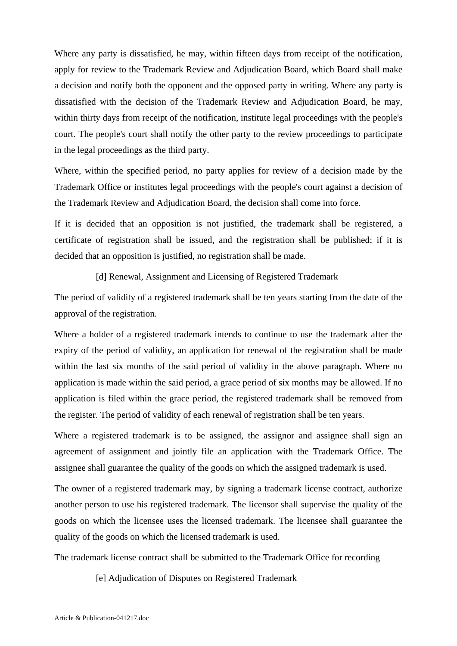Where any party is dissatisfied, he may, within fifteen days from receipt of the notification, apply for review to the Trademark Review and Adjudication Board, which Board shall make a decision and notify both the opponent and the opposed party in writing. Where any party is dissatisfied with the decision of the Trademark Review and Adjudication Board, he may, within thirty days from receipt of the notification, institute legal proceedings with the people's court. The people's court shall notify the other party to the review proceedings to participate in the legal proceedings as the third party.

Where, within the specified period, no party applies for review of a decision made by the Trademark Office or institutes legal proceedings with the people's court against a decision of the Trademark Review and Adjudication Board, the decision shall come into force.

If it is decided that an opposition is not justified, the trademark shall be registered, a certificate of registration shall be issued, and the registration shall be published; if it is decided that an opposition is justified, no registration shall be made.

[d] Renewal, Assignment and Licensing of Registered Trademark

The period of validity of a registered trademark shall be ten years starting from the date of the approval of the registration.

Where a holder of a registered trademark intends to continue to use the trademark after the expiry of the period of validity, an application for renewal of the registration shall be made within the last six months of the said period of validity in the above paragraph. Where no application is made within the said period, a grace period of six months may be allowed. If no application is filed within the grace period, the registered trademark shall be removed from the register. The period of validity of each renewal of registration shall be ten years.

Where a registered trademark is to be assigned, the assignor and assignee shall sign an agreement of assignment and jointly file an application with the Trademark Office. The assignee shall guarantee the quality of the goods on which the assigned trademark is used.

The owner of a registered trademark may, by signing a trademark license contract, authorize another person to use his registered trademark. The licensor shall supervise the quality of the goods on which the licensee uses the licensed trademark. The licensee shall guarantee the quality of the goods on which the licensed trademark is used.

The trademark license contract shall be submitted to the Trademark Office for recording

[e] Adjudication of Disputes on Registered Trademark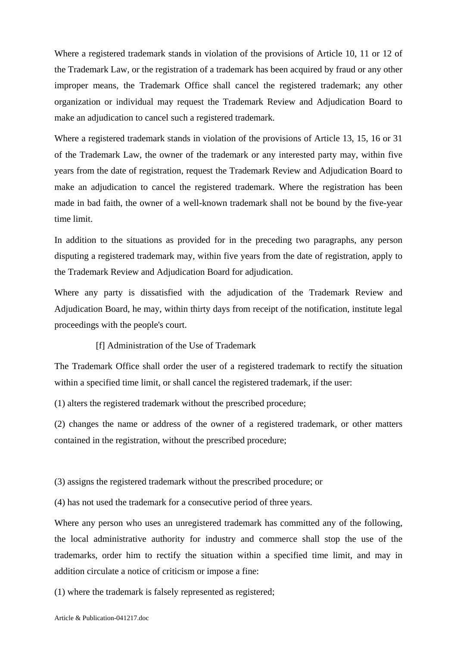Where a registered trademark stands in violation of the provisions of Article 10, 11 or 12 of the Trademark Law, or the registration of a trademark has been acquired by fraud or any other improper means, the Trademark Office shall cancel the registered trademark; any other organization or individual may request the Trademark Review and Adjudication Board to make an adjudication to cancel such a registered trademark.

Where a registered trademark stands in violation of the provisions of Article 13, 15, 16 or 31 of the Trademark Law, the owner of the trademark or any interested party may, within five years from the date of registration, request the Trademark Review and Adjudication Board to make an adjudication to cancel the registered trademark. Where the registration has been made in bad faith, the owner of a well-known trademark shall not be bound by the five-year time limit.

In addition to the situations as provided for in the preceding two paragraphs, any person disputing a registered trademark may, within five years from the date of registration, apply to the Trademark Review and Adjudication Board for adjudication.

Where any party is dissatisfied with the adjudication of the Trademark Review and Adjudication Board, he may, within thirty days from receipt of the notification, institute legal proceedings with the people's court.

[f] Administration of the Use of Trademark

The Trademark Office shall order the user of a registered trademark to rectify the situation within a specified time limit, or shall cancel the registered trademark, if the user:

(1) alters the registered trademark without the prescribed procedure;

(2) changes the name or address of the owner of a registered trademark, or other matters contained in the registration, without the prescribed procedure;

(3) assigns the registered trademark without the prescribed procedure; or

(4) has not used the trademark for a consecutive period of three years.

Where any person who uses an unregistered trademark has committed any of the following, the local administrative authority for industry and commerce shall stop the use of the trademarks, order him to rectify the situation within a specified time limit, and may in addition circulate a notice of criticism or impose a fine:

(1) where the trademark is falsely represented as registered;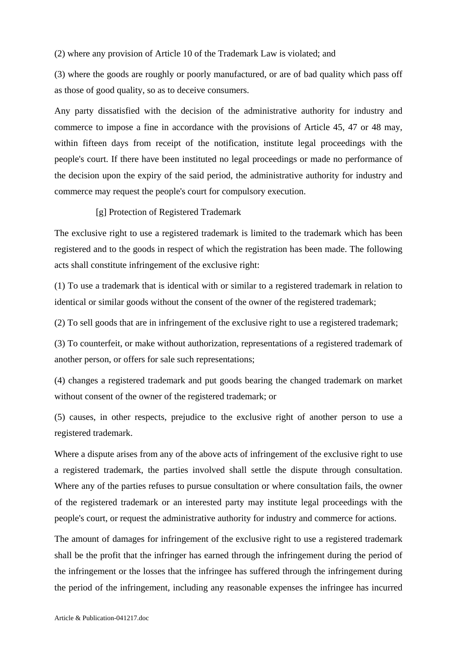(2) where any provision of Article 10 of the Trademark Law is violated; and

(3) where the goods are roughly or poorly manufactured, or are of bad quality which pass off as those of good quality, so as to deceive consumers.

Any party dissatisfied with the decision of the administrative authority for industry and commerce to impose a fine in accordance with the provisions of Article 45, 47 or 48 may, within fifteen days from receipt of the notification, institute legal proceedings with the people's court. If there have been instituted no legal proceedings or made no performance of the decision upon the expiry of the said period, the administrative authority for industry and commerce may request the people's court for compulsory execution.

### [g] Protection of Registered Trademark

The exclusive right to use a registered trademark is limited to the trademark which has been registered and to the goods in respect of which the registration has been made. The following acts shall constitute infringement of the exclusive right:

(1) To use a trademark that is identical with or similar to a registered trademark in relation to identical or similar goods without the consent of the owner of the registered trademark;

(2) To sell goods that are in infringement of the exclusive right to use a registered trademark;

(3) To counterfeit, or make without authorization, representations of a registered trademark of another person, or offers for sale such representations;

(4) changes a registered trademark and put goods bearing the changed trademark on market without consent of the owner of the registered trademark; or

(5) causes, in other respects, prejudice to the exclusive right of another person to use a registered trademark.

Where a dispute arises from any of the above acts of infringement of the exclusive right to use a registered trademark, the parties involved shall settle the dispute through consultation. Where any of the parties refuses to pursue consultation or where consultation fails, the owner of the registered trademark or an interested party may institute legal proceedings with the people's court, or request the administrative authority for industry and commerce for actions.

The amount of damages for infringement of the exclusive right to use a registered trademark shall be the profit that the infringer has earned through the infringement during the period of the infringement or the losses that the infringee has suffered through the infringement during the period of the infringement, including any reasonable expenses the infringee has incurred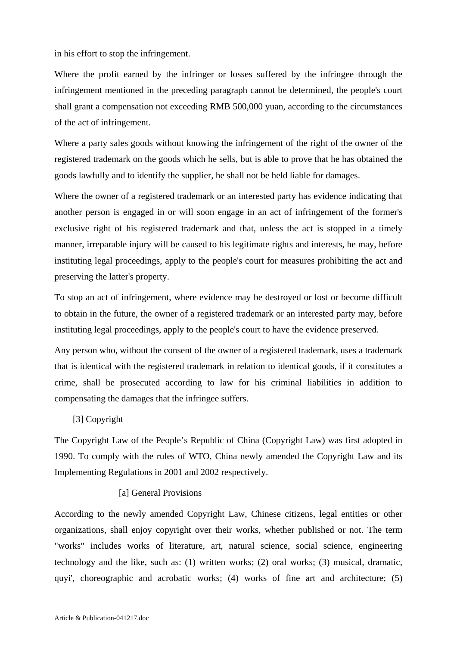in his effort to stop the infringement.

Where the profit earned by the infringer or losses suffered by the infringee through the infringement mentioned in the preceding paragraph cannot be determined, the people's court shall grant a compensation not exceeding RMB 500,000 yuan, according to the circumstances of the act of infringement.

Where a party sales goods without knowing the infringement of the right of the owner of the registered trademark on the goods which he sells, but is able to prove that he has obtained the goods lawfully and to identify the supplier, he shall not be held liable for damages.

Where the owner of a registered trademark or an interested party has evidence indicating that another person is engaged in or will soon engage in an act of infringement of the former's exclusive right of his registered trademark and that, unless the act is stopped in a timely manner, irreparable injury will be caused to his legitimate rights and interests, he may, before instituting legal proceedings, apply to the people's court for measures prohibiting the act and preserving the latter's property.

To stop an act of infringement, where evidence may be destroyed or lost or become difficult to obtain in the future, the owner of a registered trademark or an interested party may, before instituting legal proceedings, apply to the people's court to have the evidence preserved.

Any person who, without the consent of the owner of a registered trademark, uses a trademark that is identical with the registered trademark in relation to identical goods, if it constitutes a crime, shall be prosecuted according to law for his criminal liabilities in addition to compensating the damages that the infringee suffers.

# [3] Copyright

The Copyright Law of the People's Republic of China (Copyright Law) was first adopted in 1990. To comply with the rules of WTO, China newly amended the Copyright Law and its Implementing Regulations in 2001 and 2002 respectively.

# [a] General Provisions

According to the newly amended Copyright Law, Chinese citizens, legal entities or other organizations, shall enjoy copyright over their works, whether published or not. The term "works" includes works of literature, art, natural science, social science, engineering technology and the like, such as: (1) written works; (2) oral works; (3) musical, dramatic, quyi', choreographic and acrobatic works; (4) works of fine art and architecture; (5)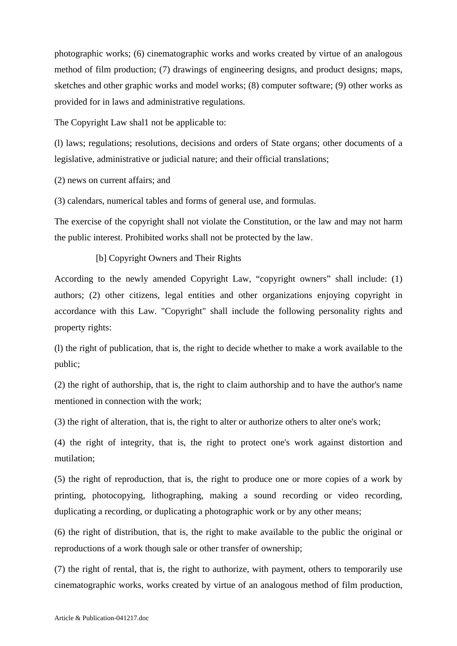photographic works; (6) cinematographic works and works created by virtue of an analogous method of film production; (7) drawings of engineering designs, and product designs; maps, sketches and other graphic works and model works; (8) computer software; (9) other works as provided for in laws and administrative regulations.

The Copyright Law shal1 not be applicable to:

(l) laws; regulations; resolutions, decisions and orders of State organs; other documents of a legislative, administrative or judicial nature; and their official translations;

(2) news on current affairs; and

(3) calendars, numerical tables and forms of general use, and formulas.

The exercise of the copyright shall not violate the Constitution, or the law and may not harm the public interest. Prohibited works shall not be protected by the law.

[b] Copyright Owners and Their Rights

According to the newly amended Copyright Law, "copyright owners" shall include: (1) authors; (2) other citizens, legal entities and other organizations enjoying copyright in accordance with this Law. "Copyright" shall include the following personality rights and property rights:

(l) the right of publication, that is, the right to decide whether to make a work available to the public;

(2) the right of authorship, that is, the right to claim authorship and to have the author's name mentioned in connection with the work;

(3) the right of alteration, that is, the right to alter or authorize others to alter one's work;

(4) the right of integrity, that is, the right to protect one's work against distortion and mutilation;

(5) the right of reproduction, that is, the right to produce one or more copies of a work by printing, photocopying, lithographing, making a sound recording or video recording, duplicating a recording, or duplicating a photographic work or by any other means;

(6) the right of distribution, that is, the right to make available to the public the original or reproductions of a work though sale or other transfer of ownership;

(7) the right of rental, that is, the right to authorize, with payment, others to temporarily use cinematographic works, works created by virtue of an analogous method of film production,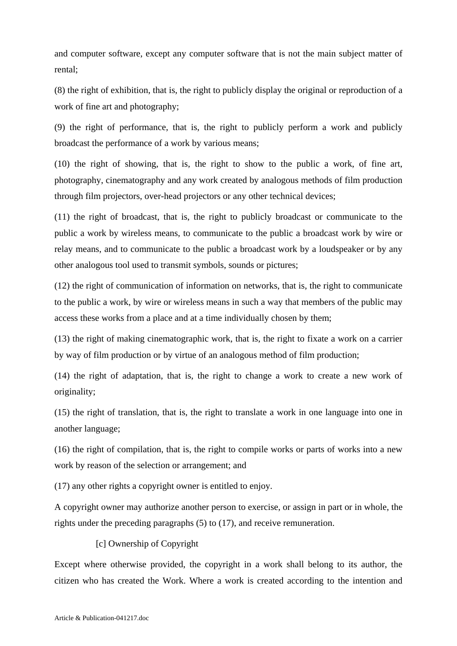and computer software, except any computer software that is not the main subject matter of rental;

(8) the right of exhibition, that is, the right to publicly display the original or reproduction of a work of fine art and photography;

(9) the right of performance, that is, the right to publicly perform a work and publicly broadcast the performance of a work by various means;

(10) the right of showing, that is, the right to show to the public a work, of fine art, photography, cinematography and any work created by analogous methods of film production through film projectors, over-head projectors or any other technical devices;

(11) the right of broadcast, that is, the right to publicly broadcast or communicate to the public a work by wireless means, to communicate to the public a broadcast work by wire or relay means, and to communicate to the public a broadcast work by a loudspeaker or by any other analogous tool used to transmit symbols, sounds or pictures;

(12) the right of communication of information on networks, that is, the right to communicate to the public a work, by wire or wireless means in such a way that members of the public may access these works from a place and at a time individually chosen by them;

(13) the right of making cinematographic work, that is, the right to fixate a work on a carrier by way of film production or by virtue of an analogous method of film production;

(14) the right of adaptation, that is, the right to change a work to create a new work of originality;

(15) the right of translation, that is, the right to translate a work in one language into one in another language;

(16) the right of compilation, that is, the right to compile works or parts of works into a new work by reason of the selection or arrangement; and

(17) any other rights a copyright owner is entitled to enjoy.

A copyright owner may authorize another person to exercise, or assign in part or in whole, the rights under the preceding paragraphs (5) to (17), and receive remuneration.

# [c] Ownership of Copyright

Except where otherwise provided, the copyright in a work shall belong to its author, the citizen who has created the Work. Where a work is created according to the intention and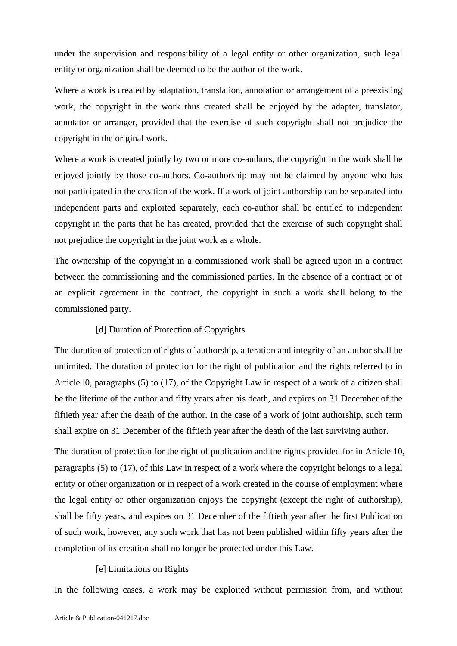under the supervision and responsibility of a legal entity or other organization, such legal entity or organization shall be deemed to be the author of the work.

Where a work is created by adaptation, translation, annotation or arrangement of a preexisting work, the copyright in the work thus created shall be enjoyed by the adapter, translator, annotator or arranger, provided that the exercise of such copyright shall not prejudice the copyright in the original work.

Where a work is created jointly by two or more co-authors, the copyright in the work shall be enjoyed jointly by those co-authors. Co-authorship may not be claimed by anyone who has not participated in the creation of the work. If a work of joint authorship can be separated into independent parts and exploited separately, each co-author shall be entitled to independent copyright in the parts that he has created, provided that the exercise of such copyright shall not prejudice the copyright in the joint work as a whole.

The ownership of the copyright in a commissioned work shall be agreed upon in a contract between the commissioning and the commissioned parties. In the absence of a contract or of an explicit agreement in the contract, the copyright in such a work shall belong to the commissioned party.

#### [d] Duration of Protection of Copyrights

The duration of protection of rights of authorship, alteration and integrity of an author shall be unlimited. The duration of protection for the right of publication and the rights referred to in Article l0, paragraphs (5) to (17), of the Copyright Law in respect of a work of a citizen shall be the lifetime of the author and fifty years after his death, and expires on 31 December of the fiftieth year after the death of the author. In the case of a work of joint authorship, such term shall expire on 31 December of the fiftieth year after the death of the last surviving author.

The duration of protection for the right of publication and the rights provided for in Article 10, paragraphs (5) to (17), of this Law in respect of a work where the copyright belongs to a legal entity or other organization or in respect of a work created in the course of employment where the legal entity or other organization enjoys the copyright (except the right of authorship), shall be fifty years, and expires on 31 December of the fiftieth year after the first Publication of such work, however, any such work that has not been published within fifty years after the completion of its creation shall no longer be protected under this Law.

# [e] Limitations on Rights

In the following cases, a work may be exploited without permission from, and without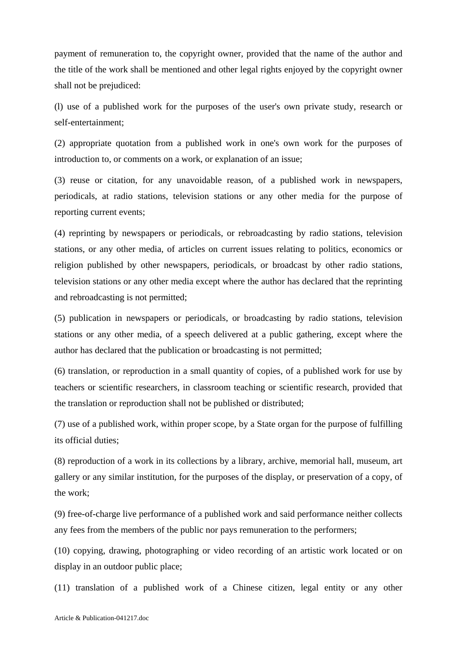payment of remuneration to, the copyright owner, provided that the name of the author and the title of the work shall be mentioned and other legal rights enjoyed by the copyright owner shall not be prejudiced:

(l) use of a published work for the purposes of the user's own private study, research or self-entertainment;

(2) appropriate quotation from a published work in one's own work for the purposes of introduction to, or comments on a work, or explanation of an issue;

(3) reuse or citation, for any unavoidable reason, of a published work in newspapers, periodicals, at radio stations, television stations or any other media for the purpose of reporting current events;

(4) reprinting by newspapers or periodicals, or rebroadcasting by radio stations, television stations, or any other media, of articles on current issues relating to politics, economics or religion published by other newspapers, periodicals, or broadcast by other radio stations, television stations or any other media except where the author has declared that the reprinting and rebroadcasting is not permitted;

(5) publication in newspapers or periodicals, or broadcasting by radio stations, television stations or any other media, of a speech delivered at a public gathering, except where the author has declared that the publication or broadcasting is not permitted;

(6) translation, or reproduction in a small quantity of copies, of a published work for use by teachers or scientific researchers, in classroom teaching or scientific research, provided that the translation or reproduction shall not be published or distributed;

(7) use of a published work, within proper scope, by a State organ for the purpose of fulfilling its official duties;

(8) reproduction of a work in its collections by a library, archive, memorial hall, museum, art gallery or any similar institution, for the purposes of the display, or preservation of a copy, of the work;

(9) free-of-charge live performance of a published work and said performance neither collects any fees from the members of the public nor pays remuneration to the performers;

(10) copying, drawing, photographing or video recording of an artistic work located or on display in an outdoor public place;

(11) translation of a published work of a Chinese citizen, legal entity or any other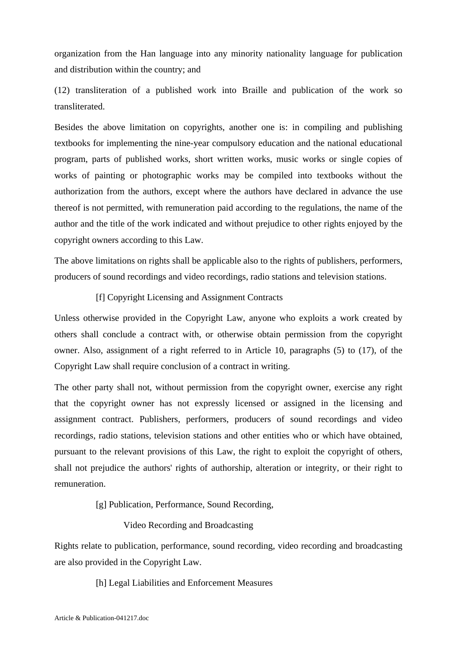organization from the Han language into any minority nationality language for publication and distribution within the country; and

(12) transliteration of a published work into Braille and publication of the work so transliterated.

Besides the above limitation on copyrights, another one is: in compiling and publishing textbooks for implementing the nine-year compulsory education and the national educational program, parts of published works, short written works, music works or single copies of works of painting or photographic works may be compiled into textbooks without the authorization from the authors, except where the authors have declared in advance the use thereof is not permitted, with remuneration paid according to the regulations, the name of the author and the title of the work indicated and without prejudice to other rights enjoyed by the copyright owners according to this Law.

The above limitations on rights shall be applicable also to the rights of publishers, performers, producers of sound recordings and video recordings, radio stations and television stations.

# [f] Copyright Licensing and Assignment Contracts

Unless otherwise provided in the Copyright Law, anyone who exploits a work created by others shall conclude a contract with, or otherwise obtain permission from the copyright owner. Also, assignment of a right referred to in Article 10, paragraphs (5) to (17), of the Copyright Law shall require conclusion of a contract in writing.

The other party shall not, without permission from the copyright owner, exercise any right that the copyright owner has not expressly licensed or assigned in the licensing and assignment contract. Publishers, performers, producers of sound recordings and video recordings, radio stations, television stations and other entities who or which have obtained, pursuant to the relevant provisions of this Law, the right to exploit the copyright of others, shall not prejudice the authors' rights of authorship, alteration or integrity, or their right to remuneration.

[g] Publication, Performance, Sound Recording,

#### Video Recording and Broadcasting

Rights relate to publication, performance, sound recording, video recording and broadcasting are also provided in the Copyright Law.

[h] Legal Liabilities and Enforcement Measures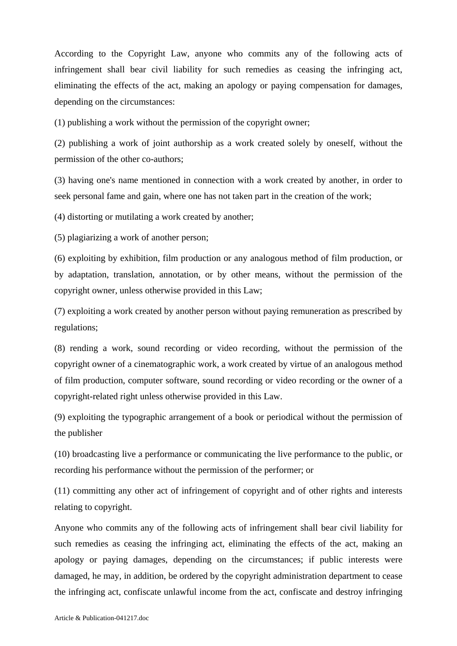According to the Copyright Law, anyone who commits any of the following acts of infringement shall bear civil liability for such remedies as ceasing the infringing act, eliminating the effects of the act, making an apology or paying compensation for damages, depending on the circumstances:

(1) publishing a work without the permission of the copyright owner;

(2) publishing a work of joint authorship as a work created solely by oneself, without the permission of the other co-authors;

(3) having one's name mentioned in connection with a work created by another, in order to seek personal fame and gain, where one has not taken part in the creation of the work;

(4) distorting or mutilating a work created by another;

(5) plagiarizing a work of another person;

(6) exploiting by exhibition, film production or any analogous method of film production, or by adaptation, translation, annotation, or by other means, without the permission of the copyright owner, unless otherwise provided in this Law;

(7) exploiting a work created by another person without paying remuneration as prescribed by regulations;

(8) rending a work, sound recording or video recording, without the permission of the copyright owner of a cinematographic work, a work created by virtue of an analogous method of film production, computer software, sound recording or video recording or the owner of a copyright-related right unless otherwise provided in this Law.

(9) exploiting the typographic arrangement of a book or periodical without the permission of the publisher

(10) broadcasting live a performance or communicating the live performance to the public, or recording his performance without the permission of the performer; or

(11) committing any other act of infringement of copyright and of other rights and interests relating to copyright.

Anyone who commits any of the following acts of infringement shall bear civil liability for such remedies as ceasing the infringing act, eliminating the effects of the act, making an apology or paying damages, depending on the circumstances; if public interests were damaged, he may, in addition, be ordered by the copyright administration department to cease the infringing act, confiscate unlawful income from the act, confiscate and destroy infringing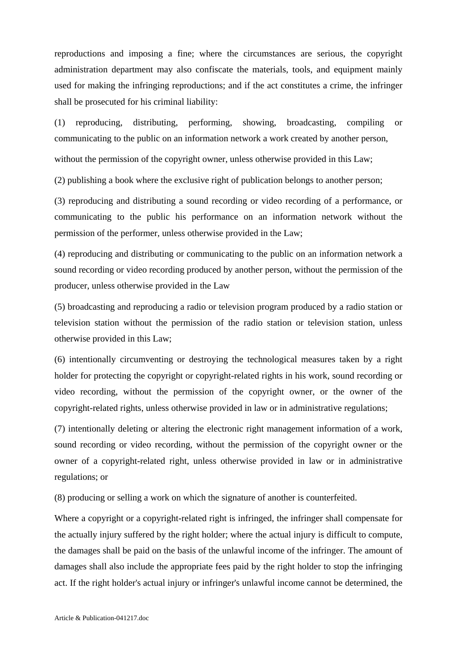reproductions and imposing a fine; where the circumstances are serious, the copyright administration department may also confiscate the materials, tools, and equipment mainly used for making the infringing reproductions; and if the act constitutes a crime, the infringer shall be prosecuted for his criminal liability:

(1) reproducing, distributing, performing, showing, broadcasting, compiling or communicating to the public on an information network a work created by another person,

without the permission of the copyright owner, unless otherwise provided in this Law;

(2) publishing a book where the exclusive right of publication belongs to another person;

(3) reproducing and distributing a sound recording or video recording of a performance, or communicating to the public his performance on an information network without the permission of the performer, unless otherwise provided in the Law;

(4) reproducing and distributing or communicating to the public on an information network a sound recording or video recording produced by another person, without the permission of the producer, unless otherwise provided in the Law

(5) broadcasting and reproducing a radio or television program produced by a radio station or television station without the permission of the radio station or television station, unless otherwise provided in this Law;

(6) intentionally circumventing or destroying the technological measures taken by a right holder for protecting the copyright or copyright-related rights in his work, sound recording or video recording, without the permission of the copyright owner, or the owner of the copyright-related rights, unless otherwise provided in law or in administrative regulations;

(7) intentionally deleting or altering the electronic right management information of a work, sound recording or video recording, without the permission of the copyright owner or the owner of a copyright-related right, unless otherwise provided in law or in administrative regulations; or

(8) producing or selling a work on which the signature of another is counterfeited.

Where a copyright or a copyright-related right is infringed, the infringer shall compensate for the actually injury suffered by the right holder; where the actual injury is difficult to compute, the damages shall be paid on the basis of the unlawful income of the infringer. The amount of damages shall also include the appropriate fees paid by the right holder to stop the infringing act. If the right holder's actual injury or infringer's unlawful income cannot be determined, the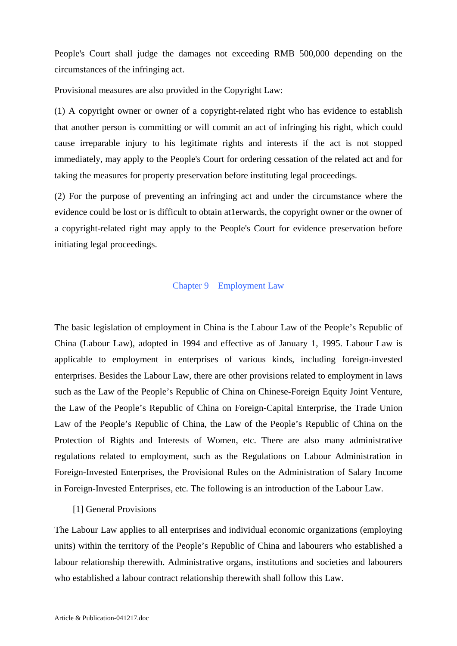People's Court shall judge the damages not exceeding RMB 500,000 depending on the circumstances of the infringing act.

Provisional measures are also provided in the Copyright Law:

(1) A copyright owner or owner of a copyright-related right who has evidence to establish that another person is committing or will commit an act of infringing his right, which could cause irreparable injury to his legitimate rights and interests if the act is not stopped immediately, may apply to the People's Court for ordering cessation of the related act and for taking the measures for property preservation before instituting legal proceedings.

(2) For the purpose of preventing an infringing act and under the circumstance where the evidence could be lost or is difficult to obtain at1erwards, the copyright owner or the owner of a copyright-related right may apply to the People's Court for evidence preservation before initiating legal proceedings.

#### Chapter 9 Employment Law

The basic legislation of employment in China is the Labour Law of the People's Republic of China (Labour Law), adopted in 1994 and effective as of January 1, 1995. Labour Law is applicable to employment in enterprises of various kinds, including foreign-invested enterprises. Besides the Labour Law, there are other provisions related to employment in laws such as the Law of the People's Republic of China on Chinese-Foreign Equity Joint Venture, the Law of the People's Republic of China on Foreign-Capital Enterprise, the Trade Union Law of the People's Republic of China, the Law of the People's Republic of China on the Protection of Rights and Interests of Women, etc. There are also many administrative regulations related to employment, such as the Regulations on Labour Administration in Foreign-Invested Enterprises, the Provisional Rules on the Administration of Salary Income in Foreign-Invested Enterprises, etc. The following is an introduction of the Labour Law.

# [1] General Provisions

The Labour Law applies to all enterprises and individual economic organizations (employing units) within the territory of the People's Republic of China and labourers who established a labour relationship therewith. Administrative organs, institutions and societies and labourers who established a labour contract relationship therewith shall follow this Law.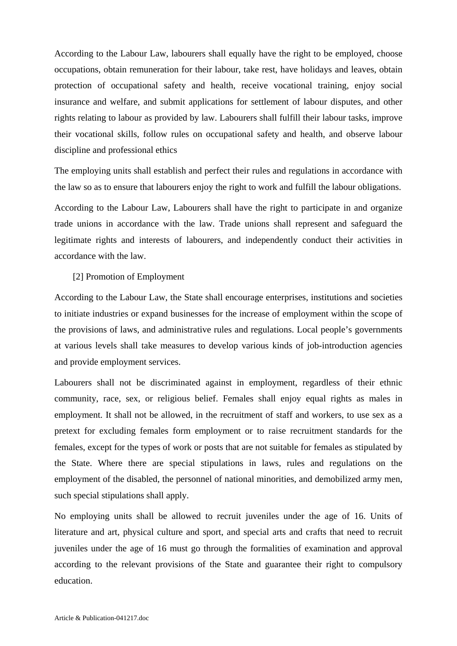According to the Labour Law, labourers shall equally have the right to be employed, choose occupations, obtain remuneration for their labour, take rest, have holidays and leaves, obtain protection of occupational safety and health, receive vocational training, enjoy social insurance and welfare, and submit applications for settlement of labour disputes, and other rights relating to labour as provided by law. Labourers shall fulfill their labour tasks, improve their vocational skills, follow rules on occupational safety and health, and observe labour discipline and professional ethics

The employing units shall establish and perfect their rules and regulations in accordance with the law so as to ensure that labourers enjoy the right to work and fulfill the labour obligations.

According to the Labour Law, Labourers shall have the right to participate in and organize trade unions in accordance with the law. Trade unions shall represent and safeguard the legitimate rights and interests of labourers, and independently conduct their activities in accordance with the law.

## [2] Promotion of Employment

According to the Labour Law, the State shall encourage enterprises, institutions and societies to initiate industries or expand businesses for the increase of employment within the scope of the provisions of laws, and administrative rules and regulations. Local people's governments at various levels shall take measures to develop various kinds of job-introduction agencies and provide employment services.

Labourers shall not be discriminated against in employment, regardless of their ethnic community, race, sex, or religious belief. Females shall enjoy equal rights as males in employment. It shall not be allowed, in the recruitment of staff and workers, to use sex as a pretext for excluding females form employment or to raise recruitment standards for the females, except for the types of work or posts that are not suitable for females as stipulated by the State. Where there are special stipulations in laws, rules and regulations on the employment of the disabled, the personnel of national minorities, and demobilized army men, such special stipulations shall apply.

No employing units shall be allowed to recruit juveniles under the age of 16. Units of literature and art, physical culture and sport, and special arts and crafts that need to recruit juveniles under the age of 16 must go through the formalities of examination and approval according to the relevant provisions of the State and guarantee their right to compulsory education.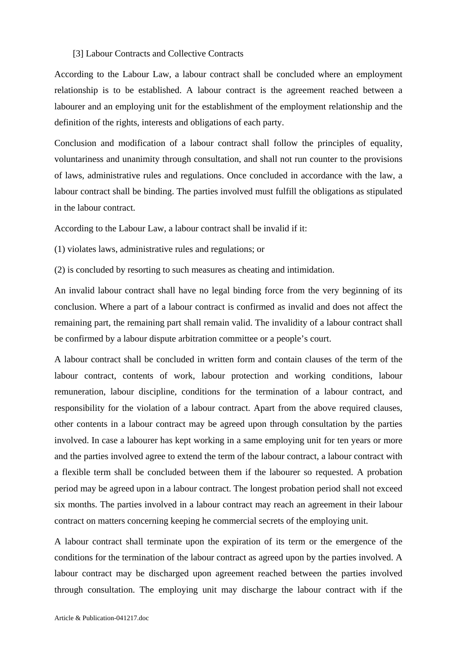#### [3] Labour Contracts and Collective Contracts

According to the Labour Law, a labour contract shall be concluded where an employment relationship is to be established. A labour contract is the agreement reached between a labourer and an employing unit for the establishment of the employment relationship and the definition of the rights, interests and obligations of each party.

Conclusion and modification of a labour contract shall follow the principles of equality, voluntariness and unanimity through consultation, and shall not run counter to the provisions of laws, administrative rules and regulations. Once concluded in accordance with the law, a labour contract shall be binding. The parties involved must fulfill the obligations as stipulated in the labour contract.

According to the Labour Law, a labour contract shall be invalid if it:

(1) violates laws, administrative rules and regulations; or

(2) is concluded by resorting to such measures as cheating and intimidation.

An invalid labour contract shall have no legal binding force from the very beginning of its conclusion. Where a part of a labour contract is confirmed as invalid and does not affect the remaining part, the remaining part shall remain valid. The invalidity of a labour contract shall be confirmed by a labour dispute arbitration committee or a people's court.

A labour contract shall be concluded in written form and contain clauses of the term of the labour contract, contents of work, labour protection and working conditions, labour remuneration, labour discipline, conditions for the termination of a labour contract, and responsibility for the violation of a labour contract. Apart from the above required clauses, other contents in a labour contract may be agreed upon through consultation by the parties involved. In case a labourer has kept working in a same employing unit for ten years or more and the parties involved agree to extend the term of the labour contract, a labour contract with a flexible term shall be concluded between them if the labourer so requested. A probation period may be agreed upon in a labour contract. The longest probation period shall not exceed six months. The parties involved in a labour contract may reach an agreement in their labour contract on matters concerning keeping he commercial secrets of the employing unit.

A labour contract shall terminate upon the expiration of its term or the emergence of the conditions for the termination of the labour contract as agreed upon by the parties involved. A labour contract may be discharged upon agreement reached between the parties involved through consultation. The employing unit may discharge the labour contract with if the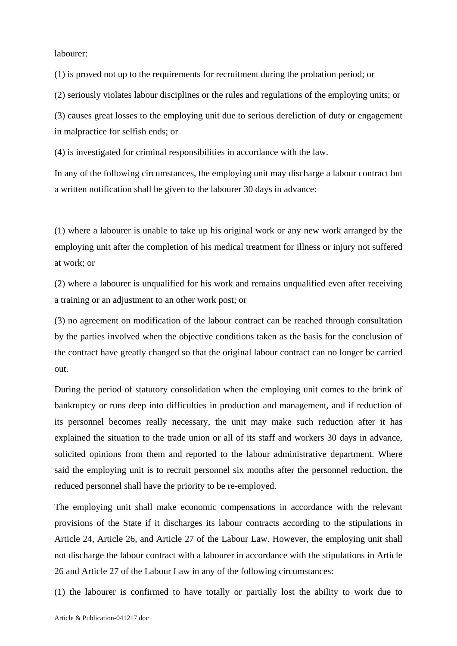labourer:

(1) is proved not up to the requirements for recruitment during the probation period; or

(2) seriously violates labour disciplines or the rules and regulations of the employing units; or

(3) causes great losses to the employing unit due to serious dereliction of duty or engagement in malpractice for selfish ends; or

(4) is investigated for criminal responsibilities in accordance with the law.

In any of the following circumstances, the employing unit may discharge a labour contract but a written notification shall be given to the labourer 30 days in advance:

(1) where a labourer is unable to take up his original work or any new work arranged by the employing unit after the completion of his medical treatment for illness or injury not suffered at work; or

(2) where a labourer is unqualified for his work and remains unqualified even after receiving a training or an adjustment to an other work post; or

(3) no agreement on modification of the labour contract can be reached through consultation by the parties involved when the objective conditions taken as the basis for the conclusion of the contract have greatly changed so that the original labour contract can no longer be carried out.

During the period of statutory consolidation when the employing unit comes to the brink of bankruptcy or runs deep into difficulties in production and management, and if reduction of its personnel becomes really necessary, the unit may make such reduction after it has explained the situation to the trade union or all of its staff and workers 30 days in advance, solicited opinions from them and reported to the labour administrative department. Where said the employing unit is to recruit personnel six months after the personnel reduction, the reduced personnel shall have the priority to be re-employed.

The employing unit shall make economic compensations in accordance with the relevant provisions of the State if it discharges its labour contracts according to the stipulations in Article 24, Article 26, and Article 27 of the Labour Law. However, the employing unit shall not discharge the labour contract with a labourer in accordance with the stipulations in Article 26 and Article 27 of the Labour Law in any of the following circumstances:

(1) the labourer is confirmed to have totally or partially lost the ability to work due to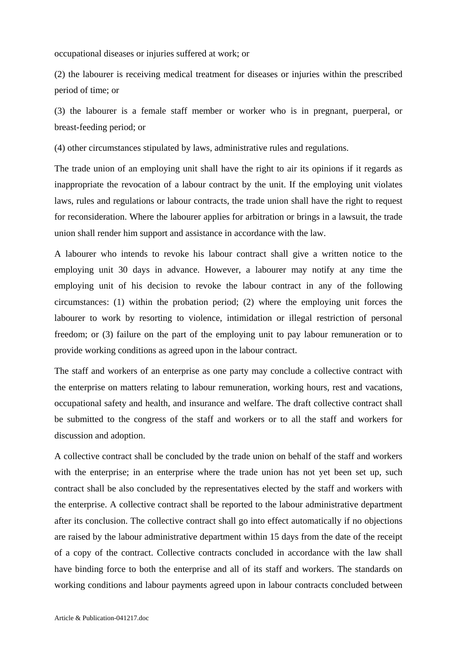occupational diseases or injuries suffered at work; or

(2) the labourer is receiving medical treatment for diseases or injuries within the prescribed period of time; or

(3) the labourer is a female staff member or worker who is in pregnant, puerperal, or breast-feeding period; or

(4) other circumstances stipulated by laws, administrative rules and regulations.

The trade union of an employing unit shall have the right to air its opinions if it regards as inappropriate the revocation of a labour contract by the unit. If the employing unit violates laws, rules and regulations or labour contracts, the trade union shall have the right to request for reconsideration. Where the labourer applies for arbitration or brings in a lawsuit, the trade union shall render him support and assistance in accordance with the law.

A labourer who intends to revoke his labour contract shall give a written notice to the employing unit 30 days in advance. However, a labourer may notify at any time the employing unit of his decision to revoke the labour contract in any of the following circumstances: (1) within the probation period; (2) where the employing unit forces the labourer to work by resorting to violence, intimidation or illegal restriction of personal freedom; or (3) failure on the part of the employing unit to pay labour remuneration or to provide working conditions as agreed upon in the labour contract.

The staff and workers of an enterprise as one party may conclude a collective contract with the enterprise on matters relating to labour remuneration, working hours, rest and vacations, occupational safety and health, and insurance and welfare. The draft collective contract shall be submitted to the congress of the staff and workers or to all the staff and workers for discussion and adoption.

A collective contract shall be concluded by the trade union on behalf of the staff and workers with the enterprise; in an enterprise where the trade union has not yet been set up, such contract shall be also concluded by the representatives elected by the staff and workers with the enterprise. A collective contract shall be reported to the labour administrative department after its conclusion. The collective contract shall go into effect automatically if no objections are raised by the labour administrative department within 15 days from the date of the receipt of a copy of the contract. Collective contracts concluded in accordance with the law shall have binding force to both the enterprise and all of its staff and workers. The standards on working conditions and labour payments agreed upon in labour contracts concluded between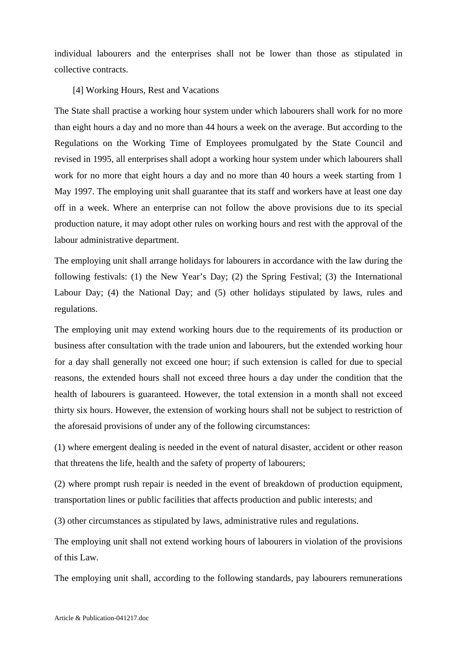individual labourers and the enterprises shall not be lower than those as stipulated in collective contracts.

### [4] Working Hours, Rest and Vacations

The State shall practise a working hour system under which labourers shall work for no more than eight hours a day and no more than 44 hours a week on the average. But according to the Regulations on the Working Time of Employees promulgated by the State Council and revised in 1995, all enterprises shall adopt a working hour system under which labourers shall work for no more that eight hours a day and no more than 40 hours a week starting from 1 May 1997. The employing unit shall guarantee that its staff and workers have at least one day off in a week. Where an enterprise can not follow the above provisions due to its special production nature, it may adopt other rules on working hours and rest with the approval of the labour administrative department.

The employing unit shall arrange holidays for labourers in accordance with the law during the following festivals: (1) the New Year's Day; (2) the Spring Festival; (3) the International Labour Day; (4) the National Day; and (5) other holidays stipulated by laws, rules and regulations.

The employing unit may extend working hours due to the requirements of its production or business after consultation with the trade union and labourers, but the extended working hour for a day shall generally not exceed one hour; if such extension is called for due to special reasons, the extended hours shall not exceed three hours a day under the condition that the health of labourers is guaranteed. However, the total extension in a month shall not exceed thirty six hours. However, the extension of working hours shall not be subject to restriction of the aforesaid provisions of under any of the following circumstances:

(1) where emergent dealing is needed in the event of natural disaster, accident or other reason that threatens the life, health and the safety of property of labourers;

(2) where prompt rush repair is needed in the event of breakdown of production equipment, transportation lines or public facilities that affects production and public interests; and

(3) other circumstances as stipulated by laws, administrative rules and regulations.

The employing unit shall not extend working hours of labourers in violation of the provisions of this Law.

The employing unit shall, according to the following standards, pay labourers remunerations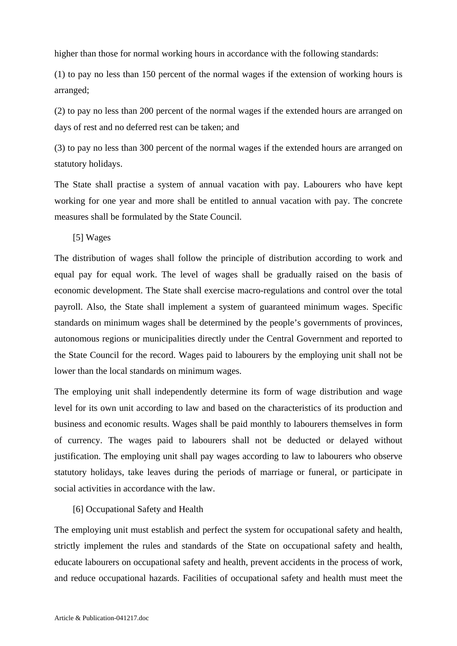higher than those for normal working hours in accordance with the following standards:

(1) to pay no less than 150 percent of the normal wages if the extension of working hours is arranged;

(2) to pay no less than 200 percent of the normal wages if the extended hours are arranged on days of rest and no deferred rest can be taken; and

(3) to pay no less than 300 percent of the normal wages if the extended hours are arranged on statutory holidays.

The State shall practise a system of annual vacation with pay. Labourers who have kept working for one year and more shall be entitled to annual vacation with pay. The concrete measures shall be formulated by the State Council.

[5] Wages

The distribution of wages shall follow the principle of distribution according to work and equal pay for equal work. The level of wages shall be gradually raised on the basis of economic development. The State shall exercise macro-regulations and control over the total payroll. Also, the State shall implement a system of guaranteed minimum wages. Specific standards on minimum wages shall be determined by the people's governments of provinces, autonomous regions or municipalities directly under the Central Government and reported to the State Council for the record. Wages paid to labourers by the employing unit shall not be lower than the local standards on minimum wages.

The employing unit shall independently determine its form of wage distribution and wage level for its own unit according to law and based on the characteristics of its production and business and economic results. Wages shall be paid monthly to labourers themselves in form of currency. The wages paid to labourers shall not be deducted or delayed without justification. The employing unit shall pay wages according to law to labourers who observe statutory holidays, take leaves during the periods of marriage or funeral, or participate in social activities in accordance with the law.

# [6] Occupational Safety and Health

The employing unit must establish and perfect the system for occupational safety and health, strictly implement the rules and standards of the State on occupational safety and health, educate labourers on occupational safety and health, prevent accidents in the process of work, and reduce occupational hazards. Facilities of occupational safety and health must meet the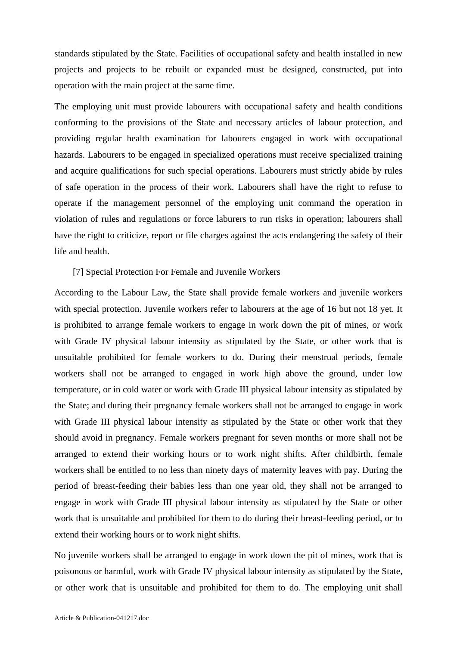standards stipulated by the State. Facilities of occupational safety and health installed in new projects and projects to be rebuilt or expanded must be designed, constructed, put into operation with the main project at the same time.

The employing unit must provide labourers with occupational safety and health conditions conforming to the provisions of the State and necessary articles of labour protection, and providing regular health examination for labourers engaged in work with occupational hazards. Labourers to be engaged in specialized operations must receive specialized training and acquire qualifications for such special operations. Labourers must strictly abide by rules of safe operation in the process of their work. Labourers shall have the right to refuse to operate if the management personnel of the employing unit command the operation in violation of rules and regulations or force laburers to run risks in operation; labourers shall have the right to criticize, report or file charges against the acts endangering the safety of their life and health.

### [7] Special Protection For Female and Juvenile Workers

According to the Labour Law, the State shall provide female workers and juvenile workers with special protection. Juvenile workers refer to labourers at the age of 16 but not 18 yet. It is prohibited to arrange female workers to engage in work down the pit of mines, or work with Grade IV physical labour intensity as stipulated by the State, or other work that is unsuitable prohibited for female workers to do. During their menstrual periods, female workers shall not be arranged to engaged in work high above the ground, under low temperature, or in cold water or work with Grade III physical labour intensity as stipulated by the State; and during their pregnancy female workers shall not be arranged to engage in work with Grade III physical labour intensity as stipulated by the State or other work that they should avoid in pregnancy. Female workers pregnant for seven months or more shall not be arranged to extend their working hours or to work night shifts. After childbirth, female workers shall be entitled to no less than ninety days of maternity leaves with pay. During the period of breast-feeding their babies less than one year old, they shall not be arranged to engage in work with Grade III physical labour intensity as stipulated by the State or other work that is unsuitable and prohibited for them to do during their breast-feeding period, or to extend their working hours or to work night shifts.

No juvenile workers shall be arranged to engage in work down the pit of mines, work that is poisonous or harmful, work with Grade IV physical labour intensity as stipulated by the State, or other work that is unsuitable and prohibited for them to do. The employing unit shall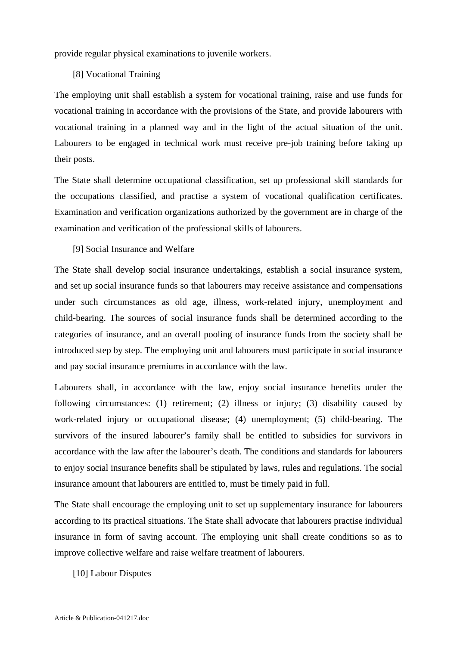provide regular physical examinations to juvenile workers.

## [8] Vocational Training

The employing unit shall establish a system for vocational training, raise and use funds for vocational training in accordance with the provisions of the State, and provide labourers with vocational training in a planned way and in the light of the actual situation of the unit. Labourers to be engaged in technical work must receive pre-job training before taking up their posts.

The State shall determine occupational classification, set up professional skill standards for the occupations classified, and practise a system of vocational qualification certificates. Examination and verification organizations authorized by the government are in charge of the examination and verification of the professional skills of labourers.

# [9] Social Insurance and Welfare

The State shall develop social insurance undertakings, establish a social insurance system, and set up social insurance funds so that labourers may receive assistance and compensations under such circumstances as old age, illness, work-related injury, unemployment and child-bearing. The sources of social insurance funds shall be determined according to the categories of insurance, and an overall pooling of insurance funds from the society shall be introduced step by step. The employing unit and labourers must participate in social insurance and pay social insurance premiums in accordance with the law.

Labourers shall, in accordance with the law, enjoy social insurance benefits under the following circumstances: (1) retirement; (2) illness or injury; (3) disability caused by work-related injury or occupational disease; (4) unemployment; (5) child-bearing. The survivors of the insured labourer's family shall be entitled to subsidies for survivors in accordance with the law after the labourer's death. The conditions and standards for labourers to enjoy social insurance benefits shall be stipulated by laws, rules and regulations. The social insurance amount that labourers are entitled to, must be timely paid in full.

The State shall encourage the employing unit to set up supplementary insurance for labourers according to its practical situations. The State shall advocate that labourers practise individual insurance in form of saving account. The employing unit shall create conditions so as to improve collective welfare and raise welfare treatment of labourers.

[10] Labour Disputes